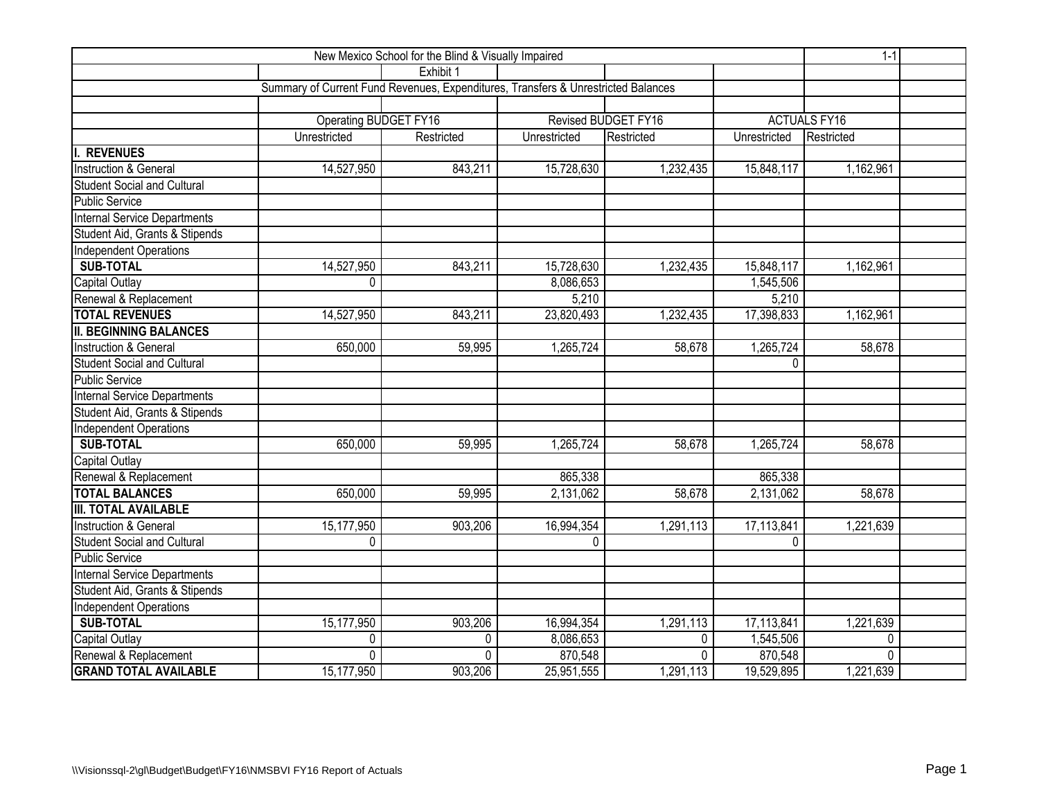|                                     | $1 - 1$                                                                           |            |              |                     |              |                     |  |
|-------------------------------------|-----------------------------------------------------------------------------------|------------|--------------|---------------------|--------------|---------------------|--|
|                                     |                                                                                   | Exhibit 1  |              |                     |              |                     |  |
|                                     | Summary of Current Fund Revenues, Expenditures, Transfers & Unrestricted Balances |            |              |                     |              |                     |  |
|                                     |                                                                                   |            |              |                     |              |                     |  |
|                                     | <b>Operating BUDGET FY16</b>                                                      |            |              | Revised BUDGET FY16 |              | <b>ACTUALS FY16</b> |  |
|                                     | Unrestricted                                                                      | Restricted | Unrestricted | Restricted          | Unrestricted | Restricted          |  |
| <b>REVENUES</b>                     |                                                                                   |            |              |                     |              |                     |  |
| Instruction & General               | 14,527,950                                                                        | 843,211    | 15,728,630   | 1,232,435           | 15,848,117   | 1,162,961           |  |
| <b>Student Social and Cultural</b>  |                                                                                   |            |              |                     |              |                     |  |
| <b>Public Service</b>               |                                                                                   |            |              |                     |              |                     |  |
| <b>Internal Service Departments</b> |                                                                                   |            |              |                     |              |                     |  |
| Student Aid, Grants & Stipends      |                                                                                   |            |              |                     |              |                     |  |
| Independent Operations              |                                                                                   |            |              |                     |              |                     |  |
| <b>SUB-TOTAL</b>                    | 14,527,950                                                                        | 843,211    | 15,728,630   | 1,232,435           | 15,848,117   | 1,162,961           |  |
| Capital Outlay                      | 0                                                                                 |            | 8,086,653    |                     | 1,545,506    |                     |  |
| Renewal & Replacement               |                                                                                   |            | 5,210        |                     | 5,210        |                     |  |
| <b>TOTAL REVENUES</b>               | 14,527,950                                                                        | 843,211    | 23,820,493   | 1,232,435           | 17,398,833   | 1,162,961           |  |
| <b>II. BEGINNING BALANCES</b>       |                                                                                   |            |              |                     |              |                     |  |
| Instruction & General               | 650,000                                                                           | 59,995     | 1,265,724    | 58,678              | 1,265,724    | 58,678              |  |
| <b>Student Social and Cultural</b>  |                                                                                   |            |              |                     | 0            |                     |  |
| <b>Public Service</b>               |                                                                                   |            |              |                     |              |                     |  |
| Internal Service Departments        |                                                                                   |            |              |                     |              |                     |  |
| Student Aid, Grants & Stipends      |                                                                                   |            |              |                     |              |                     |  |
| Independent Operations              |                                                                                   |            |              |                     |              |                     |  |
| <b>SUB-TOTAL</b>                    | 650,000                                                                           | 59,995     | 1,265,724    | 58,678              | 1,265,724    | 58,678              |  |
| Capital Outlay                      |                                                                                   |            |              |                     |              |                     |  |
| Renewal & Replacement               |                                                                                   |            | 865,338      |                     | 865,338      |                     |  |
| <b>TOTAL BALANCES</b>               | 650,000                                                                           | 59,995     | 2,131,062    | 58,678              | 2,131,062    | 58,678              |  |
| <b>III. TOTAL AVAILABLE</b>         |                                                                                   |            |              |                     |              |                     |  |
| Instruction & General               | 15,177,950                                                                        | 903,206    | 16,994,354   | 1,291,113           | 17,113,841   | 1,221,639           |  |
| <b>Student Social and Cultural</b>  | 0                                                                                 |            | $\Omega$     |                     | $\Omega$     |                     |  |
| <b>Public Service</b>               |                                                                                   |            |              |                     |              |                     |  |
| <b>Internal Service Departments</b> |                                                                                   |            |              |                     |              |                     |  |
| Student Aid, Grants & Stipends      |                                                                                   |            |              |                     |              |                     |  |
| Independent Operations              |                                                                                   |            |              |                     |              |                     |  |
| <b>SUB-TOTAL</b>                    | 15,177,950                                                                        | 903,206    | 16,994,354   | 1,291,113           | 17,113,841   | 1,221,639           |  |
| Capital Outlay                      | 0                                                                                 | 0          | 8,086,653    | $\mathbf{0}$        | 1,545,506    | 0                   |  |
| Renewal & Replacement               | $\Omega$                                                                          | 0          | 870,548      | $\Omega$            | 870,548      | $\Omega$            |  |
| <b>GRAND TOTAL AVAILABLE</b>        | 15,177,950                                                                        | 903,206    | 25,951,555   | 1,291,113           | 19,529,895   | 1,221,639           |  |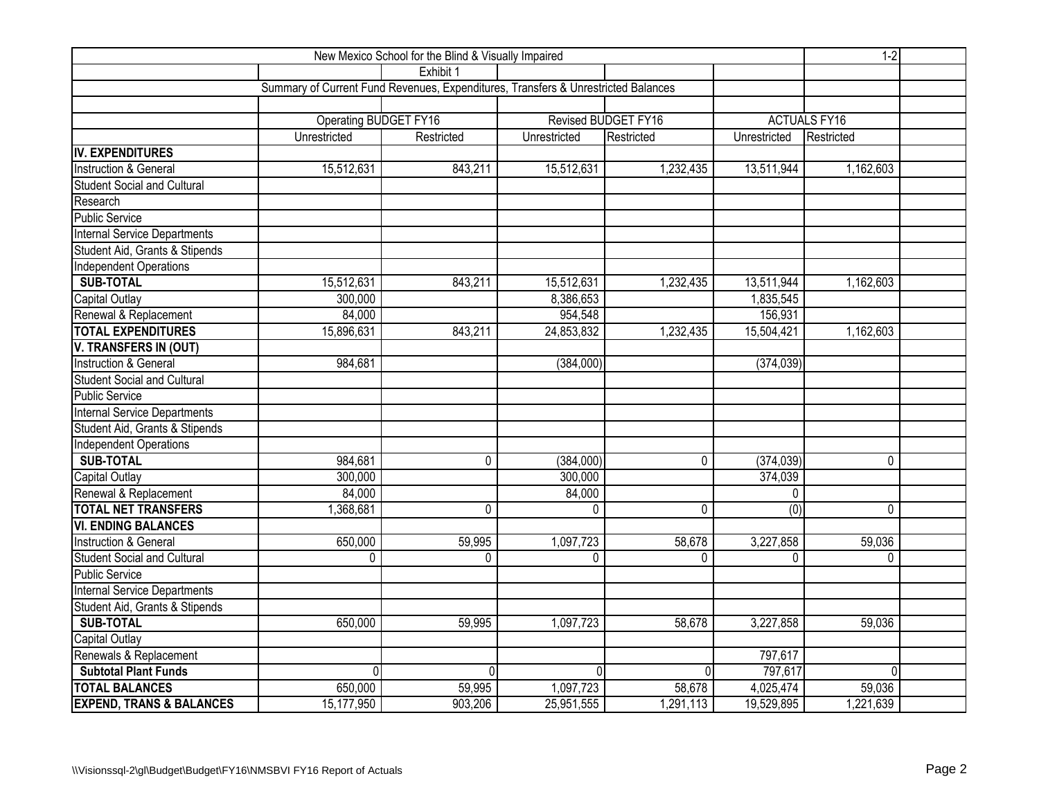|                                     | $1 - 2$                                                                           |             |              |                     |              |                     |  |
|-------------------------------------|-----------------------------------------------------------------------------------|-------------|--------------|---------------------|--------------|---------------------|--|
|                                     |                                                                                   | Exhibit 1   |              |                     |              |                     |  |
|                                     | Summary of Current Fund Revenues, Expenditures, Transfers & Unrestricted Balances |             |              |                     |              |                     |  |
|                                     |                                                                                   |             |              |                     |              |                     |  |
|                                     | <b>Operating BUDGET FY16</b>                                                      |             |              | Revised BUDGET FY16 |              | <b>ACTUALS FY16</b> |  |
|                                     | Unrestricted                                                                      | Restricted  | Unrestricted | Restricted          | Unrestricted | Restricted          |  |
| IV. EXPENDITURES                    |                                                                                   |             |              |                     |              |                     |  |
| <b>Instruction &amp; General</b>    | 15,512,631                                                                        | 843,211     | 15,512,631   | 1,232,435           | 13,511,944   | 1,162,603           |  |
| <b>Student Social and Cultural</b>  |                                                                                   |             |              |                     |              |                     |  |
| Research                            |                                                                                   |             |              |                     |              |                     |  |
| <b>Public Service</b>               |                                                                                   |             |              |                     |              |                     |  |
| Internal Service Departments        |                                                                                   |             |              |                     |              |                     |  |
| Student Aid, Grants & Stipends      |                                                                                   |             |              |                     |              |                     |  |
| <b>Independent Operations</b>       |                                                                                   |             |              |                     |              |                     |  |
| <b>SUB-TOTAL</b>                    | 15,512,631                                                                        | 843,211     | 15,512,631   | 1,232,435           | 13,511,944   | 1,162,603           |  |
| Capital Outlay                      | 300,000                                                                           |             | 8,386,653    |                     | 1,835,545    |                     |  |
| Renewal & Replacement               | 84,000                                                                            |             | 954,548      |                     | 156,931      |                     |  |
| <b>TOTAL EXPENDITURES</b>           | 15,896,631                                                                        | 843,211     | 24,853,832   | 1,232,435           | 15,504,421   | 1,162,603           |  |
| V. TRANSFERS IN (OUT)               |                                                                                   |             |              |                     |              |                     |  |
| <b>Instruction &amp; General</b>    | 984,681                                                                           |             | (384,000)    |                     | (374, 039)   |                     |  |
| <b>Student Social and Cultural</b>  |                                                                                   |             |              |                     |              |                     |  |
| <b>Public Service</b>               |                                                                                   |             |              |                     |              |                     |  |
| Internal Service Departments        |                                                                                   |             |              |                     |              |                     |  |
| Student Aid, Grants & Stipends      |                                                                                   |             |              |                     |              |                     |  |
| Independent Operations              |                                                                                   |             |              |                     |              |                     |  |
| <b>SUB-TOTAL</b>                    | 984,681                                                                           | $\mathbf 0$ | (384,000)    | $\mathbf 0$         | (374, 039)   | $\mathbf 0$         |  |
| <b>Capital Outlay</b>               | 300,000                                                                           |             | 300,000      |                     | 374,039      |                     |  |
| Renewal & Replacement               | 84,000                                                                            |             | 84,000       |                     | $\mathbf{0}$ |                     |  |
| <b>TOTAL NET TRANSFERS</b>          | 1,368,681                                                                         | 0           | $\mathbf{0}$ | 0                   | (0)          | $\mathbf 0$         |  |
| <b>VI. ENDING BALANCES</b>          |                                                                                   |             |              |                     |              |                     |  |
| Instruction & General               | 650,000                                                                           | 59,995      | 1,097,723    | 58,678              | 3,227,858    | 59,036              |  |
| <b>Student Social and Cultural</b>  | 0                                                                                 | 0           | $\Omega$     | $\Omega$            | $\Omega$     | $\mathbf{0}$        |  |
| <b>Public Service</b>               |                                                                                   |             |              |                     |              |                     |  |
| <b>Internal Service Departments</b> |                                                                                   |             |              |                     |              |                     |  |
| Student Aid, Grants & Stipends      |                                                                                   |             |              |                     |              |                     |  |
| <b>SUB-TOTAL</b>                    | 650,000                                                                           | 59,995      | 1,097,723    | 58,678              | 3,227,858    | 59,036              |  |
| Capital Outlay                      |                                                                                   |             |              |                     |              |                     |  |
| Renewals & Replacement              |                                                                                   |             |              |                     | 797,617      |                     |  |
| <b>Subtotal Plant Funds</b>         | $\Omega$                                                                          | O           | U            | 0                   | 797,617      | $\Omega$            |  |
| <b>TOTAL BALANCES</b>               | 650,000                                                                           | 59,995      | 1,097,723    | 58,678              | 4,025,474    | 59,036              |  |
| <b>EXPEND, TRANS &amp; BALANCES</b> | 15,177,950                                                                        | 903,206     | 25,951,555   | 1,291,113           | 19,529,895   | 1,221,639           |  |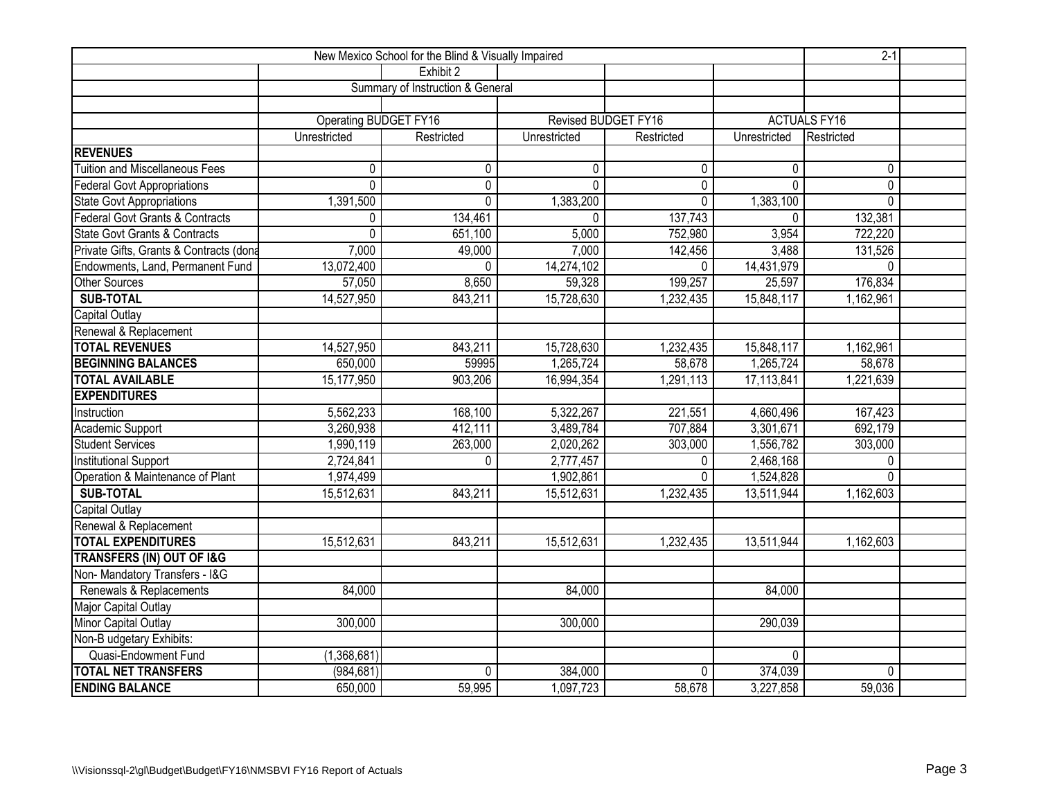|                                          | $2-1$                                                        |                                  |                            |             |              |                     |  |
|------------------------------------------|--------------------------------------------------------------|----------------------------------|----------------------------|-------------|--------------|---------------------|--|
|                                          |                                                              | Exhibit 2                        |                            |             |              |                     |  |
|                                          |                                                              | Summary of Instruction & General |                            |             |              |                     |  |
|                                          |                                                              |                                  |                            |             |              |                     |  |
|                                          | Operating BUDGET FY16                                        |                                  | <b>Revised BUDGET FY16</b> |             |              | <b>ACTUALS FY16</b> |  |
|                                          | Unrestricted                                                 | Restricted                       | Unrestricted               | Restricted  | Unrestricted | Restricted          |  |
| <b>REVENUES</b>                          |                                                              |                                  |                            |             |              |                     |  |
| <b>Tuition and Miscellaneous Fees</b>    | 0                                                            | $\mathbf{0}$                     | $\mathbf{0}$               | 0           | 0            | $\pmb{0}$           |  |
| Federal Govt Appropriations              | $\overline{0}$                                               | $\overline{0}$                   | $\Omega$                   | 0           | $\mathbf{0}$ | $\overline{0}$      |  |
| State Govt Appropriations                | 1,391,500                                                    | $\mathbf 0$                      | 1,383,200                  | $\mathbf 0$ | 1,383,100    | $\mathbf{0}$        |  |
| Federal Govt Grants & Contracts          | 0                                                            | 134,461                          | $\Omega$                   | 137,743     | $\mathbf{0}$ | 132,381             |  |
| <b>State Govt Grants &amp; Contracts</b> | 0                                                            | 651,100                          | 5,000                      | 752,980     | 3,954        | 722,220             |  |
| Private Gifts, Grants & Contracts (dona  | 7,000                                                        | 49,000                           | 7,000                      | 142,456     | 3,488        | 131,526             |  |
| Endowments, Land, Permanent Fund         | 13,072,400                                                   | $\Omega$                         | 14,274,102                 | $\Omega$    | 14,431,979   | $\mathbf{0}$        |  |
| <b>Other Sources</b>                     | 57,050                                                       | 8,650                            | 59,328                     | 199,257     | 25,597       | 176,834             |  |
| <b>SUB-TOTAL</b>                         | 14,527,950                                                   | 843,211                          | 15,728,630                 | 1,232,435   | 15,848,117   | 1,162,961           |  |
| Capital Outlay                           |                                                              |                                  |                            |             |              |                     |  |
| Renewal & Replacement                    |                                                              |                                  |                            |             |              |                     |  |
| <b>TOTAL REVENUES</b>                    | 14,527,950                                                   | 843,211                          | 15,728,630                 | 1,232,435   | 15,848,117   | 1,162,961           |  |
| <b>BEGINNING BALANCES</b>                | 650,000                                                      | 59995                            | 1,265,724                  | 58,678      | 1,265,724    | 58,678              |  |
| <b>TOTAL AVAILABLE</b>                   | 15,177,950                                                   | 903,206                          | 16,994,354                 | 1,291,113   | 17,113,841   | 1,221,639           |  |
| <b>EXPENDITURES</b>                      |                                                              |                                  |                            |             |              |                     |  |
| Instruction                              | 5,562,233                                                    | 168,100                          | 5,322,267                  | 221,551     | 4,660,496    | 167,423             |  |
| Academic Support                         | 3,260,938                                                    | 412,111                          | 3,489,784                  | 707,884     | 3,301,671    | 692,179             |  |
| Student Services                         | 1,990,119                                                    | 263,000                          | 2,020,262                  | 303,000     | 1,556,782    | 303,000             |  |
| <b>Institutional Support</b>             | 2,724,841                                                    | $\mathbf{0}$                     | 2,777,457                  | $\Omega$    | 2,468,168    | $\mathbf{0}$        |  |
| Operation & Maintenance of Plant         | 1,974,499                                                    |                                  | 1,902,861                  | $\mathbf 0$ | 1,524,828    | $\Omega$            |  |
| <b>SUB-TOTAL</b>                         | 15,512,631                                                   | 843,211                          | 15,512,631                 | 1,232,435   | 13,511,944   | 1,162,603           |  |
| <b>Capital Outlay</b>                    |                                                              |                                  |                            |             |              |                     |  |
| Renewal & Replacement                    |                                                              |                                  |                            |             |              |                     |  |
| <b>TOTAL EXPENDITURES</b>                | 15,512,631                                                   | 843,211                          | 15,512,631                 | 1,232,435   | 13,511,944   | 1,162,603           |  |
| <b>TRANSFERS (IN) OUT OF I&amp;G</b>     |                                                              |                                  |                            |             |              |                     |  |
| Non-Mandatory Transfers - I&G            |                                                              |                                  |                            |             |              |                     |  |
| Renewals & Replacements                  | 84,000                                                       |                                  | 84,000                     |             | 84,000       |                     |  |
| Major Capital Outlay                     |                                                              |                                  |                            |             |              |                     |  |
| Minor Capital Outlay                     | 300,000                                                      |                                  | 300,000                    |             | 290,039      |                     |  |
| Non-B udgetary Exhibits:                 |                                                              |                                  |                            |             |              |                     |  |
| Quasi-Endowment Fund                     | (1,368,681)                                                  |                                  |                            |             | $\mathbf 0$  |                     |  |
| <b>TOTAL NET TRANSFERS</b>               | 374,039<br>(984, 681)<br>$\Omega$<br>384,000<br>$\mathbf{0}$ |                                  |                            |             |              |                     |  |
| <b>ENDING BALANCE</b>                    | 650,000                                                      | 59,995                           | 1,097,723                  | 58,678      | 3,227,858    | 59,036              |  |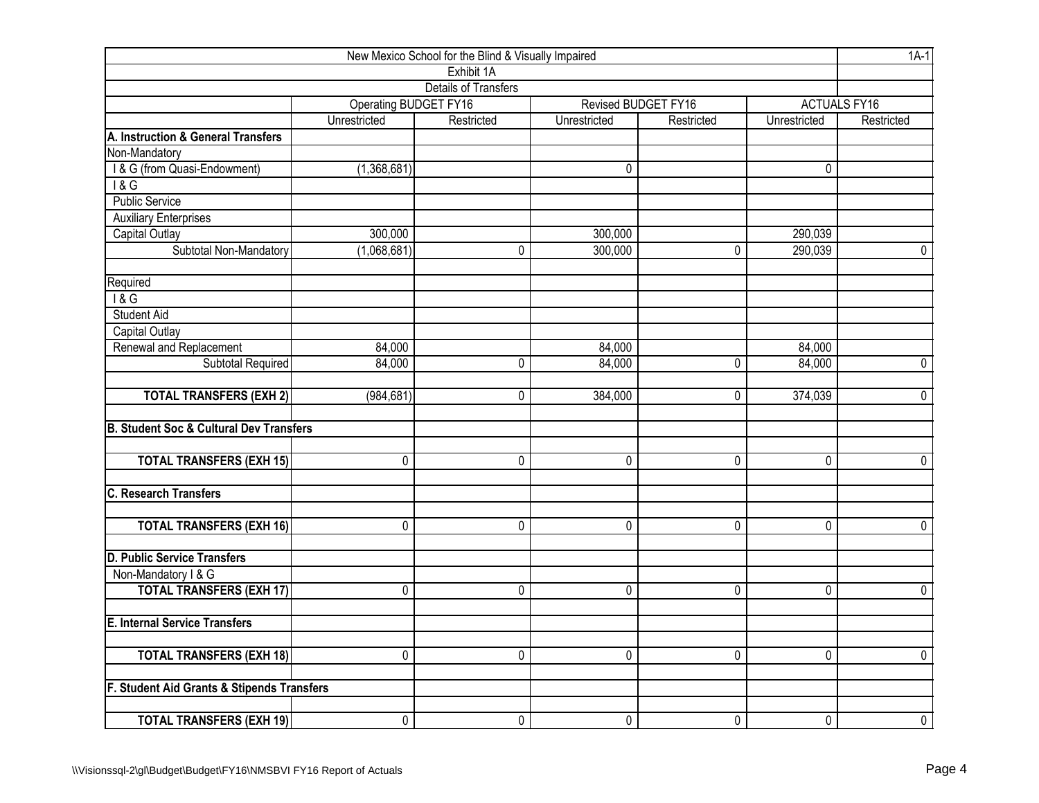| New Mexico School for the Blind & Visually Impaired |                              |                             |                |                     |                |                     |  |  |  |  |  |
|-----------------------------------------------------|------------------------------|-----------------------------|----------------|---------------------|----------------|---------------------|--|--|--|--|--|
|                                                     |                              | Exhibit 1A                  |                |                     |                |                     |  |  |  |  |  |
|                                                     |                              | <b>Details of Transfers</b> |                |                     |                |                     |  |  |  |  |  |
|                                                     | <b>Operating BUDGET FY16</b> |                             |                | Revised BUDGET FY16 |                | <b>ACTUALS FY16</b> |  |  |  |  |  |
|                                                     | Unrestricted                 | Restricted                  | Unrestricted   | Restricted          | Unrestricted   | Restricted          |  |  |  |  |  |
| A. Instruction & General Transfers                  |                              |                             |                |                     |                |                     |  |  |  |  |  |
| Non-Mandatory                                       |                              |                             |                |                     |                |                     |  |  |  |  |  |
| I & G (from Quasi-Endowment)                        | (1,368,681)                  |                             | 0              |                     | 0              |                     |  |  |  |  |  |
| 18G                                                 |                              |                             |                |                     |                |                     |  |  |  |  |  |
| <b>Public Service</b>                               |                              |                             |                |                     |                |                     |  |  |  |  |  |
| <b>Auxiliary Enterprises</b>                        |                              |                             |                |                     |                |                     |  |  |  |  |  |
| Capital Outlay                                      | 300,000                      |                             | 300,000        |                     | 290,039        |                     |  |  |  |  |  |
| Subtotal Non-Mandatory                              | (1,068,681)                  | 0                           | 300,000        | 0                   | 290,039        | $\mathbf 0$         |  |  |  |  |  |
| Required                                            |                              |                             |                |                     |                |                     |  |  |  |  |  |
| 18G                                                 |                              |                             |                |                     |                |                     |  |  |  |  |  |
| <b>Student Aid</b>                                  |                              |                             |                |                     |                |                     |  |  |  |  |  |
| Capital Outlay                                      |                              |                             |                |                     |                |                     |  |  |  |  |  |
| Renewal and Replacement                             | 84,000                       |                             | 84,000         |                     | 84,000         |                     |  |  |  |  |  |
| Subtotal Required                                   | 84,000                       | 0                           | 84,000         | 0                   | 84,000         | $\pmb{0}$           |  |  |  |  |  |
| <b>TOTAL TRANSFERS (EXH 2)</b>                      | (984, 681)                   | 0                           | 384,000        | 0                   | 374,039        | $\mathbf 0$         |  |  |  |  |  |
| <b>B. Student Soc &amp; Cultural Dev Transfers</b>  |                              |                             |                |                     |                |                     |  |  |  |  |  |
| <b>TOTAL TRANSFERS (EXH 15)</b>                     | 0                            | 0                           | 0              | 0                   | 0              | $\mathbf 0$         |  |  |  |  |  |
| <b>C. Research Transfers</b>                        |                              |                             |                |                     |                |                     |  |  |  |  |  |
|                                                     |                              |                             |                |                     |                |                     |  |  |  |  |  |
| <b>TOTAL TRANSFERS (EXH 16)</b>                     | $\mathbf 0$                  | 0                           | 0              | 0                   | 0              | $\overline{0}$      |  |  |  |  |  |
| <b>D. Public Service Transfers</b>                  |                              |                             |                |                     |                |                     |  |  |  |  |  |
| Non-Mandatory I & G                                 |                              |                             |                |                     |                |                     |  |  |  |  |  |
| <b>TOTAL TRANSFERS (EXH 17)</b>                     | $\mathbf 0$                  | $\pmb{0}$                   | 0              | 0                   | 0              | $\overline{0}$      |  |  |  |  |  |
| <b>E. Internal Service Transfers</b>                |                              |                             |                |                     |                |                     |  |  |  |  |  |
| <b>TOTAL TRANSFERS (EXH 18)</b>                     | $\overline{0}$               | 0                           | $\overline{0}$ | 0                   | $\overline{0}$ | $\overline{0}$      |  |  |  |  |  |
| F. Student Aid Grants & Stipends Transfers          |                              |                             |                |                     |                |                     |  |  |  |  |  |
|                                                     |                              |                             |                |                     |                |                     |  |  |  |  |  |
| <b>TOTAL TRANSFERS (EXH 19)</b>                     | $\overline{0}$               | $\overline{0}$              | 0              | $\overline{0}$      | $\overline{0}$ | $\overline{0}$      |  |  |  |  |  |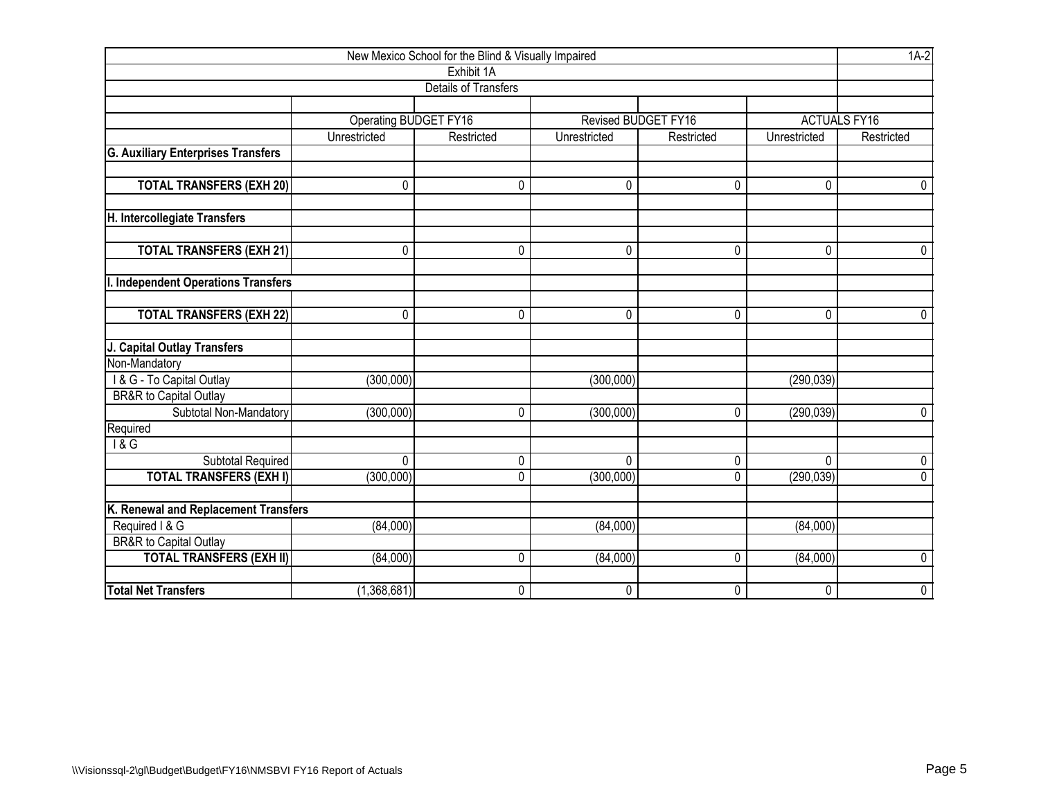| New Mexico School for the Blind & Visually Impaired |                       |                             |              |                     |                     |                |  |  |  |  |  |  |
|-----------------------------------------------------|-----------------------|-----------------------------|--------------|---------------------|---------------------|----------------|--|--|--|--|--|--|
|                                                     | Exhibit 1A            |                             |              |                     |                     |                |  |  |  |  |  |  |
|                                                     |                       | <b>Details of Transfers</b> |              |                     |                     |                |  |  |  |  |  |  |
|                                                     |                       |                             |              |                     |                     |                |  |  |  |  |  |  |
|                                                     | Operating BUDGET FY16 |                             |              | Revised BUDGET FY16 | <b>ACTUALS FY16</b> |                |  |  |  |  |  |  |
|                                                     | Unrestricted          | Restricted                  | Unrestricted | Restricted          | Unrestricted        | Restricted     |  |  |  |  |  |  |
| <b>G. Auxiliary Enterprises Transfers</b>           |                       |                             |              |                     |                     |                |  |  |  |  |  |  |
|                                                     |                       |                             |              |                     |                     |                |  |  |  |  |  |  |
| <b>TOTAL TRANSFERS (EXH 20)</b>                     | 0                     | 0                           | $\Omega$     | 0                   | $\Omega$            | 0              |  |  |  |  |  |  |
| H. Intercollegiate Transfers                        |                       |                             |              |                     |                     |                |  |  |  |  |  |  |
| <b>TOTAL TRANSFERS (EXH 21)</b>                     | 0                     | 0                           | 0            | 0                   | $\mathbf 0$         | 0              |  |  |  |  |  |  |
| <b>I. Independent Operations Transfers</b>          |                       |                             |              |                     |                     |                |  |  |  |  |  |  |
| <b>TOTAL TRANSFERS (EXH 22)</b>                     | $\mathbf 0$           | 0                           | 0            | 0                   | 0                   | 0              |  |  |  |  |  |  |
| J. Capital Outlay Transfers                         |                       |                             |              |                     |                     |                |  |  |  |  |  |  |
| Non-Mandatory                                       |                       |                             |              |                     |                     |                |  |  |  |  |  |  |
| I & G - To Capital Outlay                           | (300, 000)            |                             | (300,000)    |                     | (290, 039)          |                |  |  |  |  |  |  |
| BR&R to Capital Outlay                              |                       |                             |              |                     |                     |                |  |  |  |  |  |  |
| Subtotal Non-Mandatory                              | (300,000)             | 0                           | (300,000)    | 0                   | (290, 039)          | $\pmb{0}$      |  |  |  |  |  |  |
| Required                                            |                       |                             |              |                     |                     |                |  |  |  |  |  |  |
| $\overline{18G}$                                    |                       |                             |              |                     |                     |                |  |  |  |  |  |  |
| Subtotal Required                                   | 0                     | 0                           | $\mathbf 0$  | 0                   | 0                   | 0              |  |  |  |  |  |  |
| <b>TOTAL TRANSFERS (EXH I)</b>                      | (300, 000)            | 0                           | (300,000)    | 0                   | (290, 039)          | $\overline{0}$ |  |  |  |  |  |  |
| K. Renewal and Replacement Transfers                |                       |                             |              |                     |                     |                |  |  |  |  |  |  |
| Required I & G                                      | (84,000)              |                             | (84,000)     |                     | (84,000)            |                |  |  |  |  |  |  |
| <b>BR&amp;R</b> to Capital Outlay                   |                       |                             |              |                     |                     |                |  |  |  |  |  |  |
| <b>TOTAL TRANSFERS (EXH II)</b>                     | (84,000)              | 0                           | (84,000)     | 0                   | (84,000)            | 0              |  |  |  |  |  |  |
|                                                     |                       |                             |              |                     |                     |                |  |  |  |  |  |  |
| <b>Total Net Transfers</b>                          | (1,368,681)           | $\mathbf 0$                 | 0            | 0                   | $\mathbf 0$         | 0              |  |  |  |  |  |  |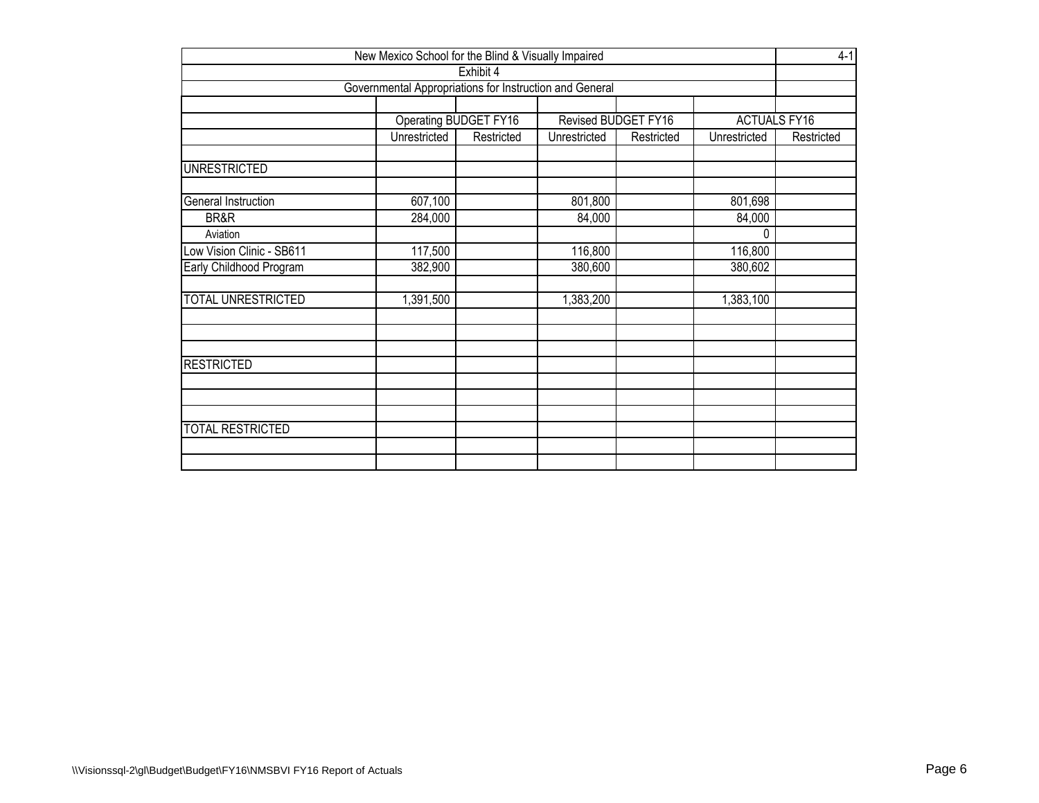| New Mexico School for the Blind & Visually Impaired                  |              |            |              |            |              |            |  |  |  |  |  |  |
|----------------------------------------------------------------------|--------------|------------|--------------|------------|--------------|------------|--|--|--|--|--|--|
| Exhibit 4<br>Governmental Appropriations for Instruction and General |              |            |              |            |              |            |  |  |  |  |  |  |
|                                                                      |              |            |              |            |              |            |  |  |  |  |  |  |
| Operating BUDGET FY16<br><b>ACTUALS FY16</b><br>Revised BUDGET FY16  |              |            |              |            |              |            |  |  |  |  |  |  |
|                                                                      | Unrestricted | Restricted | Unrestricted | Restricted | Unrestricted | Restricted |  |  |  |  |  |  |
| <b>UNRESTRICTED</b>                                                  |              |            |              |            |              |            |  |  |  |  |  |  |
| General Instruction                                                  | 607,100      |            | 801,800      |            | 801,698      |            |  |  |  |  |  |  |
| BR&R                                                                 | 284,000      |            | 84,000       |            | 84,000       |            |  |  |  |  |  |  |
| Aviation                                                             |              |            |              |            | 0            |            |  |  |  |  |  |  |
| Low Vision Clinic - SB611                                            | 117,500      |            | 116,800      |            | 116,800      |            |  |  |  |  |  |  |
| Early Childhood Program                                              | 382,900      |            | 380,600      |            | 380,602      |            |  |  |  |  |  |  |
| TOTAL UNRESTRICTED                                                   | 1,391,500    |            | 1,383,200    |            | 1,383,100    |            |  |  |  |  |  |  |
| <b>RESTRICTED</b>                                                    |              |            |              |            |              |            |  |  |  |  |  |  |
|                                                                      |              |            |              |            |              |            |  |  |  |  |  |  |
| <b>TOTAL RESTRICTED</b>                                              |              |            |              |            |              |            |  |  |  |  |  |  |
|                                                                      |              |            |              |            |              |            |  |  |  |  |  |  |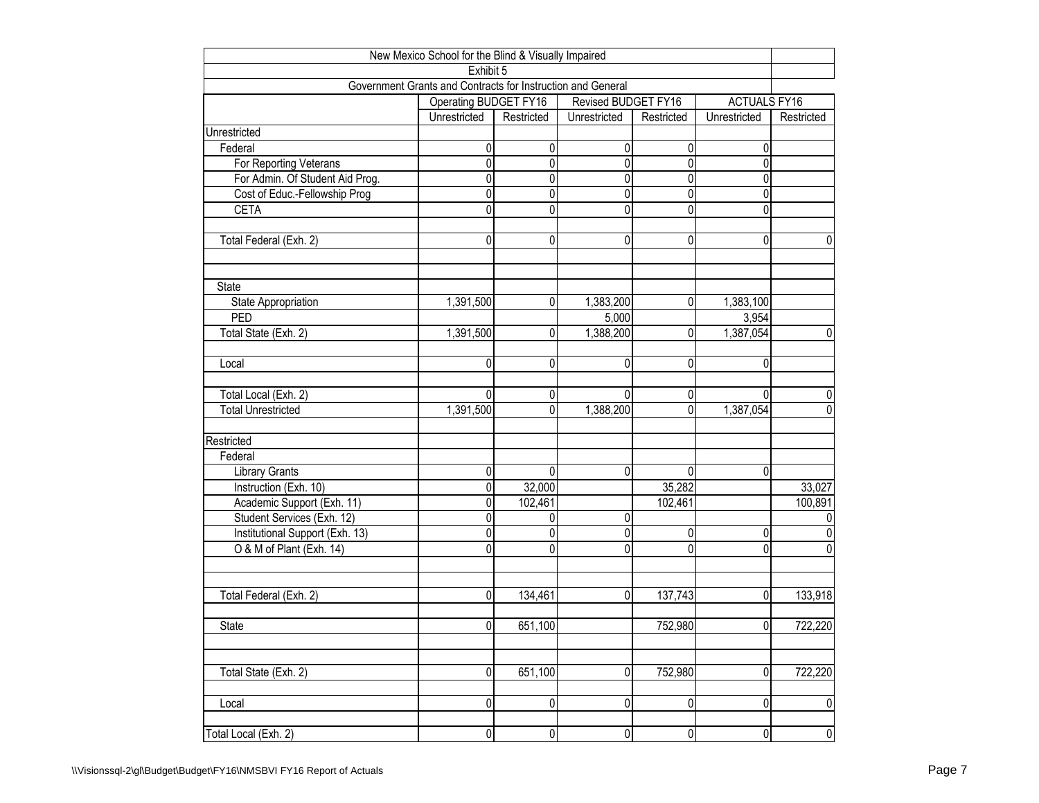| New Mexico School for the Blind & Visually Impaired         |                       |                |                     |             |                     |                |  |  |  |  |  |  |
|-------------------------------------------------------------|-----------------------|----------------|---------------------|-------------|---------------------|----------------|--|--|--|--|--|--|
| Exhibit 5                                                   |                       |                |                     |             |                     |                |  |  |  |  |  |  |
| Government Grants and Contracts for Instruction and General |                       |                |                     |             |                     |                |  |  |  |  |  |  |
|                                                             | Operating BUDGET FY16 |                | Revised BUDGET FY16 |             | <b>ACTUALS FY16</b> |                |  |  |  |  |  |  |
|                                                             | Unrestricted          | Restricted     | Unrestricted        | Restricted  | Unrestricted        | Restricted     |  |  |  |  |  |  |
| Unrestricted                                                |                       |                |                     |             |                     |                |  |  |  |  |  |  |
| Federal                                                     | 0                     | 0              | 0                   | 0           | 0                   |                |  |  |  |  |  |  |
| For Reporting Veterans                                      | 0                     | $\overline{0}$ | $\overline{0}$      | 0           | $\mathbf 0$         |                |  |  |  |  |  |  |
| For Admin. Of Student Aid Prog.                             | 0                     | 0              | $\overline{0}$      | 0           | $\mathbf 0$         |                |  |  |  |  |  |  |
| Cost of Educ.-Fellowship Prog                               | 0                     | 0              | $\overline{0}$      | 0           | 0                   |                |  |  |  |  |  |  |
| <b>CETA</b>                                                 | 0                     | 0              | $\overline{0}$      | 0           | 0                   |                |  |  |  |  |  |  |
| Total Federal (Exh. 2)                                      | 0                     | 0              | 0                   | 0           | 0                   | 0              |  |  |  |  |  |  |
|                                                             |                       |                |                     |             |                     |                |  |  |  |  |  |  |
| <b>State</b>                                                |                       |                |                     |             |                     |                |  |  |  |  |  |  |
| State Appropriation                                         | 1,391,500             | 0              | 1,383,200           | 0           | 1,383,100           |                |  |  |  |  |  |  |
| PED                                                         |                       |                | 5,000               |             | 3,954               |                |  |  |  |  |  |  |
| Total State (Exh. 2)                                        | 1,391,500             | 0              | 1,388,200           | 0           | 1,387,054           | 0              |  |  |  |  |  |  |
|                                                             |                       |                |                     |             |                     |                |  |  |  |  |  |  |
| Local                                                       | 0                     | $\mathbf 0$    | 0                   | 0           | 0                   |                |  |  |  |  |  |  |
|                                                             |                       |                |                     |             |                     |                |  |  |  |  |  |  |
| Total Local (Exh. 2)                                        | 0                     | $\mathbf 0$    | $\Omega$            | 0           | $\Omega$            | 0              |  |  |  |  |  |  |
| <b>Total Unrestricted</b>                                   | 1,391,500             | $\overline{0}$ | 1,388,200           | 0           | 1,387,054           | $\Omega$       |  |  |  |  |  |  |
| Restricted                                                  |                       |                |                     |             |                     |                |  |  |  |  |  |  |
| Federal                                                     |                       |                |                     |             |                     |                |  |  |  |  |  |  |
| <b>Library Grants</b>                                       | 0                     | $\mathbf 0$    | 0                   | $\mathbf 0$ | $\mathbf 0$         |                |  |  |  |  |  |  |
| Instruction (Exh. 10)                                       | 0                     | 32,000         |                     | 35,282      |                     | 33,027         |  |  |  |  |  |  |
| Academic Support (Exh. 11)                                  | 0                     | 102,461        |                     | 102,461     |                     | 100,891        |  |  |  |  |  |  |
| Student Services (Exh. 12)                                  | 0                     | 0              | 0                   |             |                     | 0              |  |  |  |  |  |  |
| Institutional Support (Exh. 13)                             | 0                     | 0              | $\overline{0}$      | 0           | 0                   | 0              |  |  |  |  |  |  |
| O & M of Plant (Exh. 14)                                    | 0                     | 0              | $\overline{0}$      | 0           | $\mathbf 0$         | 0              |  |  |  |  |  |  |
|                                                             |                       |                |                     |             |                     |                |  |  |  |  |  |  |
|                                                             |                       |                |                     |             |                     |                |  |  |  |  |  |  |
| Total Federal (Exh. 2)                                      | 0                     | 134,461        | $\overline{0}$      | 137,743     | $\overline{0}$      | 133,918        |  |  |  |  |  |  |
|                                                             | 0                     | 651,100        |                     | 752,980     | $\overline{0}$      |                |  |  |  |  |  |  |
| <b>State</b>                                                |                       |                |                     |             |                     | 722,220        |  |  |  |  |  |  |
| Total State (Exh. 2)                                        | 0                     | 651,100        | 0                   | 752,980     | $\overline{0}$      | 722,220        |  |  |  |  |  |  |
|                                                             |                       |                |                     |             |                     |                |  |  |  |  |  |  |
| Local                                                       | 0                     | $\pmb{0}$      | $\pmb{0}$           | $\pmb{0}$   | $\overline{0}$      | $\mathbf 0$    |  |  |  |  |  |  |
| Total Local (Exh. 2)                                        | 0                     | $\overline{0}$ | $\overline{0}$      | 0           | 0                   | $\overline{0}$ |  |  |  |  |  |  |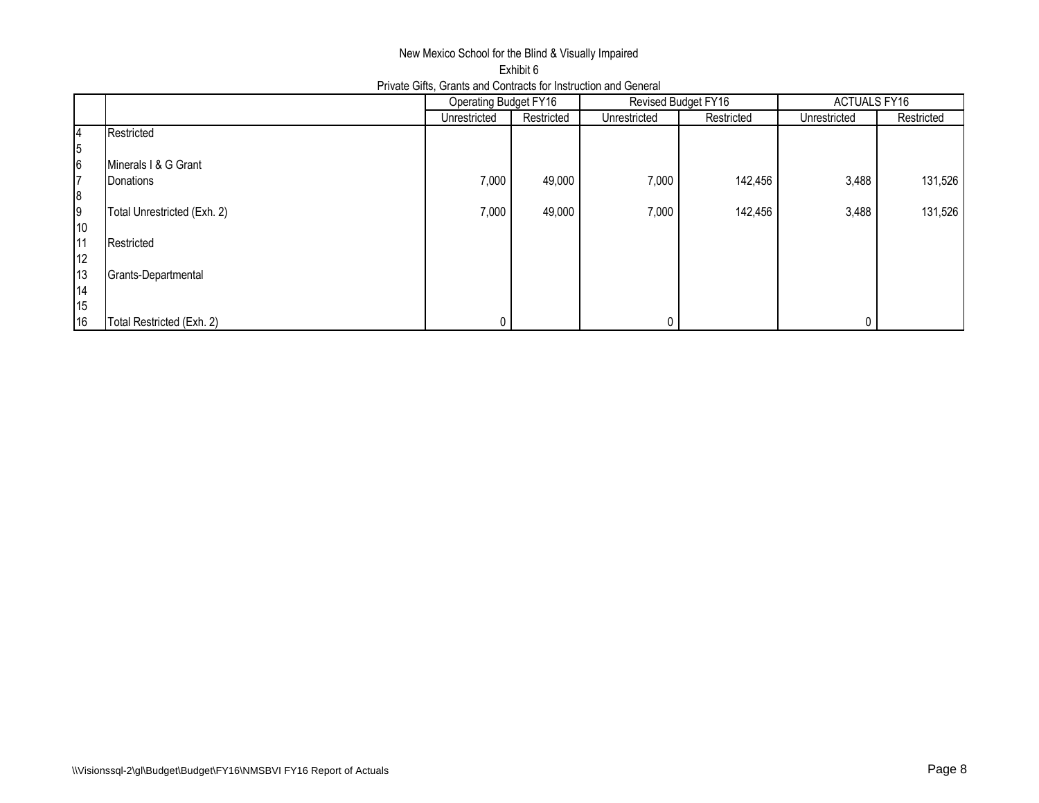## New Mexico School for the Blind & Visually Impaired Exhibit 6 Private Gifts, Grants and Contracts for Instruction and General

|    |                             | Operating Budget FY16 |            |              | Revised Budget FY16 | <b>ACTUALS FY16</b> |            |  |
|----|-----------------------------|-----------------------|------------|--------------|---------------------|---------------------|------------|--|
|    |                             | Unrestricted          | Restricted | Unrestricted | Restricted          | Unrestricted        | Restricted |  |
| 14 | Restricted                  |                       |            |              |                     |                     |            |  |
| 5  |                             |                       |            |              |                     |                     |            |  |
| 6  | Minerals I & G Grant        |                       |            |              |                     |                     |            |  |
| 17 | Donations                   | 7,000                 | 49,000     | 7,000        | 142,456             | 3,488               | 131,526    |  |
| 8  |                             |                       |            |              |                     |                     |            |  |
| 9  | Total Unrestricted (Exh. 2) | 7,000                 | 49,000     | 7,000        | 142,456             | 3,488               | 131,526    |  |
| 10 |                             |                       |            |              |                     |                     |            |  |
| 11 | Restricted                  |                       |            |              |                     |                     |            |  |
| 12 |                             |                       |            |              |                     |                     |            |  |
| 13 | Grants-Departmental         |                       |            |              |                     |                     |            |  |
| 14 |                             |                       |            |              |                     |                     |            |  |
| 15 |                             |                       |            |              |                     |                     |            |  |
| 16 | Total Restricted (Exh. 2)   | $\Omega$              |            |              |                     |                     |            |  |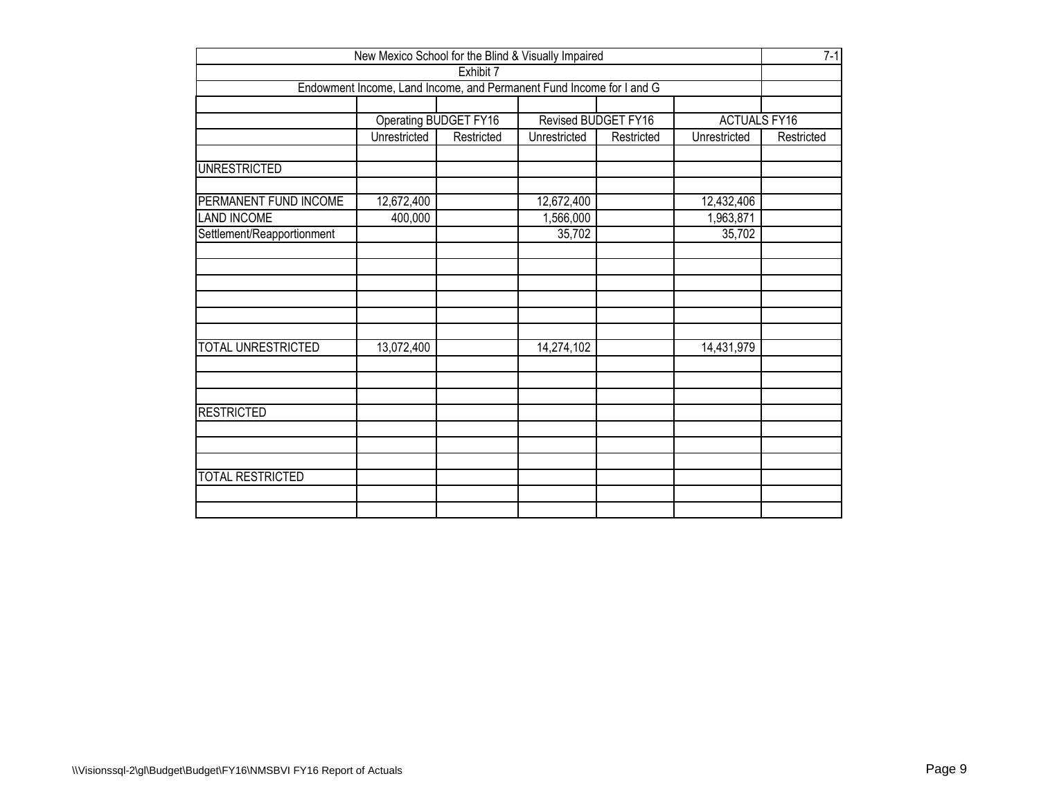| New Mexico School for the Blind & Visually Impaired                               |              |                       |                     |            |                     |            |  |  |  |  |
|-----------------------------------------------------------------------------------|--------------|-----------------------|---------------------|------------|---------------------|------------|--|--|--|--|
| Exhibit 7<br>Endowment Income, Land Income, and Permanent Fund Income for I and G |              |                       |                     |            |                     |            |  |  |  |  |
|                                                                                   |              |                       |                     |            |                     |            |  |  |  |  |
|                                                                                   |              |                       |                     |            |                     |            |  |  |  |  |
|                                                                                   |              | Operating BUDGET FY16 | Revised BUDGET FY16 |            | <b>ACTUALS FY16</b> |            |  |  |  |  |
|                                                                                   | Unrestricted | Restricted            | Unrestricted        | Restricted | Unrestricted        | Restricted |  |  |  |  |
| <b>UNRESTRICTED</b>                                                               |              |                       |                     |            |                     |            |  |  |  |  |
|                                                                                   |              |                       |                     |            |                     |            |  |  |  |  |
| PERMANENT FUND INCOME                                                             | 12,672,400   |                       | 12,672,400          |            | 12,432,406          |            |  |  |  |  |
| <b>LAND INCOME</b>                                                                | 400,000      |                       | 1,566,000           |            | 1,963,871           |            |  |  |  |  |
| Settlement/Reapportionment                                                        |              |                       | 35,702              |            | 35,702              |            |  |  |  |  |
|                                                                                   |              |                       |                     |            |                     |            |  |  |  |  |
|                                                                                   |              |                       |                     |            |                     |            |  |  |  |  |
|                                                                                   |              |                       |                     |            |                     |            |  |  |  |  |
|                                                                                   |              |                       |                     |            |                     |            |  |  |  |  |
|                                                                                   |              |                       |                     |            |                     |            |  |  |  |  |
|                                                                                   |              |                       |                     |            |                     |            |  |  |  |  |
| <b>TOTAL UNRESTRICTED</b>                                                         | 13,072,400   |                       | 14,274,102          |            | 14,431,979          |            |  |  |  |  |
|                                                                                   |              |                       |                     |            |                     |            |  |  |  |  |
|                                                                                   |              |                       |                     |            |                     |            |  |  |  |  |
|                                                                                   |              |                       |                     |            |                     |            |  |  |  |  |
| <b>RESTRICTED</b>                                                                 |              |                       |                     |            |                     |            |  |  |  |  |
|                                                                                   |              |                       |                     |            |                     |            |  |  |  |  |
|                                                                                   |              |                       |                     |            |                     |            |  |  |  |  |
| <b>TOTAL RESTRICTED</b>                                                           |              |                       |                     |            |                     |            |  |  |  |  |
|                                                                                   |              |                       |                     |            |                     |            |  |  |  |  |
|                                                                                   |              |                       |                     |            |                     |            |  |  |  |  |
|                                                                                   |              |                       |                     |            |                     |            |  |  |  |  |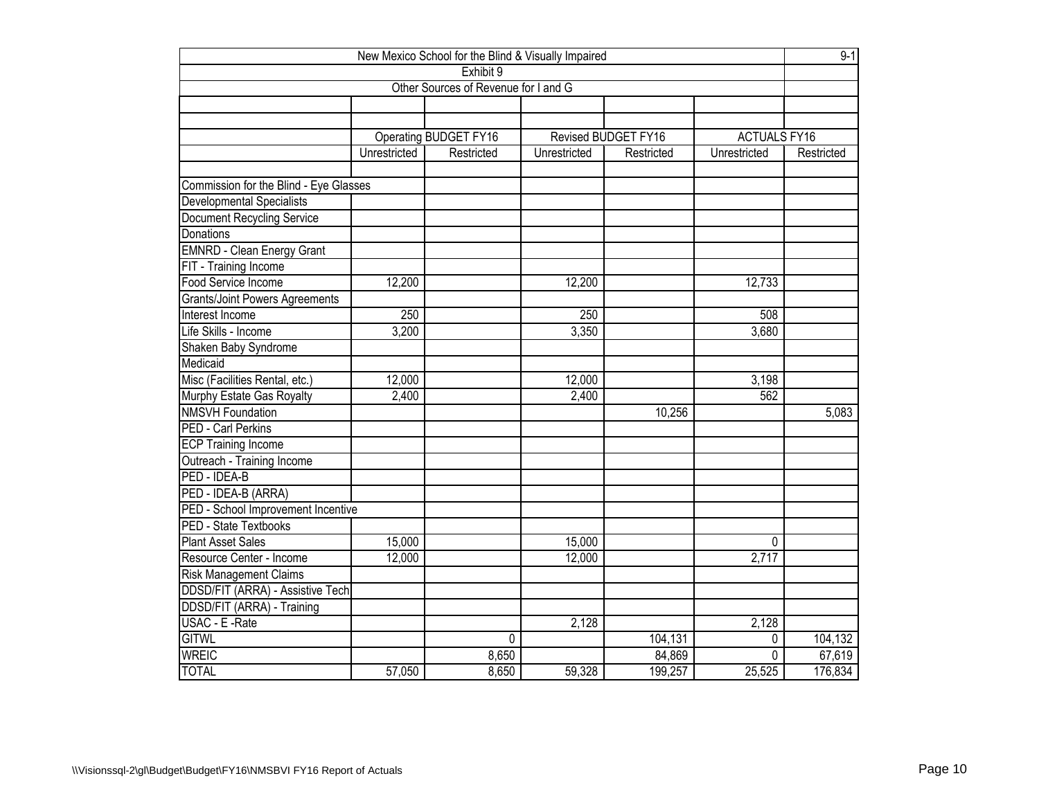| New Mexico School for the Blind & Visually Impaired |              |                              |              |                            |                     |            |  |  |  |  |  |
|-----------------------------------------------------|--------------|------------------------------|--------------|----------------------------|---------------------|------------|--|--|--|--|--|
| Exhibit 9<br>Other Sources of Revenue for I and G   |              |                              |              |                            |                     |            |  |  |  |  |  |
|                                                     |              |                              |              |                            |                     |            |  |  |  |  |  |
|                                                     |              |                              |              |                            |                     |            |  |  |  |  |  |
|                                                     |              |                              |              |                            |                     |            |  |  |  |  |  |
|                                                     |              | <b>Operating BUDGET FY16</b> |              | <b>Revised BUDGET FY16</b> | <b>ACTUALS FY16</b> |            |  |  |  |  |  |
|                                                     | Unrestricted | Restricted                   | Unrestricted | Restricted                 | Unrestricted        | Restricted |  |  |  |  |  |
|                                                     |              |                              |              |                            |                     |            |  |  |  |  |  |
| Commission for the Blind - Eye Glasses              |              |                              |              |                            |                     |            |  |  |  |  |  |
| Developmental Specialists                           |              |                              |              |                            |                     |            |  |  |  |  |  |
| <b>Document Recycling Service</b>                   |              |                              |              |                            |                     |            |  |  |  |  |  |
| Donations                                           |              |                              |              |                            |                     |            |  |  |  |  |  |
| <b>EMNRD - Clean Energy Grant</b>                   |              |                              |              |                            |                     |            |  |  |  |  |  |
| FIT - Training Income                               |              |                              |              |                            |                     |            |  |  |  |  |  |
| <b>Food Service Income</b>                          | 12,200       |                              | 12,200       |                            | 12,733              |            |  |  |  |  |  |
| <b>Grants/Joint Powers Agreements</b>               |              |                              |              |                            |                     |            |  |  |  |  |  |
| Interest Income                                     | 250          |                              | 250          |                            | 508                 |            |  |  |  |  |  |
| Life Skills - Income                                | 3,200        |                              | 3,350        |                            | 3,680               |            |  |  |  |  |  |
| Shaken Baby Syndrome                                |              |                              |              |                            |                     |            |  |  |  |  |  |
| Medicaid                                            |              |                              |              |                            |                     |            |  |  |  |  |  |
| Misc (Facilities Rental, etc.)                      | 12,000       |                              | 12,000       |                            | 3,198               |            |  |  |  |  |  |
| Murphy Estate Gas Royalty                           | 2,400        |                              | 2,400        |                            | 562                 |            |  |  |  |  |  |
| <b>NMSVH Foundation</b>                             |              |                              |              | 10,256                     |                     | 5,083      |  |  |  |  |  |
| PED - Carl Perkins                                  |              |                              |              |                            |                     |            |  |  |  |  |  |
| <b>ECP Training Income</b>                          |              |                              |              |                            |                     |            |  |  |  |  |  |
| Outreach - Training Income                          |              |                              |              |                            |                     |            |  |  |  |  |  |
| PED - IDEA-B                                        |              |                              |              |                            |                     |            |  |  |  |  |  |
| PED - IDEA-B (ARRA)                                 |              |                              |              |                            |                     |            |  |  |  |  |  |
| PED - School Improvement Incentive                  |              |                              |              |                            |                     |            |  |  |  |  |  |
| <b>PED - State Textbooks</b>                        |              |                              |              |                            |                     |            |  |  |  |  |  |
| <b>Plant Asset Sales</b>                            | 15,000       |                              | 15,000       |                            | $\Omega$            |            |  |  |  |  |  |
| Resource Center - Income                            | 12,000       |                              | 12,000       |                            | 2,717               |            |  |  |  |  |  |
| <b>Risk Management Claims</b>                       |              |                              |              |                            |                     |            |  |  |  |  |  |
| DDSD/FIT (ARRA) - Assistive Tech                    |              |                              |              |                            |                     |            |  |  |  |  |  |
| DDSD/FIT (ARRA) - Training                          |              |                              |              |                            |                     |            |  |  |  |  |  |
| USAC - E - Rate                                     |              |                              | 2,128        |                            | 2,128               |            |  |  |  |  |  |
| <b>GITWL</b>                                        |              | 0                            |              | 104,131                    | 0                   | 104,132    |  |  |  |  |  |
| <b>WREIC</b>                                        |              | 8,650                        |              | 84,869                     | $\mathbf{0}$        | 67,619     |  |  |  |  |  |
| <b>TOTAL</b>                                        | 57,050       | 8,650                        | 59,328       | 199,257                    | 25,525              | 176,834    |  |  |  |  |  |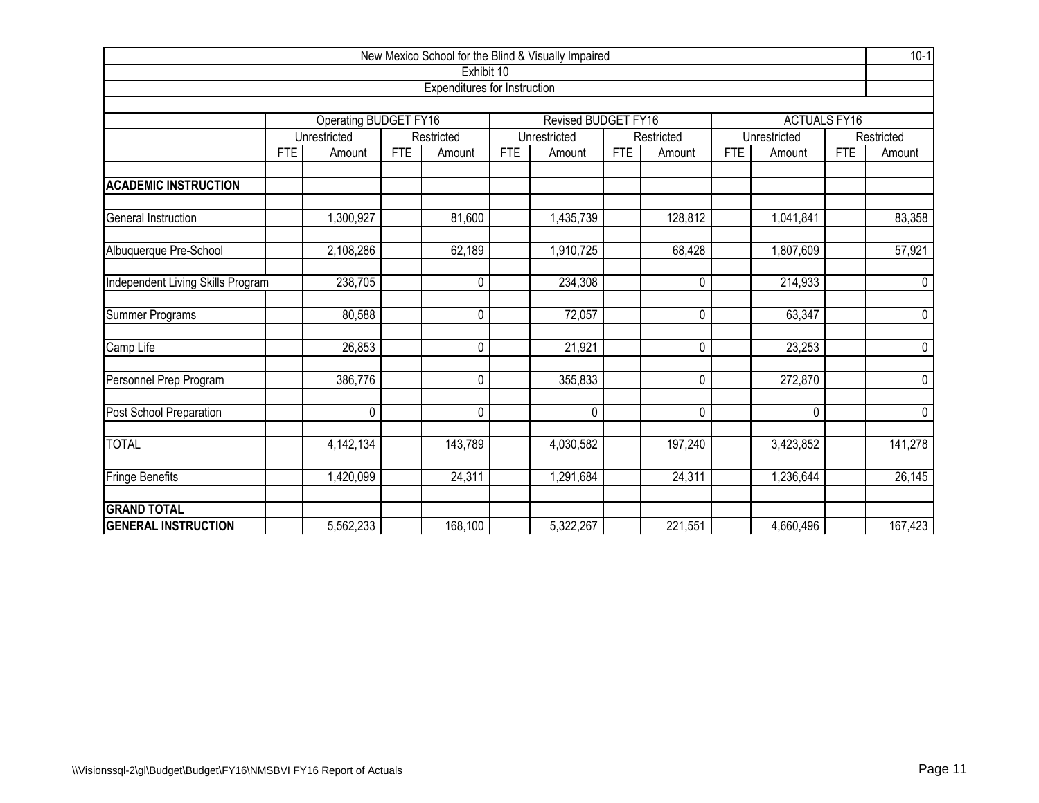|                                   |            |                       |            |                              |              | New Mexico School for the Blind & Visually Impaired |            |             |              |                     |            | $10-1$  |
|-----------------------------------|------------|-----------------------|------------|------------------------------|--------------|-----------------------------------------------------|------------|-------------|--------------|---------------------|------------|---------|
|                                   |            |                       |            | Exhibit 10                   |              |                                                     |            |             |              |                     |            |         |
|                                   |            |                       |            | Expenditures for Instruction |              |                                                     |            |             |              |                     |            |         |
|                                   |            | Operating BUDGET FY16 |            |                              |              | <b>Revised BUDGET FY16</b>                          |            |             |              | <b>ACTUALS FY16</b> |            |         |
|                                   |            | Unrestricted          | Restricted |                              | Unrestricted |                                                     | Restricted |             | Unrestricted |                     | Restricted |         |
|                                   | <b>FTE</b> | Amount                | <b>FTE</b> | Amount                       | <b>FTE</b>   | Amount                                              | <b>FTE</b> | Amount      | <b>FTE</b>   | Amount              | <b>FTE</b> | Amount  |
| <b>ACADEMIC INSTRUCTION</b>       |            |                       |            |                              |              |                                                     |            |             |              |                     |            |         |
| General Instruction               |            | ,300,927              |            | 81,600                       |              | 1,435,739                                           |            | 128,812     |              | 1,041,841           |            | 83,358  |
| Albuquerque Pre-School            |            | 2,108,286             |            | 62,189                       |              | 1,910,725                                           |            | 68,428      |              | 1,807,609           |            | 57,921  |
| Independent Living Skills Program |            | 238,705               |            | 0                            |              | 234,308                                             |            | 0           |              | 214,933             |            | 0       |
| Summer Programs                   |            | 80,588                |            | 0                            |              | 72,057                                              |            | $\mathbf 0$ |              | 63,347              |            | 0       |
| Camp Life                         |            | 26,853                |            | $\mathbf 0$                  |              | 21,921                                              |            | 0           |              | 23,253              |            | 0       |
| Personnel Prep Program            |            | 386,776               |            | $\mathbf{0}$                 |              | 355,833                                             |            | 0           |              | 272,870             |            | 0       |
| Post School Preparation           |            | $\pmb{0}$             |            | $\mathbf 0$                  |              | 0                                                   |            | 0           |              | $\mathbf 0$         |            | 0       |
| <b>TOTAL</b>                      |            | 4,142,134             |            | 143,789                      |              | 4,030,582                                           |            | 197,240     |              | 3,423,852           |            | 141,278 |
| Fringe Benefits                   |            | 1,420,099             |            | 24,311                       |              | 1,291,684                                           |            | 24,311      |              | 1,236,644           |            | 26,145  |
| <b>GRAND TOTAL</b>                |            |                       |            |                              |              |                                                     |            |             |              |                     |            |         |
| <b>GENERAL INSTRUCTION</b>        |            | 5,562,233             |            | 168,100                      |              | 5,322,267                                           |            | 221,551     |              | 4,660,496           |            | 167,423 |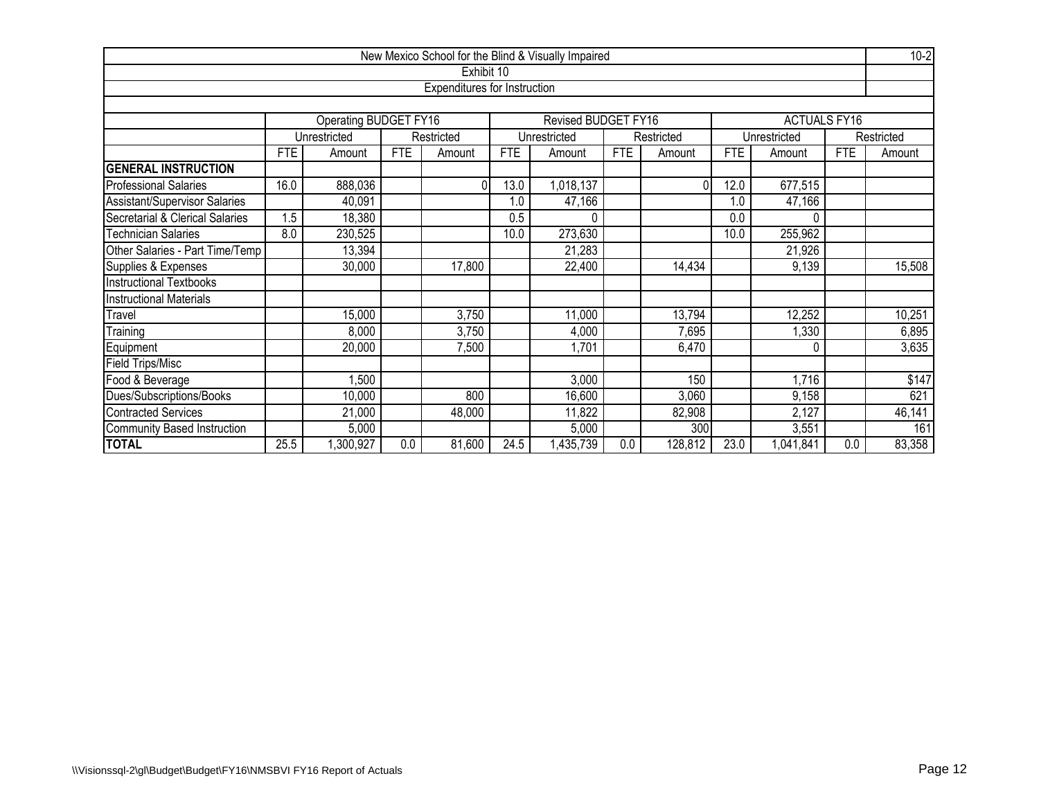|                                    |                                                                          |                              |            |                              |            | New Mexico School for the Blind & Visually Impaired |            |          |            |                     |            | $10-2$ |
|------------------------------------|--------------------------------------------------------------------------|------------------------------|------------|------------------------------|------------|-----------------------------------------------------|------------|----------|------------|---------------------|------------|--------|
|                                    |                                                                          |                              |            | Exhibit 10                   |            |                                                     |            |          |            |                     |            |        |
|                                    |                                                                          |                              |            | Expenditures for Instruction |            |                                                     |            |          |            |                     |            |        |
|                                    |                                                                          |                              |            |                              |            |                                                     |            |          |            |                     |            |        |
|                                    |                                                                          | <b>Operating BUDGET FY16</b> |            |                              |            | Revised BUDGET FY16                                 |            |          |            | <b>ACTUALS FY16</b> |            |        |
|                                    | Unrestricted<br>Unrestricted<br>Restricted<br>Unrestricted<br>Restricted |                              |            |                              |            |                                                     |            |          |            | Restricted          |            |        |
|                                    | <b>FTE</b>                                                               | Amount                       | <b>FTE</b> | Amount                       | <b>FTE</b> | Amount                                              | <b>FTE</b> | Amount   | <b>FTE</b> | Amount              | <b>FTE</b> | Amount |
| <b>GENERAL INSTRUCTION</b>         |                                                                          |                              |            |                              |            |                                                     |            |          |            |                     |            |        |
| <b>Professional Salaries</b>       | 16.0                                                                     | 888,036                      |            | $\Omega$                     | 13.0       | 1,018,137                                           |            | $\Omega$ | 12.0       | 677,515             |            |        |
| Assistant/Supervisor Salaries      |                                                                          | 40,091                       |            |                              | 1.0        | 47,166                                              |            |          | 1.0        | 47,166              |            |        |
| Secretarial & Clerical Salaries    | $.5\,$                                                                   | 18,380                       |            |                              | 0.5        | $\Omega$                                            |            |          | 0.0        | U                   |            |        |
| Technician Salaries                | 8.0                                                                      | 230,525                      |            |                              | 10.0       | 273,630                                             |            |          | 10.0       | 255,962             |            |        |
| Other Salaries - Part Time/Temp    |                                                                          | 13,394                       |            |                              |            | 21,283                                              |            |          |            | 21,926              |            |        |
| Supplies & Expenses                |                                                                          | 30,000                       |            | 17,800                       |            | 22,400                                              |            | 14,434   |            | 9,139               |            | 15,508 |
| <b>Instructional Textbooks</b>     |                                                                          |                              |            |                              |            |                                                     |            |          |            |                     |            |        |
| <b>Instructional Materials</b>     |                                                                          |                              |            |                              |            |                                                     |            |          |            |                     |            |        |
| Travel                             |                                                                          | 15,000                       |            | 3,750                        |            | 11,000                                              |            | 13,794   |            | 12,252              |            | 10,251 |
| Training                           |                                                                          | 8,000                        |            | 3,750                        |            | 4,000                                               |            | 7,695    |            | ,330                |            | 6,895  |
| Equipment                          |                                                                          | 20,000                       |            | 7,500                        |            | 1,701                                               |            | 6,470    |            | 0                   |            | 3,635  |
| Field Trips/Misc                   |                                                                          |                              |            |                              |            |                                                     |            |          |            |                     |            |        |
| Food & Beverage                    |                                                                          | ,500                         |            |                              |            | 3,000                                               |            | 150      |            | 1,716               |            | \$147  |
| Dues/Subscriptions/Books           |                                                                          | 10,000                       |            | 800                          |            | 16,600                                              |            | 3,060    |            | 9,158               |            | 621    |
| <b>Contracted Services</b>         |                                                                          | 21,000                       |            | 48,000                       |            | 11,822                                              |            | 82,908   |            | 2,127               |            | 46,141 |
| <b>Community Based Instruction</b> |                                                                          | 5,000                        |            |                              |            | 5,000                                               |            | 300      |            | 3,551               |            | 161    |
| <b>TOTAL</b>                       | 25.5                                                                     | ,300,927                     | 0.0        | 81,600                       | 24.5       | 1,435,739                                           | 0.0        | 128,812  | 23.0       | 1,041,841           | 0.0        | 83,358 |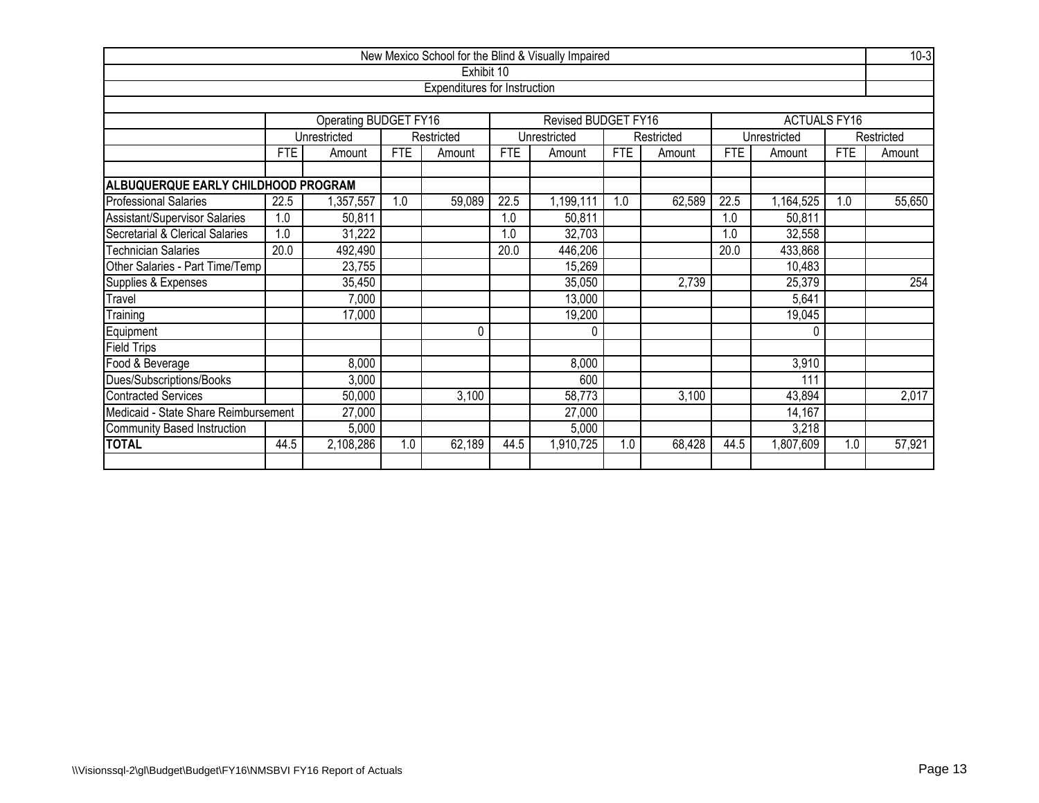|                                                                     |                                                                                                      |                                               |            |                              |            | New Mexico School for the Blind & Visually Impaired |            |            |            |                     |            | $10-3$     |
|---------------------------------------------------------------------|------------------------------------------------------------------------------------------------------|-----------------------------------------------|------------|------------------------------|------------|-----------------------------------------------------|------------|------------|------------|---------------------|------------|------------|
|                                                                     |                                                                                                      |                                               |            | Exhibit 10                   |            |                                                     |            |            |            |                     |            |            |
|                                                                     |                                                                                                      |                                               |            | Expenditures for Instruction |            |                                                     |            |            |            |                     |            |            |
|                                                                     |                                                                                                      |                                               |            |                              |            |                                                     |            |            |            |                     |            |            |
|                                                                     |                                                                                                      | Operating BUDGET FY16                         |            |                              |            | Revised BUDGET FY16                                 |            |            |            | <b>ACTUALS FY16</b> |            |            |
|                                                                     |                                                                                                      | Unrestricted                                  |            | Restricted                   |            | Unrestricted                                        |            | Restricted |            | Unrestricted        |            | Restricted |
|                                                                     | <b>FTE</b>                                                                                           | Amount                                        | <b>FTE</b> | Amount                       | <b>FTE</b> | Amount                                              | <b>FTE</b> | Amount     | <b>FTE</b> | Amount              | <b>FTE</b> | Amount     |
| ALBUQUERQUE EARLY CHILDHOOD PROGRAM                                 |                                                                                                      |                                               |            |                              |            |                                                     |            |            |            |                     |            |            |
| <b>Professional Salaries</b>                                        | 1.0<br>59,089<br>22.5<br>1.0<br>62,589<br>22.5<br>22.5<br>1,199,111<br>1,164,525<br>1.0<br>,357,557  |                                               |            |                              |            |                                                     |            |            |            |                     | 55,650     |            |
| Assistant/Supervisor Salaries                                       | 1.0                                                                                                  | 50,811                                        |            |                              | 1.0        | 50,811                                              |            |            | 1.0        | 50,811              |            |            |
| Secretarial & Clerical Salaries                                     | 1.0                                                                                                  | 31,222<br>32,703<br>32,558<br>1.0<br>1.0      |            |                              |            |                                                     |            |            |            |                     |            |            |
| <b>Technician Salaries</b>                                          | 20.0                                                                                                 | 492,490<br>446,206<br>433,868<br>20.0<br>20.0 |            |                              |            |                                                     |            |            |            |                     |            |            |
| Other Salaries - Part Time/Temp                                     |                                                                                                      | 23,755                                        |            |                              |            | 15,269                                              |            |            |            | 10,483              |            |            |
| Supplies & Expenses                                                 |                                                                                                      | 35,450                                        |            |                              |            | 35,050                                              |            | 2,739      |            | 25,379              |            | 254        |
| Travel                                                              |                                                                                                      | 7,000                                         |            |                              |            | 13,000                                              |            |            |            | 5,641               |            |            |
| Training                                                            |                                                                                                      | 17,000                                        |            |                              |            | 19,200                                              |            |            |            | 19,045              |            |            |
| Equipment                                                           |                                                                                                      |                                               |            | 0                            |            | $\mathbf{0}$                                        |            |            |            | 0                   |            |            |
| <b>Field Trips</b>                                                  |                                                                                                      |                                               |            |                              |            |                                                     |            |            |            |                     |            |            |
| Food & Beverage                                                     |                                                                                                      | 8,000                                         |            |                              |            | 8,000                                               |            |            |            | 3,910               |            |            |
| Dues/Subscriptions/Books                                            |                                                                                                      | 3,000                                         |            |                              |            | 600                                                 |            |            |            | 111                 |            |            |
| 58,773<br>43,894<br>Contracted Services<br>50,000<br>3,100<br>3,100 |                                                                                                      |                                               |            |                              |            |                                                     |            |            | 2,017      |                     |            |            |
| Medicaid - State Share Reimbursement                                |                                                                                                      | 27,000                                        |            |                              |            | 27,000                                              |            |            |            | 14,167              |            |            |
| Community Based Instruction                                         |                                                                                                      | 5,000                                         |            |                              |            | 5,000                                               |            |            |            | 3,218               |            |            |
| <b>TOTAL</b>                                                        | 44.5<br>62,189<br>44.5<br>68,428<br>44.5<br>1,807,609<br>2,108,286<br>1.0<br>1,910,725<br>1.0<br>1.0 |                                               |            |                              |            |                                                     |            |            |            | 57,921              |            |            |
|                                                                     |                                                                                                      |                                               |            |                              |            |                                                     |            |            |            |                     |            |            |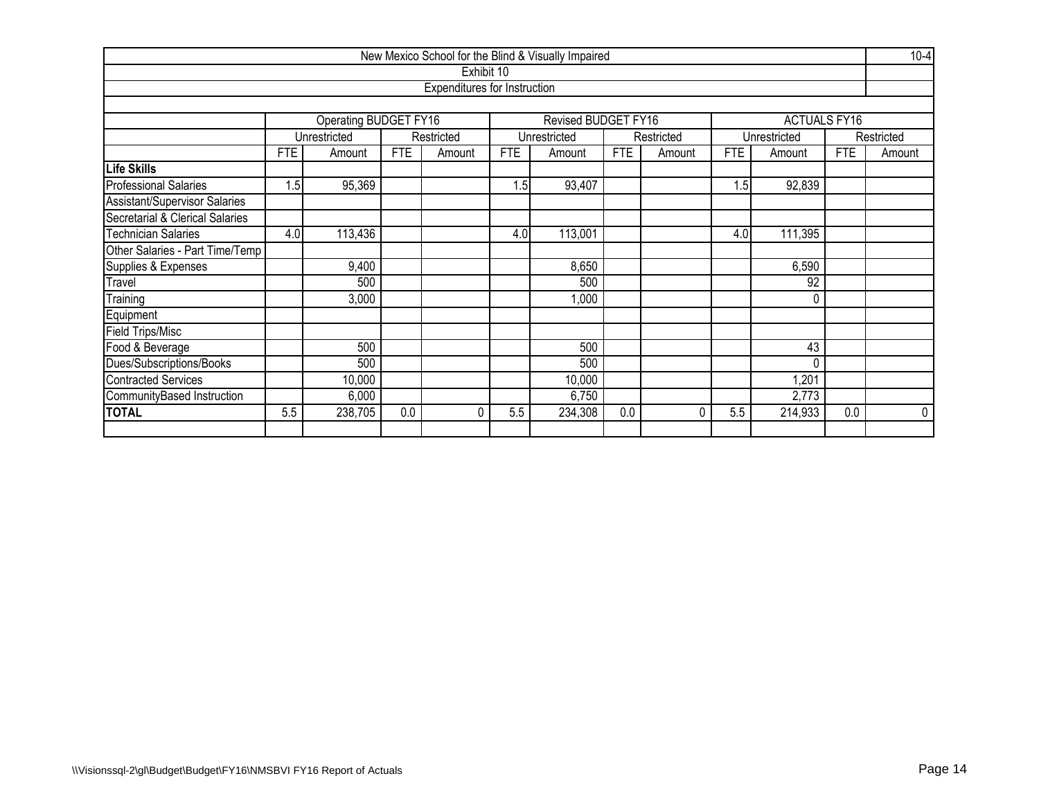|                                 |            |                                             |            |                                     |            | New Mexico School for the Blind & Visually Impaired |            |            |            |                     |            | $10-4$      |  |
|---------------------------------|------------|---------------------------------------------|------------|-------------------------------------|------------|-----------------------------------------------------|------------|------------|------------|---------------------|------------|-------------|--|
|                                 |            |                                             |            | Exhibit 10                          |            |                                                     |            |            |            |                     |            |             |  |
|                                 |            |                                             |            | <b>Expenditures for Instruction</b> |            |                                                     |            |            |            |                     |            |             |  |
|                                 |            |                                             |            |                                     |            |                                                     |            |            |            |                     |            |             |  |
|                                 |            | Operating BUDGET FY16                       |            |                                     |            | Revised BUDGET FY16                                 |            |            |            | <b>ACTUALS FY16</b> |            |             |  |
|                                 |            | Unrestricted                                |            | Restricted                          |            | Unrestricted                                        |            | Restricted |            | Unrestricted        |            | Restricted  |  |
|                                 | <b>FTE</b> | Amount                                      | <b>FTE</b> | Amount                              | <b>FTE</b> | Amount                                              | <b>FTE</b> | Amount     | <b>FTE</b> | Amount              | <b>FTE</b> | Amount      |  |
| Life Skills                     |            |                                             |            |                                     |            |                                                     |            |            |            |                     |            |             |  |
| <b>Professional Salaries</b>    | 1.5        | 95,369                                      |            |                                     | 1.5        | 93,407                                              |            |            | 1.5        | 92,839              |            |             |  |
| Assistant/Supervisor Salaries   |            |                                             |            |                                     |            |                                                     |            |            |            |                     |            |             |  |
| Secretarial & Clerical Salaries |            |                                             |            |                                     |            |                                                     |            |            |            |                     |            |             |  |
| <b>Technician Salaries</b>      | 4.0        | 113,436<br>113,001<br>4.0<br>111,395<br>4.0 |            |                                     |            |                                                     |            |            |            |                     |            |             |  |
| Other Salaries - Part Time/Temp |            |                                             |            |                                     |            |                                                     |            |            |            |                     |            |             |  |
| Supplies & Expenses             |            | 9,400                                       |            |                                     |            | 8,650                                               |            |            |            | 6,590               |            |             |  |
| Travel                          |            | 500                                         |            |                                     |            | 500                                                 |            |            |            | 92                  |            |             |  |
| Training                        |            | 3,000                                       |            |                                     |            | ,000                                                |            |            |            | 0                   |            |             |  |
| Equipment                       |            |                                             |            |                                     |            |                                                     |            |            |            |                     |            |             |  |
| Field Trips/Misc                |            |                                             |            |                                     |            |                                                     |            |            |            |                     |            |             |  |
| Food & Beverage                 |            | 500                                         |            |                                     |            | 500                                                 |            |            |            | 43                  |            |             |  |
| Dues/Subscriptions/Books        |            | 500                                         |            |                                     |            | 500                                                 |            |            |            | 0                   |            |             |  |
| <b>Contracted Services</b>      |            | 10,000                                      |            |                                     |            | 10,000                                              |            |            |            | 1,201               |            |             |  |
| CommunityBased Instruction      |            | 6,000                                       |            |                                     |            | 6,750                                               |            |            |            | 2,773               |            |             |  |
| <b>TOTAL</b>                    | 5.5        | 238,705                                     | 0.0        | 0                                   | 5.5        | 234,308                                             | 0.0        | 0          | 5.5        | 214,933             | 0.0        | $\mathbf 0$ |  |
|                                 |            |                                             |            |                                     |            |                                                     |            |            |            |                     |            |             |  |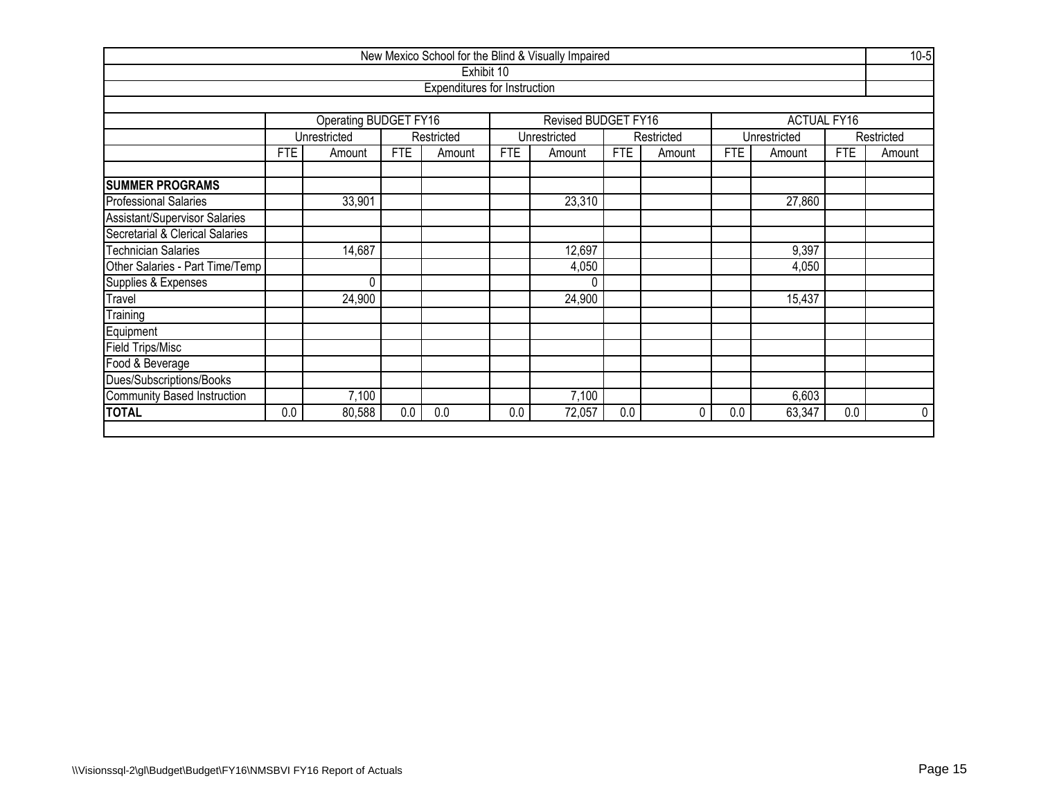|                                                            |      |                              |            |                                     |            | New Mexico School for the Blind & Visually Impaired |            |            |            |                    |            | $10-5$      |  |
|------------------------------------------------------------|------|------------------------------|------------|-------------------------------------|------------|-----------------------------------------------------|------------|------------|------------|--------------------|------------|-------------|--|
|                                                            |      |                              |            | Exhibit 10                          |            |                                                     |            |            |            |                    |            |             |  |
|                                                            |      |                              |            | <b>Expenditures for Instruction</b> |            |                                                     |            |            |            |                    |            |             |  |
|                                                            |      |                              |            |                                     |            |                                                     |            |            |            |                    |            |             |  |
|                                                            |      | <b>Operating BUDGET FY16</b> |            |                                     |            | Revised BUDGET FY16                                 |            |            |            | <b>ACTUAL FY16</b> |            |             |  |
|                                                            |      | Unrestricted                 |            | Restricted                          |            | Unrestricted                                        |            | Restricted |            | Unrestricted       |            | Restricted  |  |
|                                                            | FTE. | Amount                       | <b>FTE</b> | Amount                              | <b>FTE</b> | Amount                                              | <b>FTE</b> | Amount     | <b>FTE</b> | Amount             | <b>FTE</b> | Amount      |  |
| <b>SUMMER PROGRAMS</b>                                     |      |                              |            |                                     |            |                                                     |            |            |            |                    |            |             |  |
| 23,310<br><b>Professional Salaries</b><br>33,901<br>27,860 |      |                              |            |                                     |            |                                                     |            |            |            |                    |            |             |  |
| Assistant/Supervisor Salaries                              |      |                              |            |                                     |            |                                                     |            |            |            |                    |            |             |  |
| Secretarial & Clerical Salaries                            |      |                              |            |                                     |            |                                                     |            |            |            |                    |            |             |  |
| Technician Salaries                                        |      | 14,687                       |            |                                     |            | 12,697                                              |            |            |            | 9,397              |            |             |  |
| Other Salaries - Part Time/Temp                            |      |                              |            |                                     |            | 4,050                                               |            |            |            | 4,050              |            |             |  |
| Supplies & Expenses                                        |      | $\mathbf 0$                  |            |                                     |            | $\Omega$                                            |            |            |            |                    |            |             |  |
| Travel                                                     |      | 24,900                       |            |                                     |            | 24,900                                              |            |            |            | 15,437             |            |             |  |
| Training                                                   |      |                              |            |                                     |            |                                                     |            |            |            |                    |            |             |  |
| Equipment                                                  |      |                              |            |                                     |            |                                                     |            |            |            |                    |            |             |  |
| Field Trips/Misc                                           |      |                              |            |                                     |            |                                                     |            |            |            |                    |            |             |  |
| Food & Beverage                                            |      |                              |            |                                     |            |                                                     |            |            |            |                    |            |             |  |
| Dues/Subscriptions/Books                                   |      |                              |            |                                     |            |                                                     |            |            |            |                    |            |             |  |
| Community Based Instruction                                |      | 7,100                        |            |                                     |            | 7,100                                               |            |            |            | 6,603              |            |             |  |
| <b>TOTAL</b>                                               | 0.0  | 80,588                       | 0.0        | 0.0                                 | 0.0        | 72,057                                              | 0.0        | 0          | 0.0        | 63,347             | 0.0        | $\mathbf 0$ |  |
|                                                            |      |                              |            |                                     |            |                                                     |            |            |            |                    |            |             |  |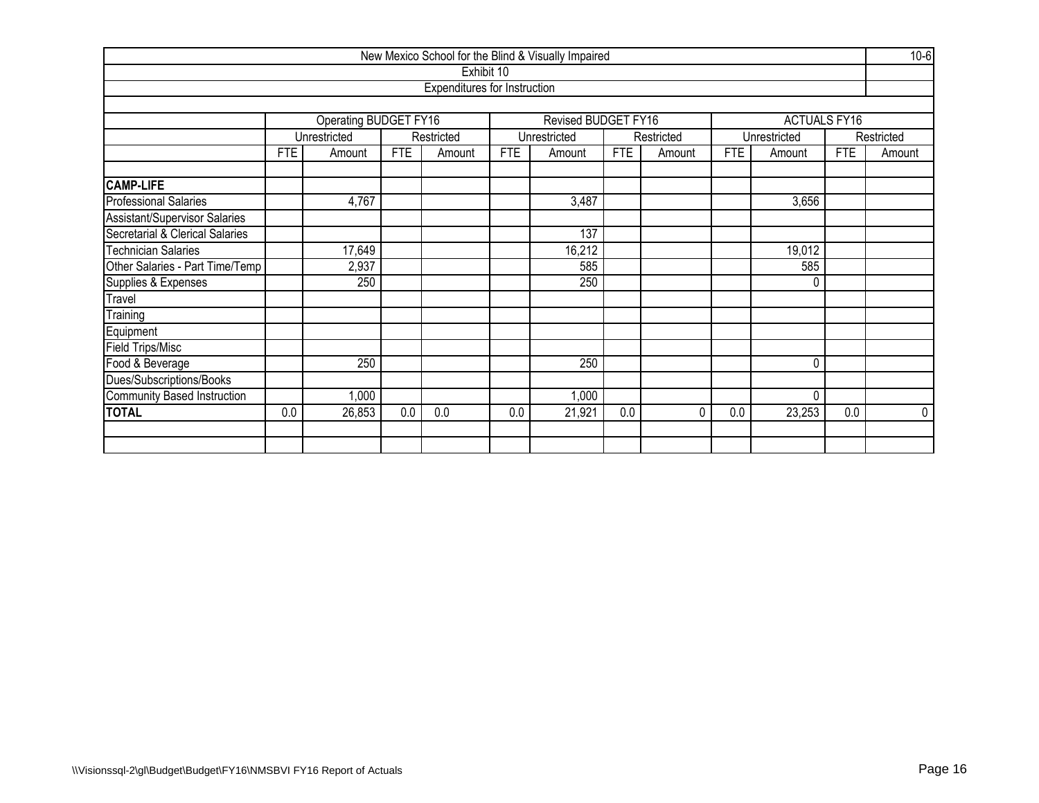|                                                         |            |                              |            |                              |            | New Mexico School for the Blind & Visually Impaired |            |            |            |                     |            | $10-6$     |  |
|---------------------------------------------------------|------------|------------------------------|------------|------------------------------|------------|-----------------------------------------------------|------------|------------|------------|---------------------|------------|------------|--|
|                                                         |            |                              |            | Exhibit 10                   |            |                                                     |            |            |            |                     |            |            |  |
|                                                         |            |                              |            | Expenditures for Instruction |            |                                                     |            |            |            |                     |            |            |  |
|                                                         |            |                              |            |                              |            |                                                     |            |            |            |                     |            |            |  |
|                                                         |            | <b>Operating BUDGET FY16</b> |            |                              |            | Revised BUDGET FY16                                 |            |            |            | <b>ACTUALS FY16</b> |            |            |  |
|                                                         |            | Unrestricted                 |            | Restricted                   |            | Unrestricted                                        |            | Restricted |            | Unrestricted        |            | Restricted |  |
|                                                         | <b>FTE</b> | Amount                       | <b>FTE</b> | Amount                       | <b>FTE</b> | Amount                                              | <b>FTE</b> | Amount     | <b>FTE</b> | Amount              | <b>FTE</b> | Amount     |  |
| <b>CAMP-LIFE</b>                                        |            |                              |            |                              |            |                                                     |            |            |            |                     |            |            |  |
| <b>Professional Salaries</b><br>4,767<br>3,487<br>3,656 |            |                              |            |                              |            |                                                     |            |            |            |                     |            |            |  |
| Assistant/Supervisor Salaries                           |            |                              |            |                              |            |                                                     |            |            |            |                     |            |            |  |
| Secretarial & Clerical Salaries                         | 137        |                              |            |                              |            |                                                     |            |            |            |                     |            |            |  |
| <b>Technician Salaries</b>                              |            | 17,649                       |            |                              |            | 16,212                                              |            |            |            | 19,012              |            |            |  |
| Other Salaries - Part Time/Temp                         |            | 2,937                        |            |                              |            | 585                                                 |            |            |            | 585                 |            |            |  |
| Supplies & Expenses                                     |            | 250                          |            |                              |            | 250                                                 |            |            |            | 0                   |            |            |  |
| Travel                                                  |            |                              |            |                              |            |                                                     |            |            |            |                     |            |            |  |
| Training                                                |            |                              |            |                              |            |                                                     |            |            |            |                     |            |            |  |
| Equipment                                               |            |                              |            |                              |            |                                                     |            |            |            |                     |            |            |  |
| Field Trips/Misc                                        |            |                              |            |                              |            |                                                     |            |            |            |                     |            |            |  |
| Food & Beverage                                         |            | 250                          |            |                              |            | 250                                                 |            |            |            | 0                   |            |            |  |
| Dues/Subscriptions/Books                                |            |                              |            |                              |            |                                                     |            |            |            |                     |            |            |  |
| Community Based Instruction                             |            | 1,000                        |            |                              |            | 1,000                                               |            |            |            | 0                   |            |            |  |
| <b>TOTAL</b>                                            | 0.0        | 26,853                       | 0.0        | 0.0                          | 0.0        | 21,921                                              | 0.0        | $\Omega$   | 0.0        | 23,253              | 0.0        | $\Omega$   |  |
|                                                         |            |                              |            |                              |            |                                                     |            |            |            |                     |            |            |  |
|                                                         |            |                              |            |                              |            |                                                     |            |            |            |                     |            |            |  |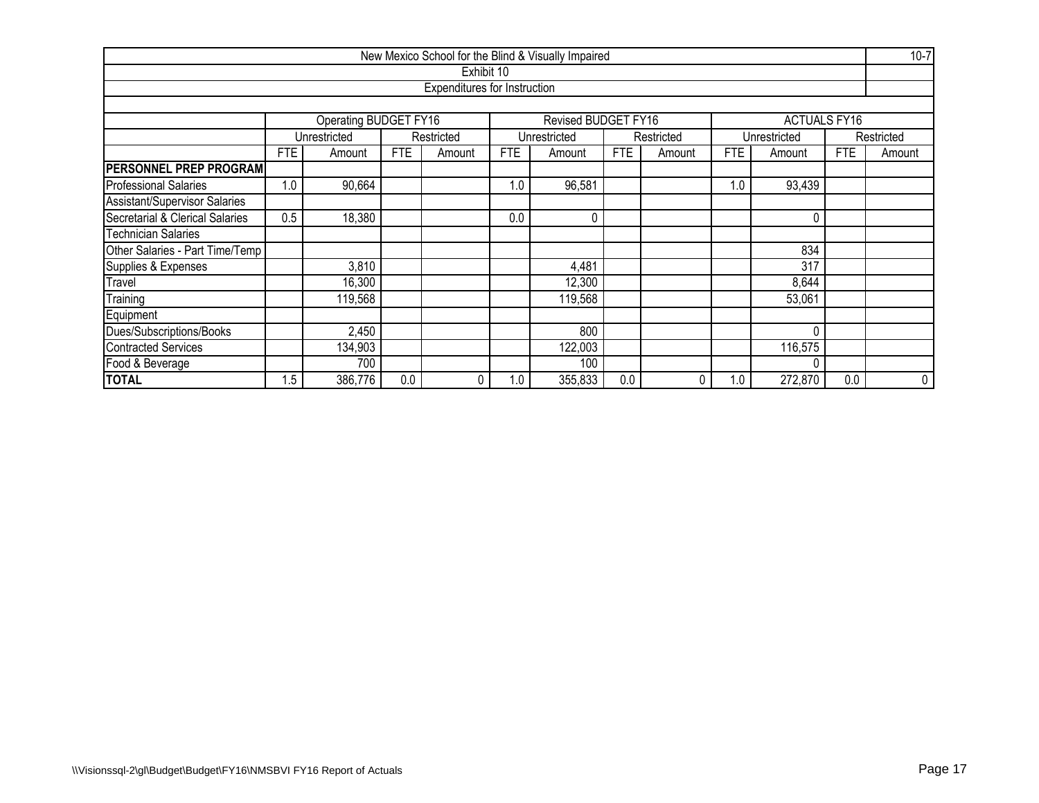|                                 |                               |                         |            |                              |     | New Mexico School for the Blind & Visually Impaired |            |            |            |                     |            | $10 - 7$   |  |
|---------------------------------|-------------------------------|-------------------------|------------|------------------------------|-----|-----------------------------------------------------|------------|------------|------------|---------------------|------------|------------|--|
|                                 |                               |                         |            | Exhibit 10                   |     |                                                     |            |            |            |                     |            |            |  |
|                                 |                               |                         |            | Expenditures for Instruction |     |                                                     |            |            |            |                     |            |            |  |
|                                 |                               |                         |            |                              |     |                                                     |            |            |            |                     |            |            |  |
|                                 |                               | Operating BUDGET FY16   |            |                              |     | Revised BUDGET FY16                                 |            |            |            | <b>ACTUALS FY16</b> |            |            |  |
|                                 |                               | Unrestricted            |            | Restricted                   |     | Unrestricted                                        |            | Restricted |            | Unrestricted        |            | Restricted |  |
|                                 | <b>FTE</b>                    | Amount                  | <b>FTE</b> | Amount                       | FTE | Amount                                              | <b>FTE</b> | Amount     | <b>FTE</b> | Amount              | <b>FTE</b> | Amount     |  |
| <b>PERSONNEL PREP PROGRAM</b>   |                               |                         |            |                              |     |                                                     |            |            |            |                     |            |            |  |
| <b>Professional Salaries</b>    | 1.0                           | 90,664                  |            |                              | 1.0 | 96,581                                              |            |            | 1.0        | 93,439              |            |            |  |
| Assistant/Supervisor Salaries   |                               |                         |            |                              |     |                                                     |            |            |            |                     |            |            |  |
| Secretarial & Clerical Salaries | 0.5                           | 18,380<br>0.0<br>0<br>0 |            |                              |     |                                                     |            |            |            |                     |            |            |  |
| <b>Technician Salaries</b>      |                               |                         |            |                              |     |                                                     |            |            |            |                     |            |            |  |
| Other Salaries - Part Time/Temp |                               |                         |            |                              |     |                                                     |            |            |            | 834                 |            |            |  |
| Supplies & Expenses             |                               | 3,810                   |            |                              |     | 4,481                                               |            |            |            | 317                 |            |            |  |
| Travel                          |                               | 16,300                  |            |                              |     | 12,300                                              |            |            |            | 8,644               |            |            |  |
| Training                        |                               | 119,568                 |            |                              |     | 119,568                                             |            |            |            | 53,061              |            |            |  |
| Equipment                       |                               |                         |            |                              |     |                                                     |            |            |            |                     |            |            |  |
| Dues/Subscriptions/Books        | 800<br>2,450<br>0             |                         |            |                              |     |                                                     |            |            |            |                     |            |            |  |
| Contracted Services             | 134,903<br>122,003<br>116,575 |                         |            |                              |     |                                                     |            |            |            |                     |            |            |  |
| Food & Beverage                 |                               | 700<br>100              |            |                              |     |                                                     |            |            |            |                     |            |            |  |
| <b>TOTAL</b>                    | 1.5                           | 386,776                 | 0.0        | $\mathbf{0}$                 | 1.0 | 355,833                                             | 0.0        |            | 1.0        | 272,870             | 0.0        | 0          |  |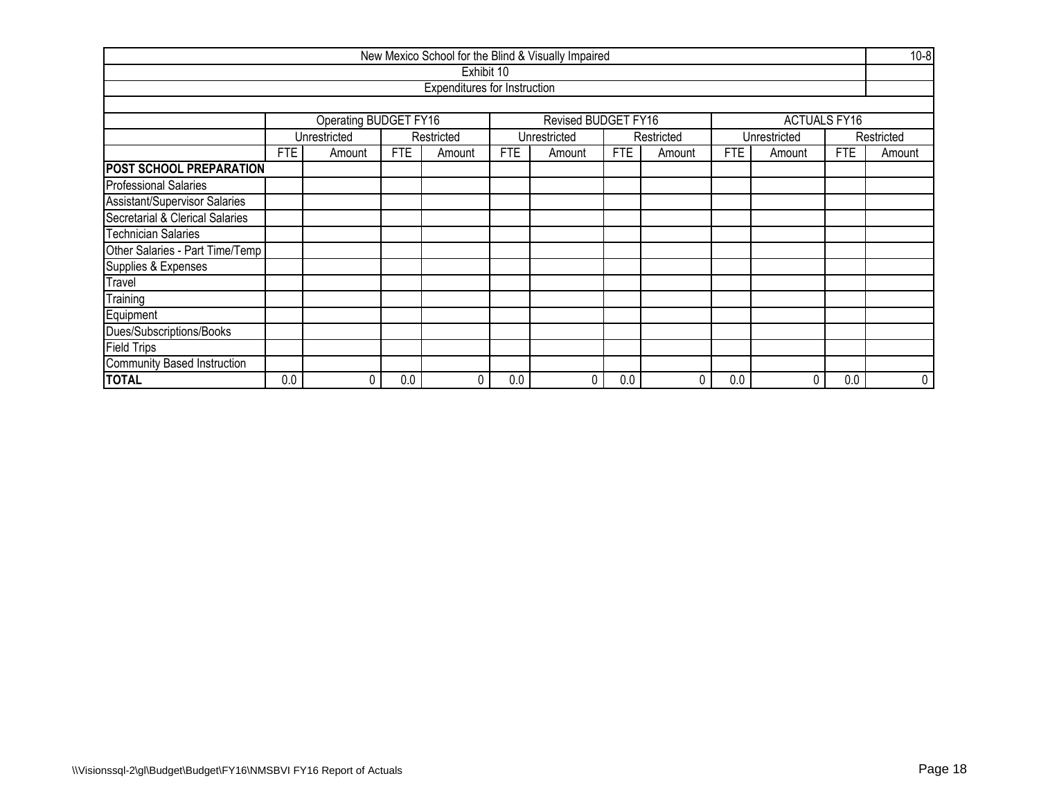|                                      |      |                              |            |                                     |            | New Mexico School for the Blind & Visually Impaired |            |            |     |                     |            | $10 - 8$   |  |  |  |
|--------------------------------------|------|------------------------------|------------|-------------------------------------|------------|-----------------------------------------------------|------------|------------|-----|---------------------|------------|------------|--|--|--|
|                                      |      |                              |            | Exhibit 10                          |            |                                                     |            |            |     |                     |            |            |  |  |  |
|                                      |      |                              |            | <b>Expenditures for Instruction</b> |            |                                                     |            |            |     |                     |            |            |  |  |  |
|                                      |      |                              |            |                                     |            |                                                     |            |            |     |                     |            |            |  |  |  |
|                                      |      | <b>Operating BUDGET FY16</b> |            |                                     |            | Revised BUDGET FY16                                 |            |            |     | <b>ACTUALS FY16</b> |            |            |  |  |  |
|                                      |      | Unrestricted                 |            | Restricted                          |            | Unrestricted                                        |            | Restricted |     | Unrestricted        |            | Restricted |  |  |  |
|                                      | FTE. | Amount                       | <b>FTE</b> | Amount                              | <b>FTE</b> | Amount                                              | <b>FTE</b> | Amount     | FTE | Amount              | <b>FTE</b> | Amount     |  |  |  |
| POST SCHOOL PREPARATION              |      |                              |            |                                     |            |                                                     |            |            |     |                     |            |            |  |  |  |
| <b>Professional Salaries</b>         |      |                              |            |                                     |            |                                                     |            |            |     |                     |            |            |  |  |  |
| <b>Assistant/Supervisor Salaries</b> |      |                              |            |                                     |            |                                                     |            |            |     |                     |            |            |  |  |  |
| Secretarial & Clerical Salaries      |      |                              |            |                                     |            |                                                     |            |            |     |                     |            |            |  |  |  |
| <b>Technician Salaries</b>           |      |                              |            |                                     |            |                                                     |            |            |     |                     |            |            |  |  |  |
| Other Salaries - Part Time/Temp      |      |                              |            |                                     |            |                                                     |            |            |     |                     |            |            |  |  |  |
| Supplies & Expenses                  |      |                              |            |                                     |            |                                                     |            |            |     |                     |            |            |  |  |  |
| Travel                               |      |                              |            |                                     |            |                                                     |            |            |     |                     |            |            |  |  |  |
| Training                             |      |                              |            |                                     |            |                                                     |            |            |     |                     |            |            |  |  |  |
| Equipment                            |      |                              |            |                                     |            |                                                     |            |            |     |                     |            |            |  |  |  |
| Dues/Subscriptions/Books             |      |                              |            |                                     |            |                                                     |            |            |     |                     |            |            |  |  |  |
| <b>Field Trips</b>                   |      |                              |            |                                     |            |                                                     |            |            |     |                     |            |            |  |  |  |
| Community Based Instruction          |      |                              |            |                                     |            |                                                     |            |            |     |                     |            |            |  |  |  |
| <b>TOTAL</b>                         | 0.0  | 0                            | 0.0        | 0                                   | 0.0        |                                                     | 0.0        | 0          | 0.0 | 0                   | 0.0        | 0          |  |  |  |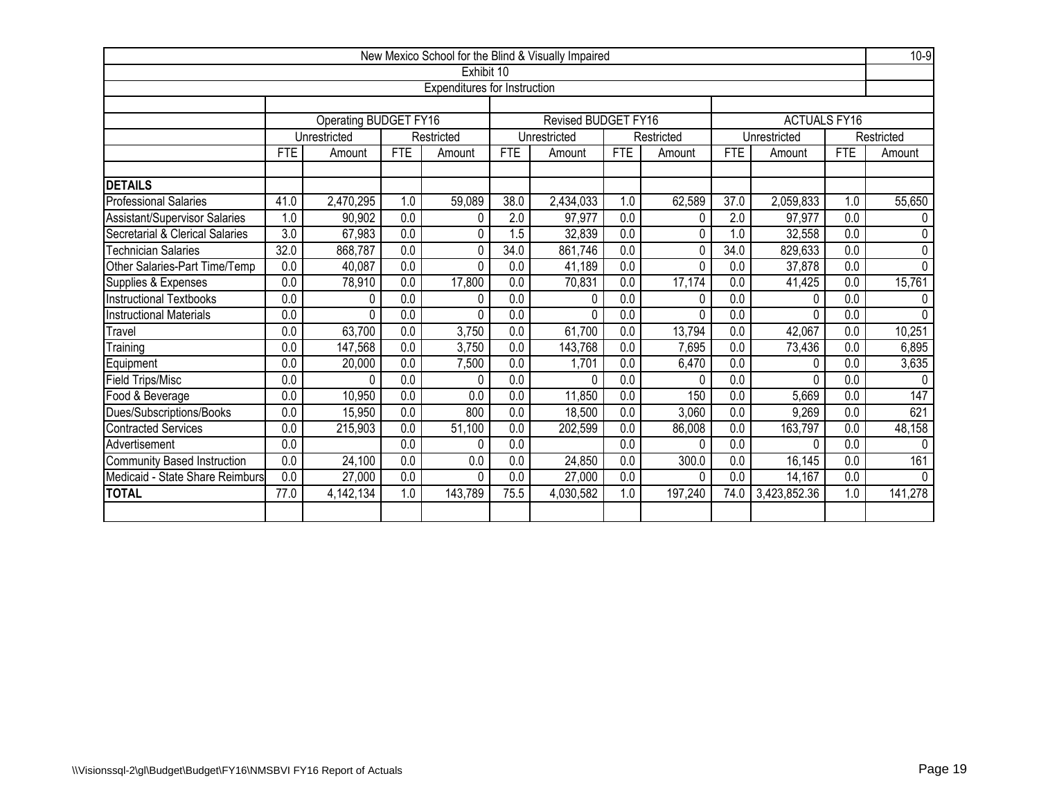|                                 |                                                                                                                                                     |                       |                         |                              |                    | New Mexico School for the Blind & Visually Impaired |                  |            |                  |                     |                  | $10-9$                |
|---------------------------------|-----------------------------------------------------------------------------------------------------------------------------------------------------|-----------------------|-------------------------|------------------------------|--------------------|-----------------------------------------------------|------------------|------------|------------------|---------------------|------------------|-----------------------|
|                                 |                                                                                                                                                     |                       |                         | Exhibit 10                   |                    |                                                     |                  |            |                  |                     |                  |                       |
|                                 |                                                                                                                                                     |                       |                         | Expenditures for Instruction |                    |                                                     |                  |            |                  |                     |                  |                       |
|                                 |                                                                                                                                                     |                       |                         |                              |                    |                                                     |                  |            |                  |                     |                  |                       |
|                                 |                                                                                                                                                     | Operating BUDGET FY16 |                         |                              |                    | Revised BUDGET FY16                                 |                  |            |                  | <b>ACTUALS FY16</b> |                  |                       |
|                                 |                                                                                                                                                     | Unrestricted          |                         | Restricted                   |                    | Unrestricted                                        |                  | Restricted |                  | Unrestricted        |                  | Restricted            |
|                                 | <b>FTE</b>                                                                                                                                          | Amount                | <b>FTE</b>              | Amount                       | FTE                | Amount                                              | <b>FTE</b>       | Amount     | <b>FTE</b>       | Amount              | FTE              | Amount                |
| <b>DETAILS</b>                  |                                                                                                                                                     |                       |                         |                              |                    |                                                     |                  |            |                  |                     |                  |                       |
| Professional Salaries           | 41.0                                                                                                                                                | 2,470,295             | 1.0                     | 59,089                       | 38.0               | 2,434,033                                           | 1.0              | 62,589     | 37.0             | 2,059,833           | 1.0              | 55,650                |
| Assistant/Supervisor Salaries   | 1.0                                                                                                                                                 | 90,902                | $\overline{0.0}$        | 0                            | $\overline{2.0}$   | 97,977                                              | 0.0              | $\Omega$   | 2.0              | 97,977              | 0.0              | $\Omega$              |
| Secretarial & Clerical Salaries | $\overline{3.0}$<br>0.0<br>67,983<br>32,839<br>0.0<br>0<br>1.5<br>1.0<br>0                                                                          |                       |                         |                              |                    |                                                     |                  |            |                  |                     |                  | $\Omega$              |
| <b>Technician Salaries</b>      | 0.0<br>32,558<br>32.0<br>$\overline{0.0}$<br>34.0<br>861,746<br>$\overline{0.0}$<br>34.0<br>$\overline{0.0}$<br>868,787<br>829,633<br>0<br>$\Omega$ |                       |                         |                              |                    |                                                     |                  |            |                  |                     |                  |                       |
| Other Salaries-Part Time/Temp   | 0.0                                                                                                                                                 | 40,087                | $\overline{0.0}$        | 0                            | 0.0                | 41,189                                              | 0.0              | 0          | 0.0              | 37,878              | 0.0              | $\pmb{0}$<br>$\Omega$ |
| Supplies & Expenses             | 0.0                                                                                                                                                 |                       | 0.0<br>17,800<br>78,910 |                              |                    |                                                     | 0.0              | 17,174     | 0.0              | 41,425              | 0.0              | 15,761                |
| <b>Instructional Textbooks</b>  | 0.0                                                                                                                                                 | 0                     | 0.0<br>0.0<br>0.0<br>0  |                              | 70,831<br>$\Omega$ | 0.0                                                 | 0                | 0.0        | 0                | 0.0                 | $\Omega$         |                       |
| <b>Instructional Materials</b>  | $\overline{0.0}$                                                                                                                                    | 0                     | $\overline{0.0}$        | 0                            | $\overline{0.0}$   | $\mathbf 0$                                         | $\overline{0.0}$ | $\Omega$   | $\overline{0.0}$ | 0                   | $\overline{0.0}$ | $\mathbf{0}$          |
| Travel                          | 0.0                                                                                                                                                 | 63,700                | 0.0                     | 3,750                        | 0.0                | 61,700                                              | 0.0              | 13,794     | 0.0              | 42,067              | 0.0              | 10,251                |
| Training                        | 0.0                                                                                                                                                 | 147,568               | 0.0                     | 3,750                        | 0.0                | 143,768                                             | 0.0              | 7,695      | 0.0              | 73,436              | 0.0              | 6,895                 |
| Equipment                       | 0.0                                                                                                                                                 | 20,000                | 0.0                     | 7,500                        | 0.0                | 1,701                                               | 0.0              | 6,470      | 0.0              | 0                   | 0.0              | 3,635                 |
| Field Trips/Misc                | 0.0                                                                                                                                                 | 0                     | $\overline{0.0}$        | 0                            | 0.0                | 0                                                   | 0.0              | 0          | 0.0              | 0                   | 0.0              | $\mathbf{0}$          |
| Food & Beverage                 | 0.0                                                                                                                                                 | 10,950                | 0.0                     | 0.0                          | 0.0                | 11,850                                              | 0.0              | 150        | 0.0              | 5,669               | 0.0              | 147                   |
| Dues/Subscriptions/Books        | 0.0                                                                                                                                                 | 15,950                | 0.0                     | 800                          | 0.0                | 18,500                                              | 0.0              | 3,060      | 0.0              | 9,269               | 0.0              | 621                   |
| Contracted Services             | 0.0                                                                                                                                                 | 215,903               | 0.0                     | 51,100                       | 0.0                | 202,599                                             | 0.0              | 86,008     | 0.0              | 163,797             | 0.0              | 48,158                |
| Advertisement                   | 0.0                                                                                                                                                 |                       | 0.0                     | 0                            | 0.0                |                                                     | 0.0              | $\Omega$   | 0.0              | 0                   | 0.0              | $\Omega$              |
| Community Based Instruction     | 0.0                                                                                                                                                 | 24,100                | 0.0                     | 0.0                          | 0.0                | 24,850                                              | 0.0              | 300.0      | 0.0              | 16,145              | 0.0              | 161                   |
| Medicaid - State Share Reimburs | 0.0                                                                                                                                                 | 27,000                | 0.0                     | 0                            | 0.0                | 27,000                                              | 0.0              | 0          | 0.0              | 14,167              | 0.0              | $\cup$                |
| <b>TOTAL</b>                    | 77.0                                                                                                                                                | 4,142,134             | 1.0                     | 143,789                      | 75.5               | 4,030,582                                           | 1.0              | 197,240    | 74.0             | 3,423,852.36        | 1.0              | 141,278               |
|                                 |                                                                                                                                                     |                       |                         |                              |                    |                                                     |                  |            |                  |                     |                  |                       |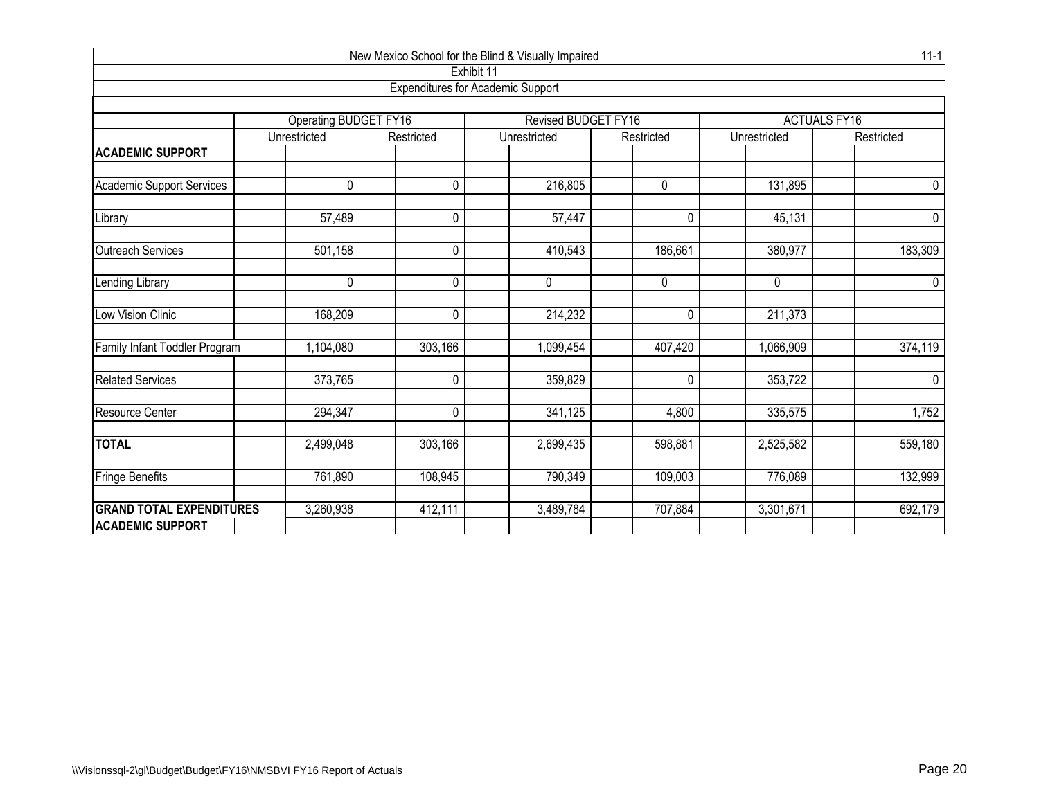| New Mexico School for the Blind & Visually Impaired        |                       |              |                                                        |                      |              |                     |  |  |  |  |  |  |  |
|------------------------------------------------------------|-----------------------|--------------|--------------------------------------------------------|----------------------|--------------|---------------------|--|--|--|--|--|--|--|
|                                                            |                       |              | Exhibit 11<br><b>Expenditures for Academic Support</b> |                      |              |                     |  |  |  |  |  |  |  |
|                                                            |                       |              |                                                        |                      |              |                     |  |  |  |  |  |  |  |
|                                                            | Operating BUDGET FY16 |              | <b>Revised BUDGET FY16</b>                             |                      |              | <b>ACTUALS FY16</b> |  |  |  |  |  |  |  |
|                                                            | Unrestricted          | Restricted   | Unrestricted                                           | Restricted           | Unrestricted | Restricted          |  |  |  |  |  |  |  |
| <b>ACADEMIC SUPPORT</b>                                    |                       |              |                                                        |                      |              |                     |  |  |  |  |  |  |  |
| <b>Academic Support Services</b>                           | 0                     | $\Omega$     | 216,805                                                | 0                    | 131,895      | 0                   |  |  |  |  |  |  |  |
| Library                                                    | 57,489                | $\Omega$     | 57,447                                                 | 0                    | 45,131       | 0                   |  |  |  |  |  |  |  |
| Outreach Services                                          | 501,158               | $\Omega$     | 410,543                                                | 186,661              | 380,977      | 183,309             |  |  |  |  |  |  |  |
| Lending Library                                            | $\mathbf 0$           | 0            | 0                                                      | 0                    | 0            | $\mathbf 0$         |  |  |  |  |  |  |  |
| <b>Low Vision Clinic</b>                                   | 168,209               | $\Omega$     | 214,232                                                | 0                    | 211,373      |                     |  |  |  |  |  |  |  |
| Family Infant Toddler Program                              | 1,104,080             | 303,166      | 1,099,454                                              | 407,420              | 1,066,909    | 374,119             |  |  |  |  |  |  |  |
| <b>Related Services</b>                                    | 373,765               | $\mathbf{0}$ | 359,829                                                | $\pmb{0}$            | 353,722      | $\pmb{0}$           |  |  |  |  |  |  |  |
| Resource Center                                            | 294,347               | 0            | 341,125                                                | 4,800                | 335,575      | 1,752               |  |  |  |  |  |  |  |
| <b>TOTAL</b>                                               | 2,499,048             | 303,166      | 2,699,435                                              | 598,881              | 2,525,582    | 559,180             |  |  |  |  |  |  |  |
| Fringe Benefits                                            | 761,890               | 108,945      | 790,349                                                | $\overline{109,003}$ | 776,089      | 132,999             |  |  |  |  |  |  |  |
| <b>GRAND TOTAL EXPENDITURES</b><br><b>ACADEMIC SUPPORT</b> | 3,260,938             | 412,111      | 3,489,784                                              | 707,884              | 3,301,671    | 692,179             |  |  |  |  |  |  |  |
|                                                            |                       |              |                                                        |                      |              |                     |  |  |  |  |  |  |  |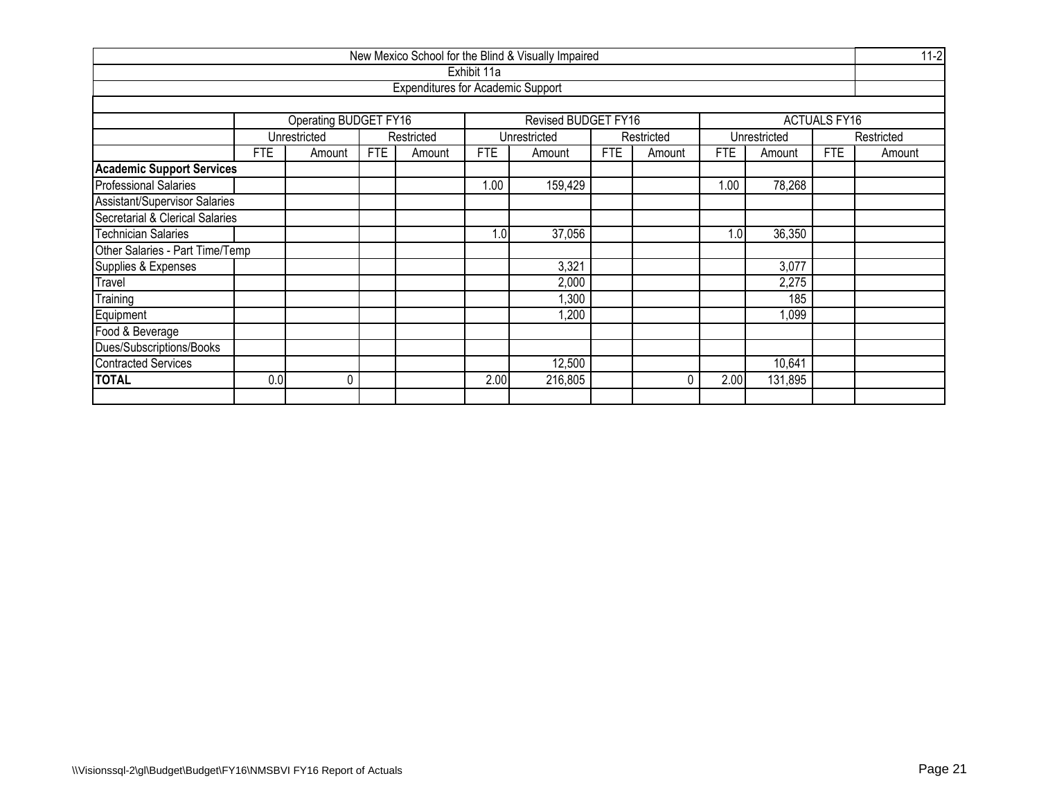|                                                              | New Mexico School for the Blind & Visually Impaired |                       |            |                                          |             |                     |            |            |            |              |                     |            |  |  |  |
|--------------------------------------------------------------|-----------------------------------------------------|-----------------------|------------|------------------------------------------|-------------|---------------------|------------|------------|------------|--------------|---------------------|------------|--|--|--|
|                                                              |                                                     |                       |            |                                          | Exhibit 11a |                     |            |            |            |              |                     |            |  |  |  |
|                                                              |                                                     |                       |            | <b>Expenditures for Academic Support</b> |             |                     |            |            |            |              |                     |            |  |  |  |
|                                                              |                                                     |                       |            |                                          |             |                     |            |            |            |              |                     |            |  |  |  |
|                                                              |                                                     | Operating BUDGET FY16 |            |                                          |             | Revised BUDGET FY16 |            |            |            |              | <b>ACTUALS FY16</b> |            |  |  |  |
|                                                              |                                                     | Unrestricted          |            | Restricted                               |             | Unrestricted        |            | Restricted |            | Unrestricted |                     | Restricted |  |  |  |
|                                                              | FTE                                                 | Amount                | <b>FTE</b> | Amount                                   | <b>FTE</b>  | Amount              | <b>FTE</b> | Amount     | <b>FTE</b> | Amount       | FTE                 | Amount     |  |  |  |
| <b>Academic Support Services</b>                             |                                                     |                       |            |                                          |             |                     |            |            |            |              |                     |            |  |  |  |
| <b>Professional Salaries</b>                                 | 78,268<br>1.00<br>159,429<br>1.00                   |                       |            |                                          |             |                     |            |            |            |              |                     |            |  |  |  |
| <b>Assistant/Supervisor Salaries</b>                         |                                                     |                       |            |                                          |             |                     |            |            |            |              |                     |            |  |  |  |
| Secretarial & Clerical Salaries                              |                                                     |                       |            |                                          |             |                     |            |            |            |              |                     |            |  |  |  |
| 36,350<br><b>Technician Salaries</b><br>1.0<br>37,056<br>1.0 |                                                     |                       |            |                                          |             |                     |            |            |            |              |                     |            |  |  |  |
| Other Salaries - Part Time/Temp                              |                                                     |                       |            |                                          |             |                     |            |            |            |              |                     |            |  |  |  |
| Supplies & Expenses                                          |                                                     |                       |            |                                          |             | 3,321               |            |            |            | 3,077        |                     |            |  |  |  |
| Travel                                                       |                                                     |                       |            |                                          |             | 2,000               |            |            |            | 2,275        |                     |            |  |  |  |
| Training                                                     |                                                     |                       |            |                                          |             | ,300                |            |            |            | 185          |                     |            |  |  |  |
| Equipment                                                    |                                                     |                       |            |                                          |             | ,200                |            |            |            | 1,099        |                     |            |  |  |  |
| Food & Beverage                                              |                                                     |                       |            |                                          |             |                     |            |            |            |              |                     |            |  |  |  |
| Dues/Subscriptions/Books                                     |                                                     |                       |            |                                          |             |                     |            |            |            |              |                     |            |  |  |  |
| <b>Contracted Services</b>                                   |                                                     |                       |            |                                          |             | 12,500              |            |            |            | 10,641       |                     |            |  |  |  |
| <b>TOTAL</b>                                                 | 0.0                                                 | 0                     |            |                                          | 2.00        | 216,805             |            | 0          | 2.00       | 131,895      |                     |            |  |  |  |
|                                                              |                                                     |                       |            |                                          |             |                     |            |            |            |              |                     |            |  |  |  |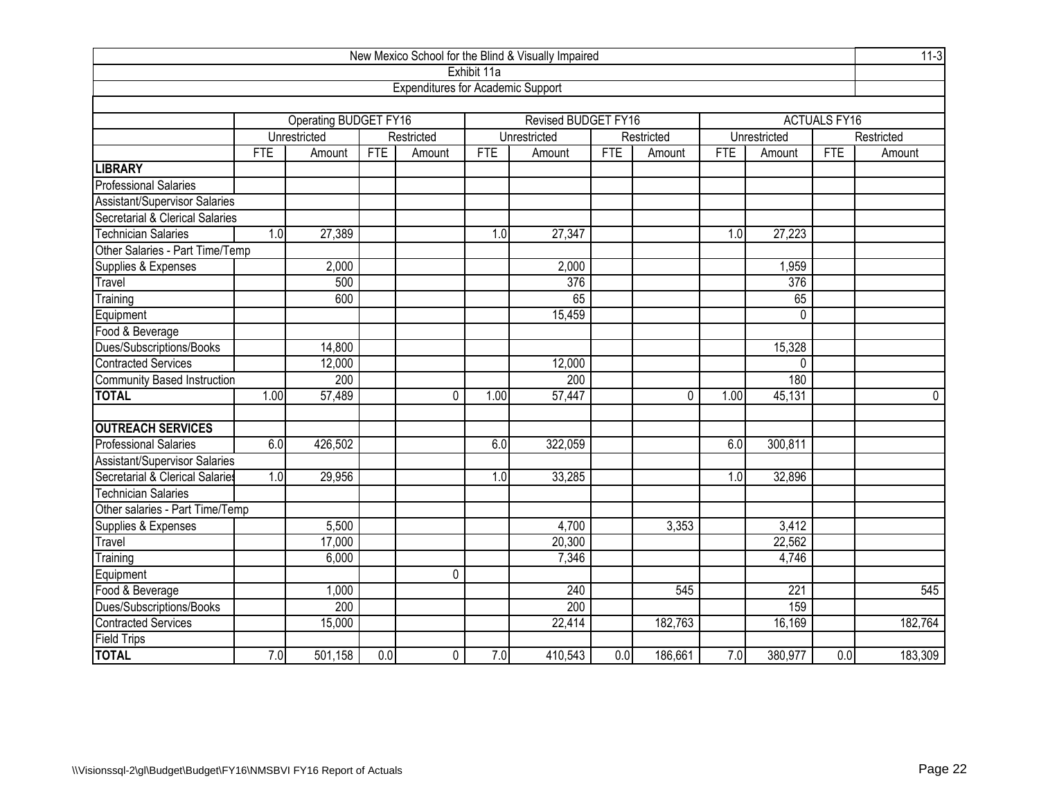|                                      |                 |                       |            |                                          |             | New Mexico School for the Blind & Visually Impaired |                  |             |            |                  |                     | $11-3$     |
|--------------------------------------|-----------------|-----------------------|------------|------------------------------------------|-------------|-----------------------------------------------------|------------------|-------------|------------|------------------|---------------------|------------|
|                                      |                 |                       |            |                                          | Exhibit 11a |                                                     |                  |             |            |                  |                     |            |
|                                      |                 |                       |            | <b>Expenditures for Academic Support</b> |             |                                                     |                  |             |            |                  |                     |            |
|                                      |                 |                       |            |                                          |             |                                                     |                  |             |            |                  |                     |            |
|                                      |                 | Operating BUDGET FY16 |            |                                          |             | <b>Revised BUDGET FY16</b>                          |                  |             |            |                  | <b>ACTUALS FY16</b> |            |
|                                      |                 | Unrestricted          |            | Restricted                               |             | Unrestricted                                        |                  | Restricted  |            | Unrestricted     |                     | Restricted |
|                                      | <b>FTE</b>      | Amount                | <b>FTE</b> | Amount                                   | <b>FTE</b>  | Amount                                              | <b>FTE</b>       | Amount      | <b>FTE</b> | Amount           | <b>FTE</b>          | Amount     |
| <b>LIBRARY</b>                       |                 |                       |            |                                          |             |                                                     |                  |             |            |                  |                     |            |
| <b>Professional Salaries</b>         |                 |                       |            |                                          |             |                                                     |                  |             |            |                  |                     |            |
| <b>Assistant/Supervisor Salaries</b> |                 |                       |            |                                          |             |                                                     |                  |             |            |                  |                     |            |
| Secretarial & Clerical Salaries      |                 |                       |            |                                          |             |                                                     |                  |             |            |                  |                     |            |
| <b>Technician Salaries</b>           | 1.0             | 27,389                |            |                                          | 1.0         | 27,347                                              |                  |             | 1.0        | 27,223           |                     |            |
| Other Salaries - Part Time/Temp      |                 |                       |            |                                          |             |                                                     |                  |             |            |                  |                     |            |
| Supplies & Expenses                  |                 | 2,000                 |            |                                          |             | 2,000                                               |                  |             |            | 1,959            |                     |            |
| Travel                               |                 | 500                   |            |                                          |             | 376                                                 |                  |             |            | $\overline{376}$ |                     |            |
| Training                             | 65<br>600<br>65 |                       |            |                                          |             |                                                     |                  |             |            |                  |                     |            |
| Equipment                            | 15,459<br>0     |                       |            |                                          |             |                                                     |                  |             |            |                  |                     |            |
| Food & Beverage                      |                 |                       |            |                                          |             |                                                     |                  |             |            |                  |                     |            |
| Dues/Subscriptions/Books             |                 | 14,800                |            |                                          |             |                                                     |                  |             |            | 15,328           |                     |            |
| <b>Contracted Services</b>           |                 | 12,000                |            |                                          |             | 12,000                                              |                  |             |            | $\Omega$         |                     |            |
| Community Based Instruction          |                 | 200                   |            |                                          |             | 200                                                 |                  |             |            | 180              |                     |            |
| <b>TOTAL</b>                         | 1.00            | 57,489                |            | $\Omega$                                 | 1.00        | 57,447                                              |                  | $\mathbf 0$ | 1.00       | 45,131           |                     | $\pmb{0}$  |
| <b>OUTREACH SERVICES</b>             |                 |                       |            |                                          |             |                                                     |                  |             |            |                  |                     |            |
| <b>Professional Salaries</b>         | 6.0             | 426,502               |            |                                          | 6.0         | 322,059                                             |                  |             | 6.0        | 300,811          |                     |            |
| <b>Assistant/Supervisor Salaries</b> |                 |                       |            |                                          |             |                                                     |                  |             |            |                  |                     |            |
| Secretarial & Clerical Salaries      | 1.0             | 29,956                |            |                                          | 1.0         | 33,285                                              |                  |             | 1.0        | 32,896           |                     |            |
| <b>Technician Salaries</b>           |                 |                       |            |                                          |             |                                                     |                  |             |            |                  |                     |            |
| Other salaries - Part Time/Temp      |                 |                       |            |                                          |             |                                                     |                  |             |            |                  |                     |            |
| Supplies & Expenses                  |                 | 5,500                 |            |                                          |             | 4,700                                               |                  | 3,353       |            | 3,412            |                     |            |
| Travel                               |                 | 17,000                |            |                                          |             | 20,300                                              |                  |             |            | 22,562           |                     |            |
| Training                             |                 | 6,000                 |            |                                          |             | 7,346                                               |                  |             |            | 4,746            |                     |            |
| Equipment                            |                 |                       |            | 0                                        |             |                                                     |                  |             |            |                  |                     |            |
| Food & Beverage                      |                 | 1,000                 |            |                                          |             | 240                                                 |                  | 545         |            | 221              |                     | 545        |
| Dues/Subscriptions/Books             |                 | 200                   |            |                                          |             | 200                                                 |                  |             |            | 159              |                     |            |
| <b>Contracted Services</b>           |                 | 15,000                |            |                                          |             | 22,414                                              |                  | 182,763     |            | 16,169           |                     | 182,764    |
| <b>Field Trips</b>                   |                 |                       |            |                                          |             |                                                     |                  |             |            |                  |                     |            |
| <b>TOTAL</b>                         | 7.0             | 501,158               | 0.0        | 0                                        | 7.0         | 410,543                                             | $\overline{0.0}$ | 186,661     | 7.0        | 380,977          | $\overline{0.0}$    | 183,309    |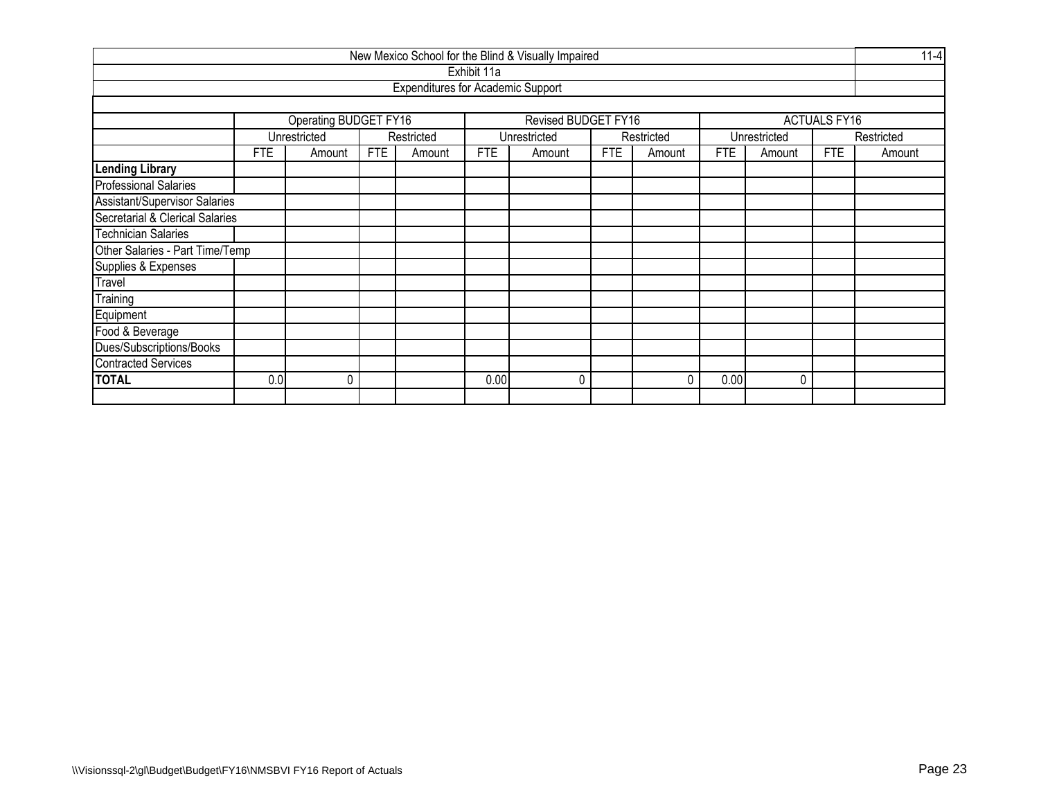| New Mexico School for the Blind & Visually Impaired |                                                                                                                                    |   |  |                                          |             |              |  |   |      |   |            |  |  |  |
|-----------------------------------------------------|------------------------------------------------------------------------------------------------------------------------------------|---|--|------------------------------------------|-------------|--------------|--|---|------|---|------------|--|--|--|
|                                                     |                                                                                                                                    |   |  |                                          | Exhibit 11a |              |  |   |      |   |            |  |  |  |
|                                                     |                                                                                                                                    |   |  | <b>Expenditures for Academic Support</b> |             |              |  |   |      |   |            |  |  |  |
|                                                     |                                                                                                                                    |   |  |                                          |             |              |  |   |      |   |            |  |  |  |
|                                                     | <b>Operating BUDGET FY16</b><br><b>Revised BUDGET FY16</b><br><b>ACTUALS FY16</b>                                                  |   |  |                                          |             |              |  |   |      |   |            |  |  |  |
|                                                     | Unrestricted<br>Unrestricted<br>Restricted<br>Restricted<br>Unrestricted                                                           |   |  |                                          |             |              |  |   |      |   | Restricted |  |  |  |
|                                                     | <b>FTE</b><br><b>FTE</b><br><b>FTE</b><br><b>FTE</b><br><b>FTE</b><br><b>FTE</b><br>Amount<br>Amount<br>Amount<br>Amount<br>Amount |   |  |                                          |             |              |  |   |      |   | Amount     |  |  |  |
| <b>Lending Library</b>                              |                                                                                                                                    |   |  |                                          |             |              |  |   |      |   |            |  |  |  |
| <b>Professional Salaries</b>                        |                                                                                                                                    |   |  |                                          |             |              |  |   |      |   |            |  |  |  |
| <b>Assistant/Supervisor Salaries</b>                |                                                                                                                                    |   |  |                                          |             |              |  |   |      |   |            |  |  |  |
| Secretarial & Clerical Salaries                     |                                                                                                                                    |   |  |                                          |             |              |  |   |      |   |            |  |  |  |
| <b>Technician Salaries</b>                          |                                                                                                                                    |   |  |                                          |             |              |  |   |      |   |            |  |  |  |
| Other Salaries - Part Time/Temp                     |                                                                                                                                    |   |  |                                          |             |              |  |   |      |   |            |  |  |  |
| Supplies & Expenses                                 |                                                                                                                                    |   |  |                                          |             |              |  |   |      |   |            |  |  |  |
| Travel                                              |                                                                                                                                    |   |  |                                          |             |              |  |   |      |   |            |  |  |  |
| Training                                            |                                                                                                                                    |   |  |                                          |             |              |  |   |      |   |            |  |  |  |
| Equipment                                           |                                                                                                                                    |   |  |                                          |             |              |  |   |      |   |            |  |  |  |
| Food & Beverage                                     |                                                                                                                                    |   |  |                                          |             |              |  |   |      |   |            |  |  |  |
| Dues/Subscriptions/Books                            |                                                                                                                                    |   |  |                                          |             |              |  |   |      |   |            |  |  |  |
| <b>Contracted Services</b>                          |                                                                                                                                    |   |  |                                          |             |              |  |   |      |   |            |  |  |  |
| <b>TOTAL</b>                                        | 0.0                                                                                                                                | 0 |  |                                          | 0.00        | $\mathbf{0}$ |  | 0 | 0.00 | 0 |            |  |  |  |
|                                                     |                                                                                                                                    |   |  |                                          |             |              |  |   |      |   |            |  |  |  |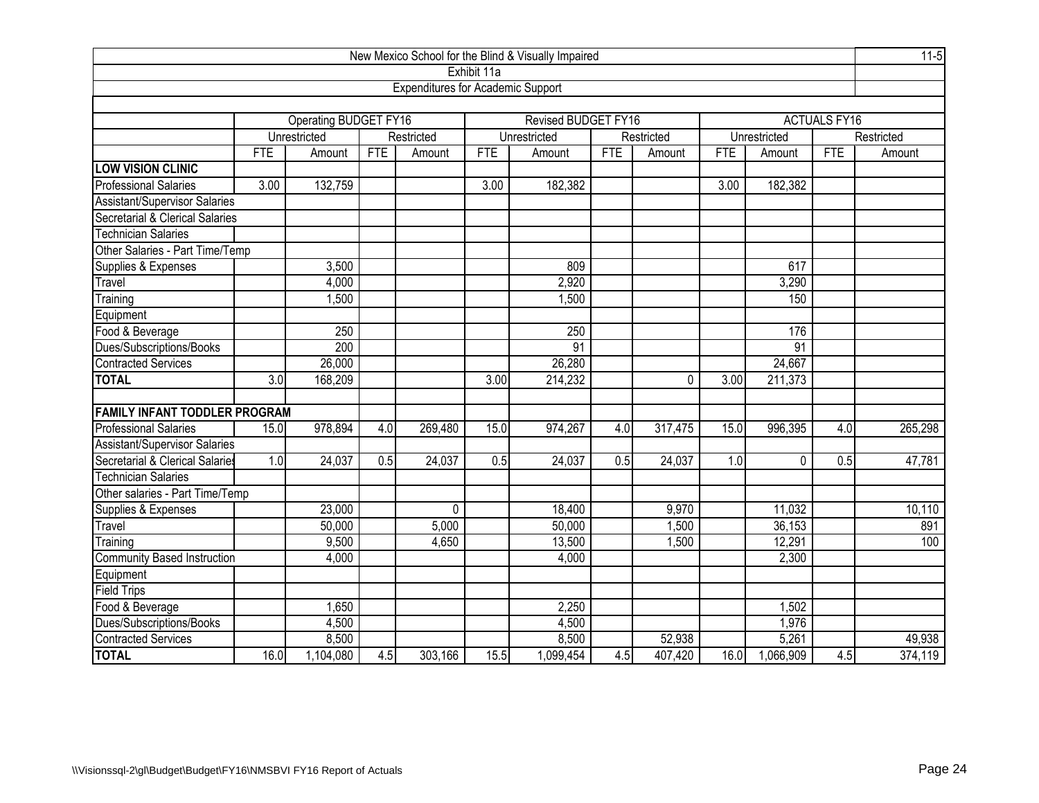|                                      |            |                       |            |                                          |             | New Mexico School for the Blind & Visually Impaired |            |            |            |              |                     | $11-5$     |
|--------------------------------------|------------|-----------------------|------------|------------------------------------------|-------------|-----------------------------------------------------|------------|------------|------------|--------------|---------------------|------------|
|                                      |            |                       |            |                                          | Exhibit 11a |                                                     |            |            |            |              |                     |            |
|                                      |            |                       |            | <b>Expenditures for Academic Support</b> |             |                                                     |            |            |            |              |                     |            |
|                                      |            |                       |            |                                          |             |                                                     |            |            |            |              |                     |            |
|                                      |            | Operating BUDGET FY16 |            |                                          |             | <b>Revised BUDGET FY16</b>                          |            |            |            |              | <b>ACTUALS FY16</b> |            |
|                                      |            | Unrestricted          |            | Restricted                               |             | Unrestricted                                        |            | Restricted |            | Unrestricted |                     | Restricted |
|                                      | <b>FTE</b> | Amount                | <b>FTE</b> | Amount                                   | <b>FTE</b>  | Amount                                              | <b>FTE</b> | Amount     | <b>FTE</b> | Amount       | <b>FTE</b>          | Amount     |
| <b>LOW VISION CLINIC</b>             |            |                       |            |                                          |             |                                                     |            |            |            |              |                     |            |
| <b>Professional Salaries</b>         | 3.00       | 132,759               |            |                                          | 3.00        | 182,382                                             |            |            | 3.00       | 182,382      |                     |            |
| Assistant/Supervisor Salaries        |            |                       |            |                                          |             |                                                     |            |            |            |              |                     |            |
| Secretarial & Clerical Salaries      |            |                       |            |                                          |             |                                                     |            |            |            |              |                     |            |
| <b>Technician Salaries</b>           |            |                       |            |                                          |             |                                                     |            |            |            |              |                     |            |
| Other Salaries - Part Time/Temp      |            |                       |            |                                          |             |                                                     |            |            |            |              |                     |            |
| Supplies & Expenses                  |            | 3,500                 |            |                                          |             | 809                                                 |            |            |            | 617          |                     |            |
| Travel                               |            | 4,000                 |            |                                          |             | 2,920                                               |            |            |            | 3,290        |                     |            |
| 1,500<br>1,500<br>150<br>Training    |            |                       |            |                                          |             |                                                     |            |            |            |              |                     |            |
| Equipment                            |            |                       |            |                                          |             |                                                     |            |            |            |              |                     |            |
| Food & Beverage                      |            | 250                   |            |                                          |             | 250                                                 |            |            |            | 176          |                     |            |
| Dues/Subscriptions/Books             |            | 200                   |            |                                          |             | $\overline{91}$                                     |            |            |            | 91           |                     |            |
| <b>Contracted Services</b>           |            | 26,000                |            |                                          |             | 26,280                                              |            |            |            | 24,667       |                     |            |
| <b>TOTAL</b>                         | 3.0        | 168,209               |            |                                          | 3.00        | 214,232                                             |            | 0          | 3.00       | 211,373      |                     |            |
|                                      |            |                       |            |                                          |             |                                                     |            |            |            |              |                     |            |
| <b>FAMILY INFANT TODDLER PROGRAM</b> |            |                       |            |                                          |             |                                                     |            |            |            |              |                     |            |
| <b>Professional Salaries</b>         | 15.0       | 978,894               | 4.0        | 269,480                                  | 15.0        | 974,267                                             | 4.0        | 317,475    | 15.0       | 996,395      | 4.0                 | 265,298    |
| Assistant/Supervisor Salaries        |            |                       |            |                                          |             |                                                     |            |            |            |              |                     |            |
| Secretarial & Clerical Salaries      | 1.0        | 24,037                | 0.5        | 24,037                                   | 0.5         | 24,037                                              | 0.5        | 24,037     | 1.0        | 0            | 0.5                 | 47,781     |
| <b>Technician Salaries</b>           |            |                       |            |                                          |             |                                                     |            |            |            |              |                     |            |
| Other salaries - Part Time/Temp      |            |                       |            |                                          |             |                                                     |            |            |            |              |                     |            |
| Supplies & Expenses                  |            | 23,000                |            | 0                                        |             | 18,400                                              |            | 9,970      |            | 11,032       |                     | 10,110     |
| Travel                               |            | 50,000                |            | 5,000                                    |             | 50,000                                              |            | 1,500      |            | 36,153       |                     | 891        |
| Training                             |            | 9,500                 |            | 4,650                                    |             | 13,500                                              |            | 1,500      |            | 12,291       |                     | 100        |
| <b>Community Based Instruction</b>   |            | 4,000                 |            |                                          |             | 4,000                                               |            |            |            | 2,300        |                     |            |
| Equipment                            |            |                       |            |                                          |             |                                                     |            |            |            |              |                     |            |
| <b>Field Trips</b>                   |            |                       |            |                                          |             |                                                     |            |            |            |              |                     |            |
| Food & Beverage                      |            | 1,650                 |            |                                          |             | 2,250                                               |            |            |            | 1,502        |                     |            |
| Dues/Subscriptions/Books             |            | 4,500                 |            |                                          |             | 4,500                                               |            |            |            | 1,976        |                     |            |
| <b>Contracted Services</b>           |            | 8,500                 |            |                                          |             | 8,500                                               |            | 52,938     |            | 5,261        |                     | 49,938     |
| <b>TOTAL</b>                         | 16.0       | 1,104,080             | 4.5        | 303,166                                  | 15.5        | 1,099,454                                           | 4.5        | 407,420    | 16.0       | 1,066,909    | 4.5                 | 374,119    |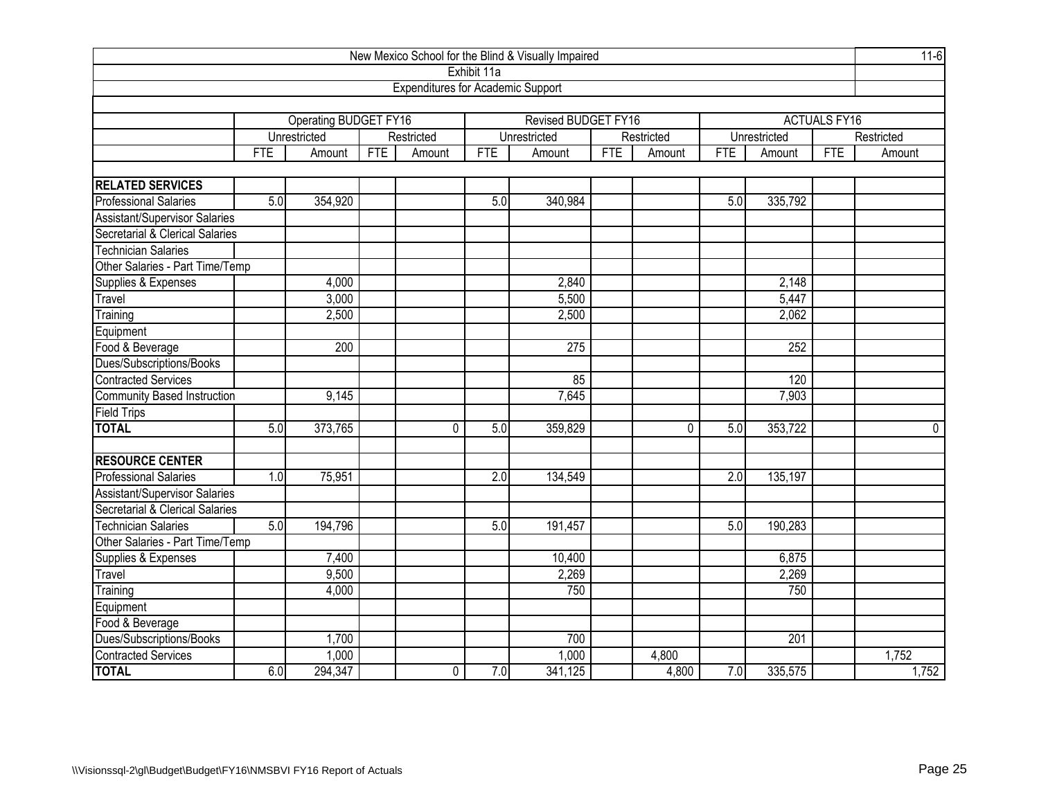| New Mexico School for the Blind & Visually Impaired |            |                              |            |                                          |             |                            |            |             |            |              |                     | $11-6$     |
|-----------------------------------------------------|------------|------------------------------|------------|------------------------------------------|-------------|----------------------------|------------|-------------|------------|--------------|---------------------|------------|
|                                                     |            |                              |            |                                          | Exhibit 11a |                            |            |             |            |              |                     |            |
|                                                     |            |                              |            | <b>Expenditures for Academic Support</b> |             |                            |            |             |            |              |                     |            |
|                                                     |            |                              |            |                                          |             |                            |            |             |            |              |                     |            |
|                                                     |            | <b>Operating BUDGET FY16</b> |            |                                          |             | <b>Revised BUDGET FY16</b> |            |             |            |              | <b>ACTUALS FY16</b> |            |
|                                                     |            | Unrestricted                 |            | Restricted                               |             | Unrestricted               |            | Restricted  |            | Unrestricted |                     | Restricted |
|                                                     | <b>FTE</b> | Amount                       | <b>FTE</b> | Amount                                   | <b>FTE</b>  | Amount                     | <b>FTE</b> | Amount      | <b>FTE</b> | Amount       | <b>FTE</b>          | Amount     |
|                                                     |            |                              |            |                                          |             |                            |            |             |            |              |                     |            |
| <b>RELATED SERVICES</b>                             |            |                              |            |                                          |             |                            |            |             |            |              |                     |            |
| <b>Professional Salaries</b>                        | 5.0        | 354,920                      |            |                                          | 5.0         | 340,984                    |            |             | 5.0        | 335,792      |                     |            |
| <b>Assistant/Supervisor Salaries</b>                |            |                              |            |                                          |             |                            |            |             |            |              |                     |            |
| Secretarial & Clerical Salaries                     |            |                              |            |                                          |             |                            |            |             |            |              |                     |            |
| <b>Technician Salaries</b>                          |            |                              |            |                                          |             |                            |            |             |            |              |                     |            |
| Other Salaries - Part Time/Temp                     |            |                              |            |                                          |             |                            |            |             |            |              |                     |            |
| Supplies & Expenses                                 |            | 4,000                        |            |                                          |             | 2,840                      |            |             |            | 2,148        |                     |            |
| Travel                                              |            | 3,000                        |            |                                          |             | 5,500                      |            |             |            | 5,447        |                     |            |
| Training                                            |            | 2,500                        |            |                                          |             | 2,500                      |            |             |            | 2,062        |                     |            |
| Equipment                                           |            |                              |            |                                          |             |                            |            |             |            |              |                     |            |
| Food & Beverage                                     |            | 200                          |            |                                          |             | 275                        |            |             |            | 252          |                     |            |
| Dues/Subscriptions/Books                            |            |                              |            |                                          |             |                            |            |             |            |              |                     |            |
| <b>Contracted Services</b>                          |            |                              |            |                                          |             | 85                         |            |             |            | 120          |                     |            |
| <b>Community Based Instruction</b>                  |            | 9,145                        |            |                                          |             | 7,645                      |            |             |            | 7,903        |                     |            |
| <b>Field Trips</b>                                  |            |                              |            |                                          |             |                            |            |             |            |              |                     |            |
| <b>TOTAL</b>                                        | 5.0        | 373,765                      |            | 0                                        | 5.0         | 359,829                    |            | $\mathbf 0$ | 5.0        | 353,722      |                     | 0          |
|                                                     |            |                              |            |                                          |             |                            |            |             |            |              |                     |            |
| <b>RESOURCE CENTER</b>                              |            |                              |            |                                          |             |                            |            |             |            |              |                     |            |
| <b>Professional Salaries</b>                        | 1.0        | 75,951                       |            |                                          | 2.0         | 134,549                    |            |             | 2.0        | 135,197      |                     |            |
| Assistant/Supervisor Salaries                       |            |                              |            |                                          |             |                            |            |             |            |              |                     |            |
| Secretarial & Clerical Salaries                     |            |                              |            |                                          |             |                            |            |             |            |              |                     |            |
| <b>Technician Salaries</b>                          | 5.0        | 194,796                      |            |                                          | 5.0         | 191,457                    |            |             | 5.0        | 190,283      |                     |            |
| Other Salaries - Part Time/Temp                     |            |                              |            |                                          |             |                            |            |             |            |              |                     |            |
| Supplies & Expenses                                 |            | 7,400                        |            |                                          |             | 10,400                     |            |             |            | 6,875        |                     |            |
| Travel                                              |            | 9,500                        |            |                                          |             | 2,269                      |            |             |            | 2,269        |                     |            |
| Training                                            |            | 4,000                        |            |                                          |             | 750                        |            |             |            | 750          |                     |            |
| Equipment                                           |            |                              |            |                                          |             |                            |            |             |            |              |                     |            |
| Food & Beverage                                     |            |                              |            |                                          |             |                            |            |             |            |              |                     |            |
| Dues/Subscriptions/Books                            |            | 1,700                        |            |                                          |             | 700                        |            |             |            | 201          |                     |            |
| <b>Contracted Services</b>                          |            | 1,000                        |            |                                          |             | 1,000                      |            | 4,800       |            |              |                     | 1,752      |
| <b>TOTAL</b>                                        | 6.0        | 294,347                      |            | 0                                        | 7.0         | 341, 125                   |            | 4,800       | 7.0        | 335,575      |                     | 1,752      |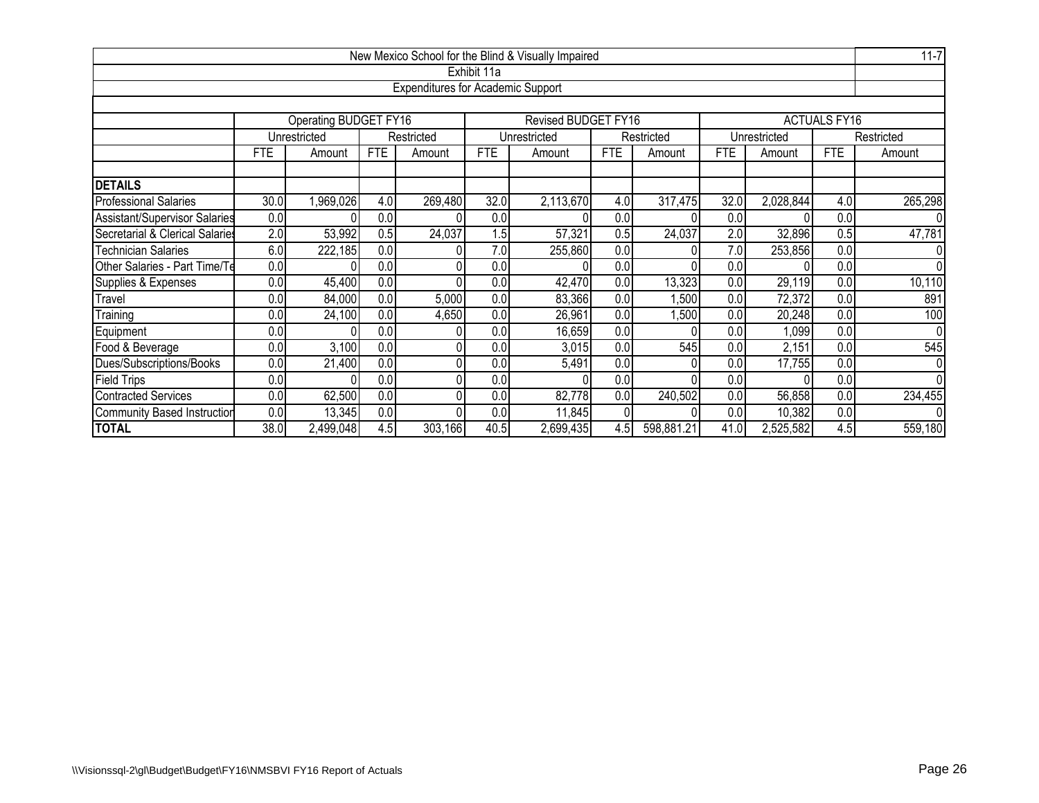| New Mexico School for the Blind & Visually Impaired |      |                                                                                        |            |                                          |                  |                     |                |            |            |              |                     |                |  |  |
|-----------------------------------------------------|------|----------------------------------------------------------------------------------------|------------|------------------------------------------|------------------|---------------------|----------------|------------|------------|--------------|---------------------|----------------|--|--|
|                                                     |      |                                                                                        |            |                                          | Exhibit 11a      |                     |                |            |            |              |                     |                |  |  |
|                                                     |      |                                                                                        |            | <b>Expenditures for Academic Support</b> |                  |                     |                |            |            |              |                     |                |  |  |
|                                                     |      |                                                                                        |            |                                          |                  |                     |                |            |            |              |                     |                |  |  |
|                                                     |      | Operating BUDGET FY16                                                                  |            |                                          |                  | Revised BUDGET FY16 |                |            |            |              | <b>ACTUALS FY16</b> |                |  |  |
|                                                     |      | Unrestricted                                                                           |            | Restricted                               |                  | Unrestricted        |                | Restricted |            | Unrestricted |                     | Restricted     |  |  |
|                                                     | FTE  | Amount                                                                                 | <b>FTE</b> | Amount                                   | <b>FTE</b>       | Amount              | <b>FTE</b>     | Amount     | <b>FTE</b> | Amount       | <b>FTE</b>          | Amount         |  |  |
|                                                     |      |                                                                                        |            |                                          |                  |                     |                |            |            |              |                     |                |  |  |
| <b>DETAILS</b>                                      | 4.0  |                                                                                        |            |                                          |                  |                     |                |            |            |              |                     |                |  |  |
| <b>Professional Salaries</b>                        | 30.0 | 32.0<br>,969,026<br>4.0<br>269,480<br>2,113,670<br>32.0<br>4.0<br>317,475<br>2,028,844 |            |                                          |                  |                     |                |            |            |              |                     |                |  |  |
| Assistant/Supervisor Salaries                       | 0.0  | 0.0<br>0.0<br>0.0<br>0.0<br>0.0<br>0                                                   |            |                                          |                  |                     |                |            |            |              |                     |                |  |  |
| Secretarial & Clerical Salaries                     | 2.0  | 24,037<br>24,037<br>32,896<br>53,992<br>1.5<br>57,321<br>2.0<br>0.5<br>0.5<br>0.5      |            |                                          |                  |                     |                |            |            |              |                     |                |  |  |
| <b>Technician Salaries</b>                          | 6.0  | 7.0<br>222,185<br>0.0<br>7.0<br>255,860<br>0.0<br>253,856<br>0.0                       |            |                                          |                  |                     |                |            |            |              |                     |                |  |  |
| Other Salaries - Part Time/Te                       | 0.0  |                                                                                        | 0.0        |                                          | 0.0              |                     | 0.0            |            | 0.0        |              | 0.0                 | $\overline{0}$ |  |  |
| Supplies & Expenses                                 | 0.0  | 45,400                                                                                 | 0.0        |                                          | 0.0 <sub>l</sub> | 42,470              | 0.0            | 13,323     | 0.0        | 29,119       | 0.0                 | 10,110         |  |  |
| Travel                                              | 0.0  | 84,000                                                                                 | 0.0        | 5,000                                    | 0.0              | 83,366              | 0.0            | ,500       | 0.0        | 72,372       | 0.0                 | 891            |  |  |
| Training                                            | 0.0  | 24,100                                                                                 | 0.0        | 4,650                                    | 0.0              | 26,961              | 0.0            | ,500       | 0.0        | 20,248       | 0.0                 | 100            |  |  |
| Equipment                                           | 0.0  |                                                                                        | 0.0        |                                          | 0.0              | 16,659              | 0.0            |            | 0.0        | 1,099        | 0.0                 | 0              |  |  |
| Food & Beverage                                     | 0.0  | 3,100                                                                                  | 0.0        |                                          | 0.0              | 3,015               | 0.0            | 545        | 0.0        | 2,151        | 0.0                 | 545            |  |  |
| Dues/Subscriptions/Books                            | 0.0  | 0.0<br>21,400<br>0.0<br>0.0<br>5,491<br>0.0<br>0.0<br>17,755                           |            |                                          |                  |                     |                |            |            |              |                     |                |  |  |
| <b>Field Trips</b>                                  | 0.0  |                                                                                        | 0.0        |                                          | 0.0              |                     | 0.0            |            | 0.0        |              | 0.0                 | $\Omega$       |  |  |
| <b>Contracted Services</b>                          | 0.0  | 62,500                                                                                 | 0.0        |                                          | 0.0              | 82,778              | 0.0            | 240,502    | 0.0        | 56,858       | 0.0                 | 234,455        |  |  |
| <b>Community Based Instruction</b>                  | 0.0  | 13,345                                                                                 | 0.0        | 0                                        | 0.0              | 11,845              | $\overline{0}$ |            | 0.0        | 10,382       | 0.0                 | $\overline{0}$ |  |  |
| <b>TOTAL</b>                                        | 38.0 | 2,499,048                                                                              | 4.5        | 303,166                                  | 40.5             | 2,699,435           | 4.5            | 598,881.21 | 41.0       | 2,525,582    | 4.5                 | 559,180        |  |  |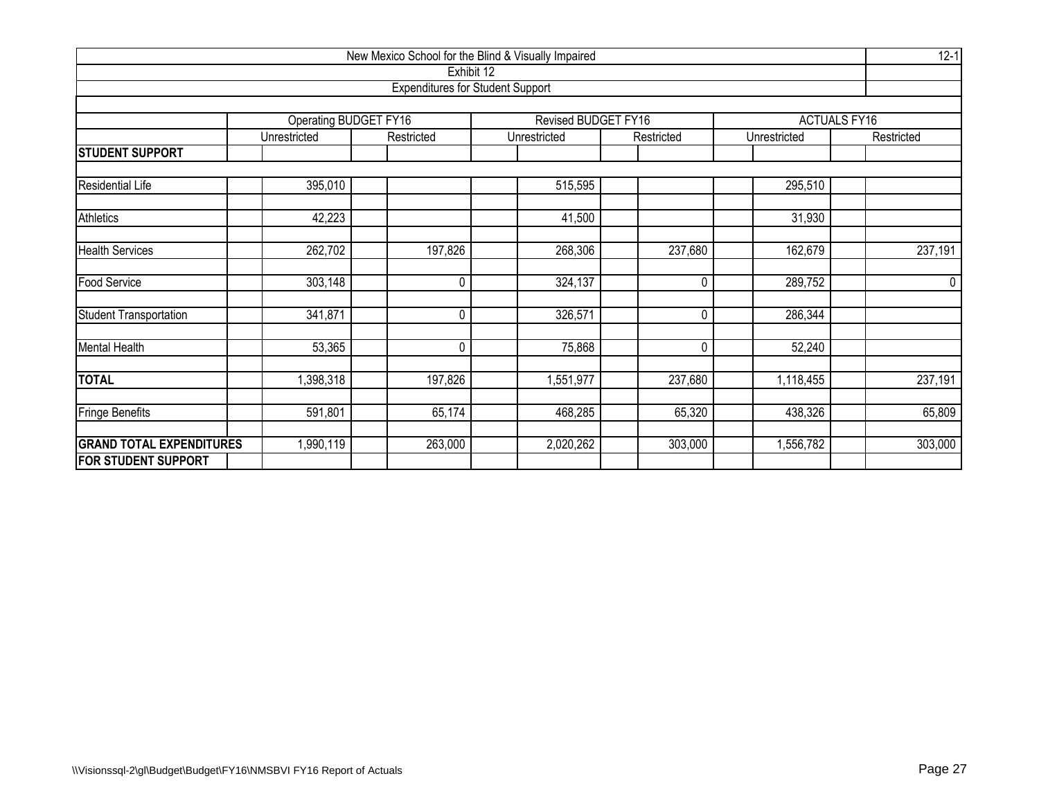| New Mexico School for the Blind & Visually Impaired<br>Exhibit 12 |                              |             |                                         |            |              |                     |  |  |  |  |  |  |  |  |
|-------------------------------------------------------------------|------------------------------|-------------|-----------------------------------------|------------|--------------|---------------------|--|--|--|--|--|--|--|--|
|                                                                   |                              |             | <b>Expenditures for Student Support</b> |            |              |                     |  |  |  |  |  |  |  |  |
|                                                                   |                              |             |                                         |            |              |                     |  |  |  |  |  |  |  |  |
|                                                                   | <b>Operating BUDGET FY16</b> |             | Revised BUDGET FY16                     |            |              | <b>ACTUALS FY16</b> |  |  |  |  |  |  |  |  |
|                                                                   | Unrestricted                 | Restricted  | Unrestricted                            | Restricted | Unrestricted | Restricted          |  |  |  |  |  |  |  |  |
| <b>STUDENT SUPPORT</b>                                            |                              |             |                                         |            |              |                     |  |  |  |  |  |  |  |  |
| <b>Residential Life</b><br>395,010<br>515,595<br>295,510          |                              |             |                                         |            |              |                     |  |  |  |  |  |  |  |  |
|                                                                   |                              |             |                                         |            |              |                     |  |  |  |  |  |  |  |  |
| Athletics                                                         | 42,223                       |             | 41,500                                  |            | 31,930       |                     |  |  |  |  |  |  |  |  |
| <b>Health Services</b>                                            | 262,702                      | 197,826     | 268,306                                 | 237,680    | 162,679      | 237,191             |  |  |  |  |  |  |  |  |
| Food Service                                                      | 303,148                      | $\pmb{0}$   | 324,137                                 | 0          | 289,752      | $\mathbf 0$         |  |  |  |  |  |  |  |  |
| <b>Student Transportation</b>                                     | 341,871                      | 0           | 326,571                                 | 0          | 286,344      |                     |  |  |  |  |  |  |  |  |
| <b>Mental Health</b>                                              | 53,365                       | $\mathbf 0$ | 75,868                                  | 0          | 52,240       |                     |  |  |  |  |  |  |  |  |
| <b>TOTAL</b>                                                      | ,398,318                     | 197,826     | 1,551,977                               | 237,680    | 1,118,455    | 237,191             |  |  |  |  |  |  |  |  |
| <b>Fringe Benefits</b>                                            | 591,801                      | 65,174      | 468,285                                 | 65,320     | 438,326      | 65,809              |  |  |  |  |  |  |  |  |
| <b>GRAND TOTAL EXPENDITURES</b>                                   | ,990,119                     | 263,000     | 2,020,262                               | 303,000    | 1,556,782    | 303,000             |  |  |  |  |  |  |  |  |
| <b>FOR STUDENT SUPPORT</b>                                        |                              |             |                                         |            |              |                     |  |  |  |  |  |  |  |  |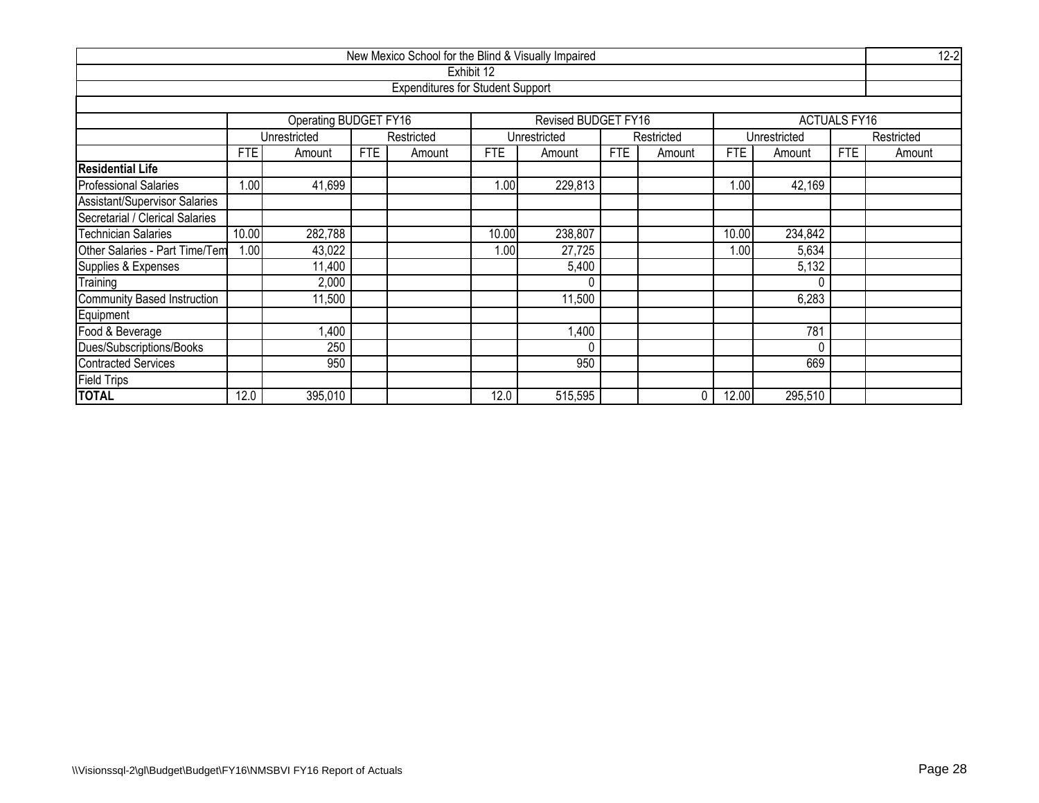|                                    |            |                       |            | New Mexico School for the Blind & Visually Impaired |            |                     |            |            |            |              |                     | $12 - 2$   |  |  |  |
|------------------------------------|------------|-----------------------|------------|-----------------------------------------------------|------------|---------------------|------------|------------|------------|--------------|---------------------|------------|--|--|--|
|                                    |            |                       |            |                                                     | Exhibit 12 |                     |            |            |            |              |                     |            |  |  |  |
|                                    |            |                       |            | <b>Expenditures for Student Support</b>             |            |                     |            |            |            |              |                     |            |  |  |  |
|                                    |            |                       |            |                                                     |            |                     |            |            |            |              |                     |            |  |  |  |
|                                    |            | Operating BUDGET FY16 |            |                                                     |            | Revised BUDGET FY16 |            |            |            |              | <b>ACTUALS FY16</b> |            |  |  |  |
|                                    |            | Unrestricted          |            | Restricted                                          |            | Unrestricted        |            | Restricted |            | Unrestricted |                     | Restricted |  |  |  |
|                                    | <b>FTE</b> | Amount                | <b>FTE</b> | Amount                                              | <b>FTE</b> | Amount              | <b>FTE</b> | Amount     | <b>FTE</b> | Amount       | <b>FTE</b>          | Amount     |  |  |  |
| <b>Residential Life</b>            |            |                       |            |                                                     |            |                     |            |            |            |              |                     |            |  |  |  |
| <b>Professional Salaries</b>       | 1.00       | 41,699                |            |                                                     | 1.00       | 229,813             |            |            | 1.00       | 42,169       |                     |            |  |  |  |
| Assistant/Supervisor Salaries      |            |                       |            |                                                     |            |                     |            |            |            |              |                     |            |  |  |  |
| Secretarial / Clerical Salaries    |            |                       |            |                                                     |            |                     |            |            |            |              |                     |            |  |  |  |
| Technician Salaries                | 10.00      | 282,788               |            |                                                     | 10.00      | 238,807             |            |            | 10.00      | 234,842      |                     |            |  |  |  |
| Other Salaries - Part Time/Tem     | 1.00       | 43,022                |            |                                                     | 1.00       | 27,725              |            |            | 1.00       | 5,634        |                     |            |  |  |  |
| Supplies & Expenses                |            | 11,400                |            |                                                     |            | 5,400               |            |            |            | 5,132        |                     |            |  |  |  |
| Training                           |            | 2,000                 |            |                                                     |            | 0                   |            |            |            | 0            |                     |            |  |  |  |
| <b>Community Based Instruction</b> |            | 11,500                |            |                                                     |            | 11,500              |            |            |            | 6,283        |                     |            |  |  |  |
| Equipment                          |            |                       |            |                                                     |            |                     |            |            |            |              |                     |            |  |  |  |
| Food & Beverage                    |            | ,400                  |            |                                                     |            | 1,400               |            |            |            | 781          |                     |            |  |  |  |
| Dues/Subscriptions/Books           |            | 250                   |            |                                                     |            | 0                   |            |            |            | $\Omega$     |                     |            |  |  |  |
| <b>Contracted Services</b>         | 950        |                       |            |                                                     |            |                     |            |            |            | 669          |                     |            |  |  |  |
| <b>Field Trips</b>                 |            |                       |            |                                                     |            |                     |            |            |            |              |                     |            |  |  |  |
| <b>TOTAL</b>                       | 12.0       | 395,010               |            |                                                     | 12.0       | 515,595             |            | $\Omega$   | 12.00      | 295,510      |                     |            |  |  |  |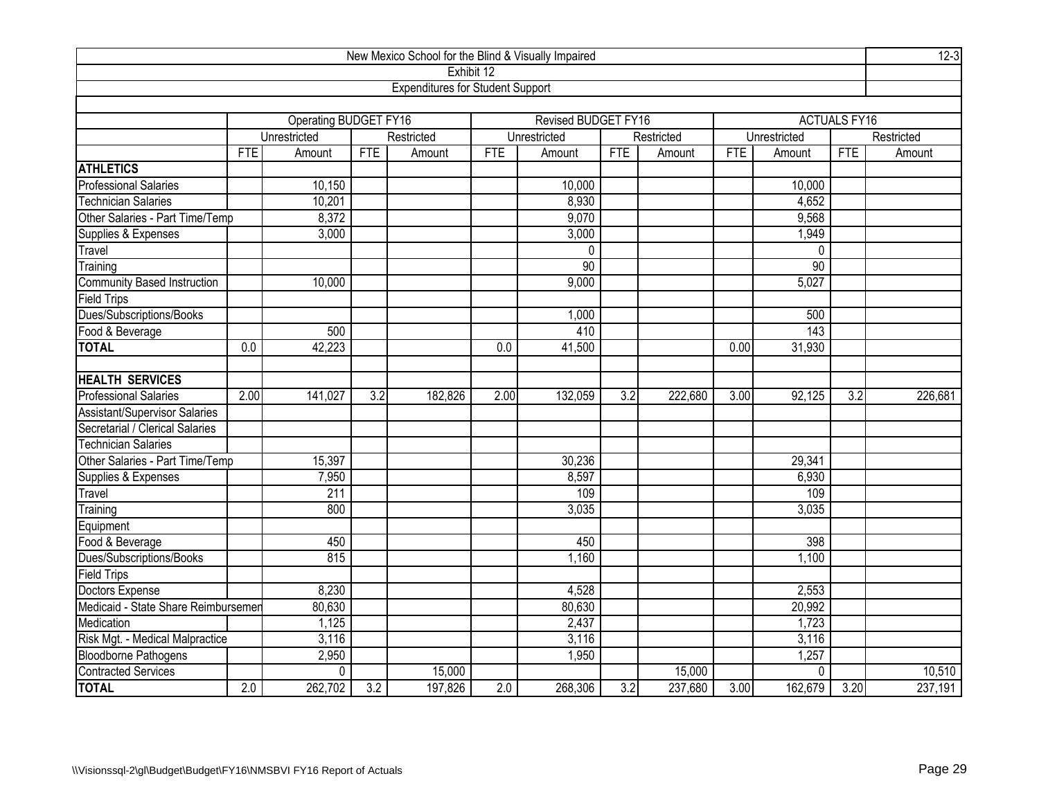| New Mexico School for the Blind & Visually Impaired |                   |                       |            |                                         |                  |                            |            |            |            |              |                     | $12 - 3$   |
|-----------------------------------------------------|-------------------|-----------------------|------------|-----------------------------------------|------------------|----------------------------|------------|------------|------------|--------------|---------------------|------------|
|                                                     |                   |                       |            | Exhibit 12                              |                  |                            |            |            |            |              |                     |            |
|                                                     |                   |                       |            | <b>Expenditures for Student Support</b> |                  |                            |            |            |            |              |                     |            |
|                                                     |                   |                       |            |                                         |                  |                            |            |            |            |              |                     |            |
|                                                     |                   | Operating BUDGET FY16 |            |                                         |                  | <b>Revised BUDGET FY16</b> |            |            |            |              | <b>ACTUALS FY16</b> |            |
|                                                     |                   | Unrestricted          |            | Restricted                              |                  | Unrestricted               |            | Restricted |            | Unrestricted |                     | Restricted |
|                                                     | <b>FTE</b>        | Amount                | <b>FTE</b> | Amount                                  | <b>FTE</b>       | Amount                     | <b>FTE</b> | Amount     | <b>FTE</b> | Amount       | <b>FTE</b>          | Amount     |
| <b>ATHLETICS</b>                                    |                   |                       |            |                                         |                  |                            |            |            |            |              |                     |            |
| Professional Salaries                               |                   | 10,150                |            |                                         |                  | 10,000                     |            |            |            | 10,000       |                     |            |
| <b>Technician Salaries</b>                          |                   | 10,201                |            |                                         |                  | 8,930                      |            |            |            | 4,652        |                     |            |
| Other Salaries - Part Time/Temp                     |                   | 8,372                 |            |                                         |                  | 9,070                      |            |            |            | 9,568        |                     |            |
| Supplies & Expenses                                 |                   | 3,000                 |            |                                         |                  | 3,000                      |            |            |            | 1,949        |                     |            |
| Travel                                              |                   |                       |            |                                         |                  | $\mathbf 0$                |            |            |            | $\mathbf 0$  |                     |            |
| Training                                            |                   |                       |            |                                         |                  | 90                         |            |            |            | 90           |                     |            |
| <b>Community Based Instruction</b>                  |                   | 10,000                |            |                                         |                  | 9,000                      |            |            |            | 5,027        |                     |            |
| Field Trips                                         |                   |                       |            |                                         |                  |                            |            |            |            |              |                     |            |
| Dues/Subscriptions/Books                            |                   |                       |            |                                         |                  | 1,000                      |            |            |            | 500          |                     |            |
| Food & Beverage                                     | 143<br>500<br>410 |                       |            |                                         |                  |                            |            |            |            |              |                     |            |
| <b>TOTAL</b>                                        | 0.0               | 42,223                |            |                                         | $\overline{0.0}$ | 41,500                     |            |            | 0.00       | 31,930       |                     |            |
|                                                     |                   |                       |            |                                         |                  |                            |            |            |            |              |                     |            |
| <b>HEALTH SERVICES</b>                              |                   |                       |            |                                         |                  |                            |            |            |            |              |                     |            |
| <b>Professional Salaries</b>                        | 2.00              | 141,027               | 3.2        | 182,826                                 | 2.00             | 132,059                    | 3.2        | 222,680    | 3.00       | 92,125       | 3.2                 | 226,681    |
| Assistant/Supervisor Salaries                       |                   |                       |            |                                         |                  |                            |            |            |            |              |                     |            |
| Secretarial / Clerical Salaries                     |                   |                       |            |                                         |                  |                            |            |            |            |              |                     |            |
| <b>Technician Salaries</b>                          |                   |                       |            |                                         |                  |                            |            |            |            |              |                     |            |
| Other Salaries - Part Time/Temp                     |                   | 15,397                |            |                                         |                  | 30,236                     |            |            |            | 29,341       |                     |            |
| Supplies & Expenses                                 |                   | 7,950                 |            |                                         |                  | 8,597                      |            |            |            | 6,930        |                     |            |
| Travel                                              |                   | 211                   |            |                                         |                  | 109                        |            |            |            | 109          |                     |            |
| Training                                            |                   | 800                   |            |                                         |                  | 3,035                      |            |            |            | 3,035        |                     |            |
| Equipment                                           |                   |                       |            |                                         |                  |                            |            |            |            |              |                     |            |
| Food & Beverage                                     |                   | 450                   |            |                                         |                  | 450                        |            |            |            | 398          |                     |            |
| Dues/Subscriptions/Books                            |                   | 815                   |            |                                         |                  | 1,160                      |            |            |            | 1,100        |                     |            |
| Field Trips                                         |                   |                       |            |                                         |                  |                            |            |            |            |              |                     |            |
| Doctors Expense                                     |                   | 8,230                 |            |                                         |                  | 4,528                      |            |            |            | 2,553        |                     |            |
| Medicaid - State Share Reimbursemer                 |                   | 80,630                |            |                                         | 80,630           |                            |            |            | 20,992     |              |                     |            |
| Medication                                          | 1,125             |                       |            |                                         |                  |                            |            |            |            | 1,723        |                     |            |
| Risk Mgt. - Medical Malpractice                     | 3,116             |                       |            |                                         |                  | 3,116                      |            |            |            | 3,116        |                     |            |
|                                                     | 2,950             |                       |            |                                         |                  | 1,950                      |            |            |            | 1,257        |                     |            |
| Bloodborne Pathogens<br>Contracted Services         |                   | $\mathbf{0}$          |            | 15,000                                  |                  |                            |            | 15,000     |            | $\mathbf{0}$ |                     | 10,510     |
| <b>TOTAL</b>                                        | 2.0               | 262,702               | 3.2        | 197,826                                 | 2.0              | 268,306                    | 3.2        | 237,680    | 3.00       | 162,679      | 3.20                | 237,191    |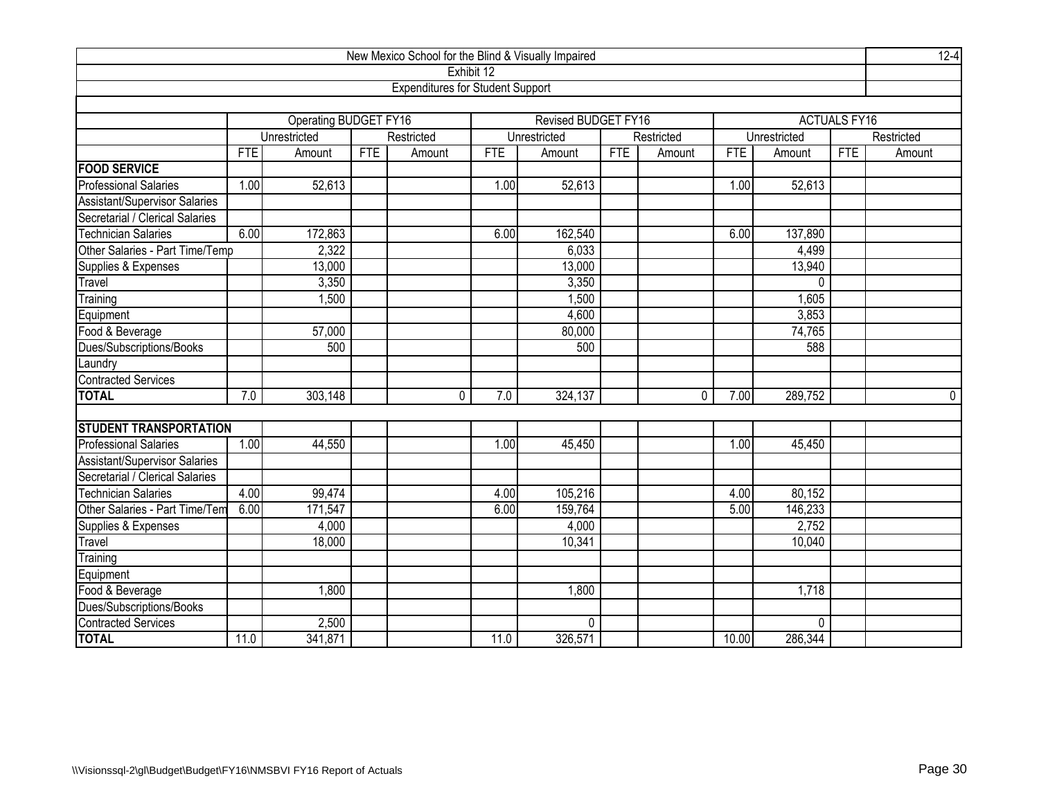|                                      |            |                       |            | New Mexico School for the Blind & Visually Impaired |            |                     |            |            |            |              |                     | $12 - 4$    |
|--------------------------------------|------------|-----------------------|------------|-----------------------------------------------------|------------|---------------------|------------|------------|------------|--------------|---------------------|-------------|
|                                      |            |                       |            | Exhibit 12                                          |            |                     |            |            |            |              |                     |             |
|                                      |            |                       |            | <b>Expenditures for Student Support</b>             |            |                     |            |            |            |              |                     |             |
|                                      |            |                       |            |                                                     |            |                     |            |            |            |              |                     |             |
|                                      |            | Operating BUDGET FY16 |            |                                                     |            | Revised BUDGET FY16 |            |            |            |              | <b>ACTUALS FY16</b> |             |
|                                      |            | Unrestricted          |            | Restricted                                          |            | Unrestricted        |            | Restricted |            | Unrestricted |                     | Restricted  |
|                                      | <b>FTE</b> | Amount                | <b>FTE</b> | Amount                                              | <b>FTE</b> | Amount              | <b>FTE</b> | Amount     | <b>FTE</b> | Amount       | FTE                 | Amount      |
| <b>FOOD SERVICE</b>                  |            |                       |            |                                                     |            |                     |            |            |            |              |                     |             |
| <b>Professional Salaries</b>         | 1.00       | 52,613                |            |                                                     | 1.00       | 52,613              |            |            | 1.00       | 52,613       |                     |             |
| <b>Assistant/Supervisor Salaries</b> |            |                       |            |                                                     |            |                     |            |            |            |              |                     |             |
| Secretarial / Clerical Salaries      |            |                       |            |                                                     |            |                     |            |            |            |              |                     |             |
| <b>Technician Salaries</b>           | 6.00       | 172,863               |            |                                                     | 6.00       | 162,540             |            |            | 6.00       | 137,890      |                     |             |
| Other Salaries - Part Time/Temp      |            | 2,322                 |            |                                                     |            | 6,033               |            |            |            | 4,499        |                     |             |
| Supplies & Expenses                  |            | 13,000                |            |                                                     |            | 13,000              |            |            |            | 13,940       |                     |             |
| Travel                               |            | 3,350                 |            |                                                     |            | 3,350               |            |            |            | 0            |                     |             |
| Training                             |            | 1,500                 |            |                                                     |            | 1,500               |            |            |            | 1,605        |                     |             |
| Equipment                            |            |                       |            |                                                     |            | 4,600               |            |            |            | 3,853        |                     |             |
| Food & Beverage                      |            | 57,000                |            |                                                     |            | 80,000              |            |            |            | 74,765       |                     |             |
| Dues/Subscriptions/Books             |            | 500                   |            |                                                     |            | 500                 |            |            |            | 588          |                     |             |
| Laundry                              |            |                       |            |                                                     |            |                     |            |            |            |              |                     |             |
| <b>Contracted Services</b>           |            |                       |            |                                                     |            |                     |            |            |            |              |                     |             |
| <b>TOTAL</b>                         | 7.0        | 303,148               |            | 0                                                   | 7.0        | 324,137             |            | 0          | 7.00       | 289,752      |                     | $\mathbf 0$ |
|                                      |            |                       |            |                                                     |            |                     |            |            |            |              |                     |             |
| <b>STUDENT TRANSPORTATION</b>        |            |                       |            |                                                     |            |                     |            |            |            |              |                     |             |
| <b>Professional Salaries</b>         | 1.00       | 44,550                |            |                                                     | 1.00       | 45,450              |            |            | 1.00       | 45,450       |                     |             |
| <b>Assistant/Supervisor Salaries</b> |            |                       |            |                                                     |            |                     |            |            |            |              |                     |             |
| Secretarial / Clerical Salaries      |            |                       |            |                                                     |            |                     |            |            |            |              |                     |             |
| Technician Salaries                  | 4.00       | 99,474                |            |                                                     | 4.00       | 105,216             |            |            | 4.00       | 80,152       |                     |             |
| Other Salaries - Part Time/Tem       | 6.00       | 171,547               |            |                                                     | 6.00       | 159,764             |            |            | 5.00       | 146,233      |                     |             |
| Supplies & Expenses                  |            | 4,000                 |            |                                                     |            | 4,000               |            |            |            | 2,752        |                     |             |
| Travel                               |            | 18,000                |            |                                                     |            | 10,341              |            |            |            | 10,040       |                     |             |
| Training                             |            |                       |            |                                                     |            |                     |            |            |            |              |                     |             |
| Equipment                            |            |                       |            |                                                     |            |                     |            |            |            |              |                     |             |
| Food & Beverage                      |            | 1,800                 |            |                                                     |            | 1,800               |            |            |            | 1,718        |                     |             |
| Dues/Subscriptions/Books             |            |                       |            |                                                     |            |                     |            |            |            |              |                     |             |
| <b>Contracted Services</b>           |            | 2,500                 |            |                                                     |            | 0                   |            |            |            | 0            |                     |             |
| <b>TOTAL</b>                         | 11.0       | 341,871               |            |                                                     | 11.0       | 326,571             |            |            | 10.00      | 286,344      |                     |             |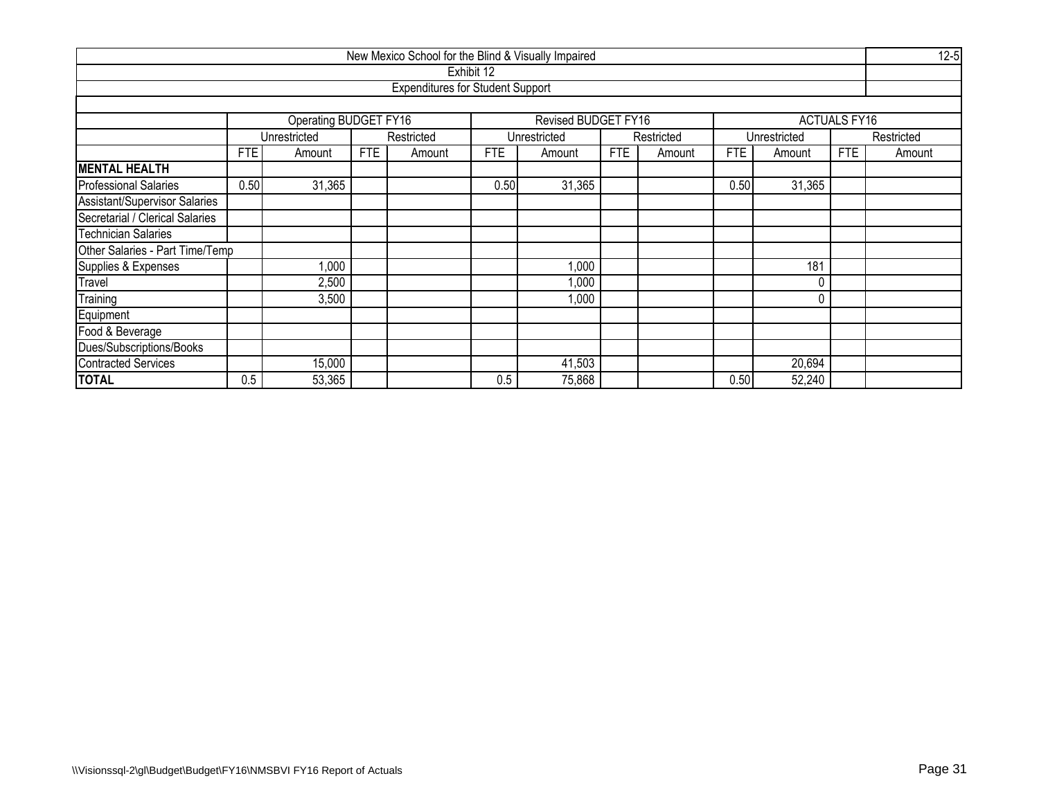| New Mexico School for the Blind & Visually Impaired |            |                                            |            |                                         |            |                     |            |            |            |              |                     |            |  |
|-----------------------------------------------------|------------|--------------------------------------------|------------|-----------------------------------------|------------|---------------------|------------|------------|------------|--------------|---------------------|------------|--|
|                                                     |            |                                            |            |                                         | Exhibit 12 |                     |            |            |            |              |                     |            |  |
|                                                     |            |                                            |            | <b>Expenditures for Student Support</b> |            |                     |            |            |            |              |                     |            |  |
|                                                     |            |                                            |            |                                         |            |                     |            |            |            |              |                     |            |  |
|                                                     |            | <b>Operating BUDGET FY16</b>               |            |                                         |            | Revised BUDGET FY16 |            |            |            |              | <b>ACTUALS FY16</b> |            |  |
|                                                     |            | Unrestricted                               |            | Restricted                              |            | Unrestricted        |            | Restricted |            | Unrestricted |                     | Restricted |  |
|                                                     | <b>FTE</b> | Amount                                     | <b>FTE</b> | Amount                                  | <b>FTE</b> | Amount              | <b>FTE</b> | Amount     | <b>FTE</b> | Amount       | <b>FTE</b>          | Amount     |  |
| <b>MENTAL HEALTH</b>                                |            |                                            |            |                                         |            |                     |            |            |            |              |                     |            |  |
| <b>Professional Salaries</b>                        | 0.50       | 31,365<br>31,365<br>31,365<br>0.50<br>0.50 |            |                                         |            |                     |            |            |            |              |                     |            |  |
| Assistant/Supervisor Salaries                       |            |                                            |            |                                         |            |                     |            |            |            |              |                     |            |  |
| Secretarial / Clerical Salaries                     |            |                                            |            |                                         |            |                     |            |            |            |              |                     |            |  |
| <b>Technician Salaries</b>                          |            |                                            |            |                                         |            |                     |            |            |            |              |                     |            |  |
| Other Salaries - Part Time/Temp                     |            |                                            |            |                                         |            |                     |            |            |            |              |                     |            |  |
| Supplies & Expenses                                 |            | 1,000                                      |            |                                         |            | 1,000               |            |            |            | 181          |                     |            |  |
| Travel                                              |            | 2,500                                      |            |                                         |            | 1,000               |            |            |            |              |                     |            |  |
| Training                                            |            | 3,500                                      |            |                                         |            | 1,000               |            |            |            |              |                     |            |  |
| Equipment                                           |            |                                            |            |                                         |            |                     |            |            |            |              |                     |            |  |
| Food & Beverage                                     |            |                                            |            |                                         |            |                     |            |            |            |              |                     |            |  |
| Dues/Subscriptions/Books                            |            |                                            |            |                                         |            |                     |            |            |            |              |                     |            |  |
| <b>Contracted Services</b>                          |            | 15,000                                     |            |                                         |            | 41,503              |            |            |            | 20,694       |                     |            |  |
| <b>TOTAL</b>                                        | 0.5        | 53,365                                     |            |                                         | 0.5        | 75,868              |            |            | 0.50       | 52,240       |                     |            |  |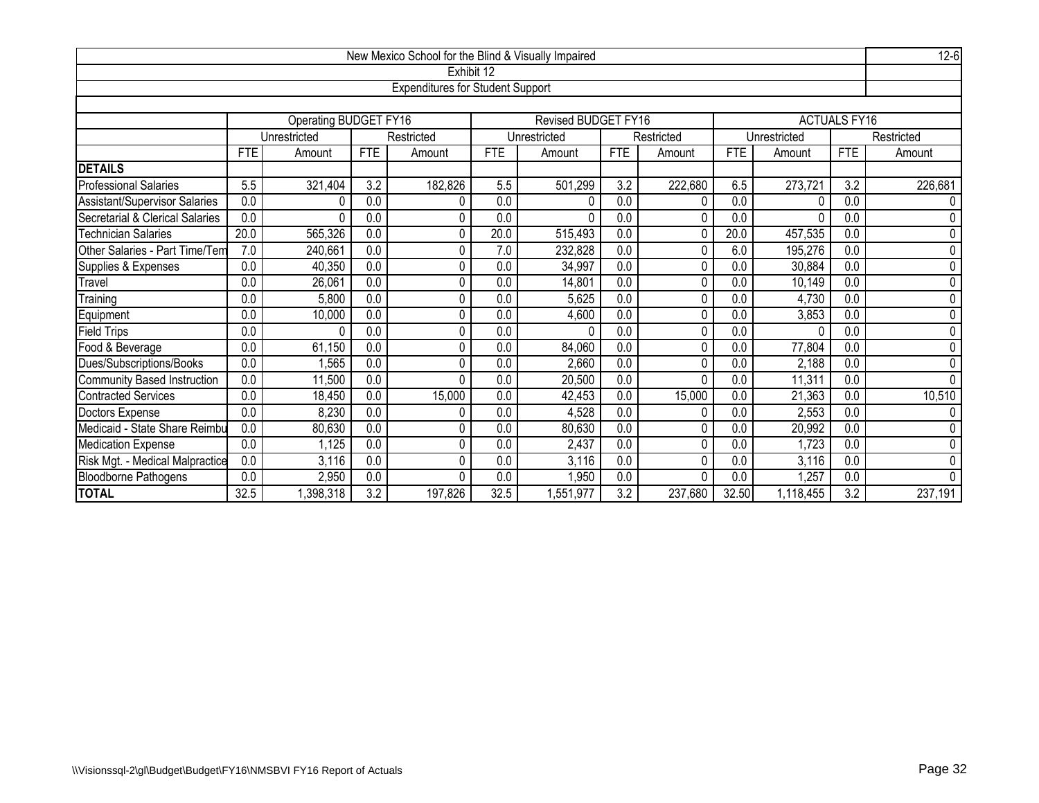| $12 - 6$<br>New Mexico School for the Blind & Visually Impaired<br>Exhibit 12 |                                                                                |                                                                                        |                  |                                         |            |                            |                  |            |            |              |                         |             |  |  |  |
|-------------------------------------------------------------------------------|--------------------------------------------------------------------------------|----------------------------------------------------------------------------------------|------------------|-----------------------------------------|------------|----------------------------|------------------|------------|------------|--------------|-------------------------|-------------|--|--|--|
|                                                                               |                                                                                |                                                                                        |                  |                                         |            |                            |                  |            |            |              |                         |             |  |  |  |
|                                                                               |                                                                                |                                                                                        |                  | <b>Expenditures for Student Support</b> |            |                            |                  |            |            |              |                         |             |  |  |  |
|                                                                               |                                                                                |                                                                                        |                  |                                         |            |                            |                  |            |            |              |                         |             |  |  |  |
|                                                                               |                                                                                | Operating BUDGET FY16                                                                  |                  |                                         |            | <b>Revised BUDGET FY16</b> |                  |            |            |              | <b>ACTUALS FY16</b>     |             |  |  |  |
|                                                                               |                                                                                | Unrestricted                                                                           |                  | Restricted                              |            | Unrestricted               |                  | Restricted |            | Unrestricted |                         | Restricted  |  |  |  |
|                                                                               | <b>FTE</b>                                                                     | Amount                                                                                 | <b>FTE</b>       | Amount                                  | <b>FTE</b> | Amount                     | <b>FTE</b>       | Amount     | <b>FTE</b> | Amount       | <b>FTE</b>              | Amount      |  |  |  |
| <b>DETAILS</b>                                                                |                                                                                |                                                                                        |                  |                                         |            |                            |                  |            |            |              |                         |             |  |  |  |
| <b>Professional Salaries</b>                                                  | 5.5                                                                            | 321,404                                                                                | $\overline{3.2}$ | 182,826                                 | 5.5        | 501,299                    | $\overline{3.2}$ | 222,680    | 6.5        | 273,721      | $\overline{3.2}$<br>0.0 | 226,681     |  |  |  |
| Assistant/Supervisor Salaries                                                 |                                                                                | 0.0<br>0.0<br>0.0<br>0.0<br>0.0<br>0<br>0<br>0<br>0                                    |                  |                                         |            |                            |                  |            |            |              |                         |             |  |  |  |
| Secretarial & Clerical Salaries                                               | 0.0                                                                            | 0.0<br>0.0<br>0.0<br>0.0<br>0.0<br>$\Omega$<br>0<br>$\Omega$<br>0                      |                  |                                         |            |                            |                  |            |            |              |                         |             |  |  |  |
| <b>Technician Salaries</b>                                                    | 20.0                                                                           | 0<br>565,326<br>0.0<br>0<br>20.0<br>515,493<br>0.0<br>20.0<br>457,535<br>0.0<br>0<br>0 |                  |                                         |            |                            |                  |            |            |              |                         |             |  |  |  |
| Other Salaries - Part Time/Tem                                                | 7.0                                                                            | 240,661<br>0.0<br>0<br>7.0<br>0.0<br>6.0<br>195,276<br>0.0<br>232,828                  |                  |                                         |            |                            |                  |            |            |              |                         |             |  |  |  |
| Supplies & Expenses                                                           | 0.0                                                                            | 40,350                                                                                 | 0.0              | 0                                       | 0.0        | 34,997                     | $\overline{0.0}$ | 0          | 0.0        | 30,884       | 0.0                     | 0           |  |  |  |
| Travel                                                                        | 0.0                                                                            | 26,061                                                                                 | 0.0              | 0                                       | 0.0        | 14,801                     | 0.0              | 0          | 0.0        | 10,149       | 0.0                     | $\pmb{0}$   |  |  |  |
| Training                                                                      | 0.0                                                                            | 5,800                                                                                  | 0.0              | 0                                       | 0.0        | 5,625                      | 0.0              | 0          | 0.0        | 4,730        | 0.0                     | 0           |  |  |  |
| Equipment                                                                     | 0.0                                                                            | 10,000                                                                                 | 0.0              | 0                                       | 0.0        | 4,600                      | 0.0              | 0          | 0.0        | 3,853        | 0.0                     | 0           |  |  |  |
| <b>Field Trips</b>                                                            | 0.0                                                                            | O                                                                                      | 0.0              | 0                                       | 0.0        | 0                          | 0.0              | 0          | 0.0        |              | 0.0                     | 0           |  |  |  |
| Food & Beverage                                                               | $\overline{0.0}$                                                               | 61,150                                                                                 | 0.0              | 0                                       | 0.0        | 84,060                     | 0.0              | 0          | 0.0        | 77,804       | $\overline{0.0}$        | 0           |  |  |  |
| Dues/Subscriptions/Books                                                      | $\overline{0.0}$                                                               | ,565                                                                                   | 0.0              | 0                                       | 0.0        | 2,660                      | 0.0              | 0          | 0.0        | 2,188        | 0.0                     | $\pmb{0}$   |  |  |  |
| Community Based Instruction                                                   | 0.0                                                                            | 11,500                                                                                 | 0.0              | 0                                       | 0.0        | 20,500                     | 0.0              | 0          | 0.0        | 11,311       | 0.0                     | $\mathbf 0$ |  |  |  |
| Contracted Services                                                           | $\overline{0.0}$                                                               | 18,450                                                                                 | 0.0              | 15,000                                  | 0.0        | 42,453                     | 0.0              | 15,000     | 0.0        | 21,363       | 0.0                     | 10,510      |  |  |  |
| Doctors Expense                                                               | 0.0                                                                            | 8,230                                                                                  | 0.0              | 0                                       | 0.0        | 4,528                      | 0.0              | 0          | 0.0        | 2,553        | 0.0                     | 0           |  |  |  |
| Medicaid - State Share Reimbu                                                 | 0.0<br>80,630<br>0.0<br>0.0<br>0.0<br>0<br>0.0<br>80,630<br>0.0<br>20,992<br>0 |                                                                                        |                  |                                         |            |                            |                  |            |            |              |                         |             |  |  |  |
| Medication Expense                                                            | $\overline{0.0}$                                                               | ,125                                                                                   | 0.0              | 0                                       | 0.0        | 2,437                      | $\overline{0.0}$ |            | 0.0        | 1,723        | $\overline{0.0}$        | $\pmb{0}$   |  |  |  |
| Risk Mgt. - Medical Malpractice                                               | 0.0                                                                            | 3,116                                                                                  | 0.0              | 0                                       | 0.0        | 3,116                      | 0.0              | 0          | 0.0        | 3,116        | 0.0                     | 0           |  |  |  |
| <b>Bloodborne Pathogens</b>                                                   | 0.0                                                                            | $\overline{0.0}$<br>2,950<br>0.0<br>0<br>0.0<br>0.0<br>0.0<br>1,257<br>,950<br>0       |                  |                                         |            |                            |                  |            |            |              |                         | $\mathbf 0$ |  |  |  |
| <b>TOTAL</b>                                                                  | 32.5                                                                           | ,398,318                                                                               | 3.2              | 197,826                                 | 32.5       | ,551,977                   | 3.2              | 237,680    | 32.50      | 1,118,455    | 3.2                     | 237,191     |  |  |  |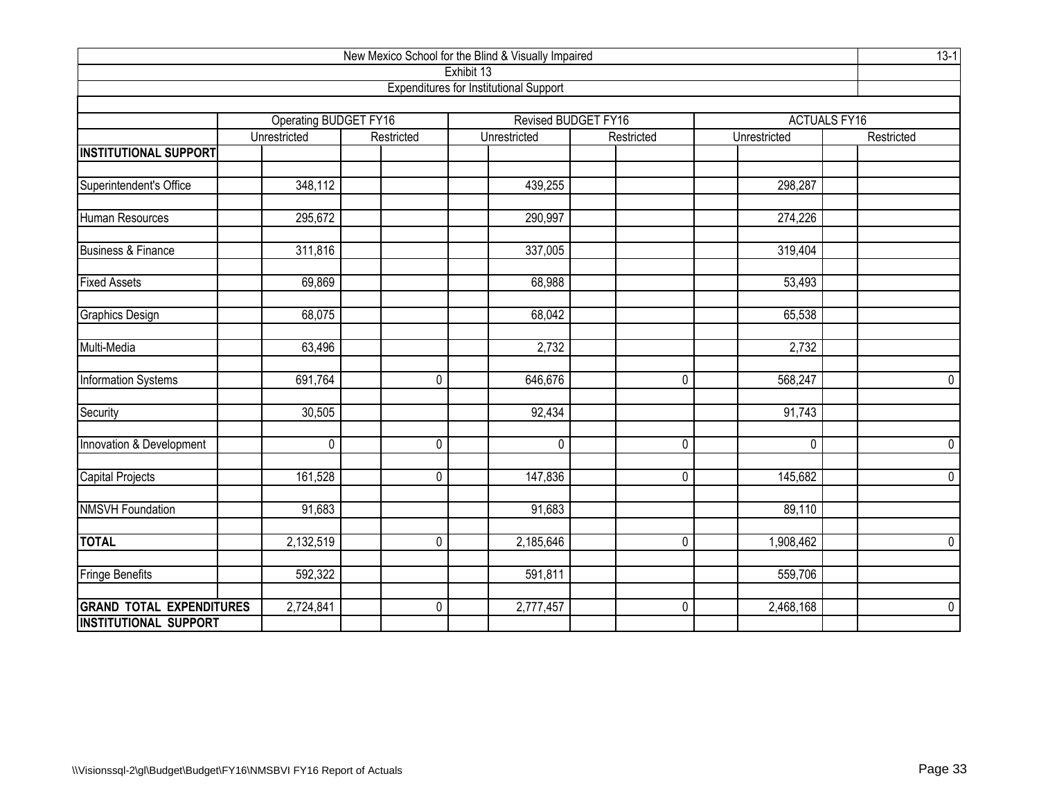|                                 |                       |             | New Mexico School for the Blind & Visually Impaired         |                     |              | $13-1$              |
|---------------------------------|-----------------------|-------------|-------------------------------------------------------------|---------------------|--------------|---------------------|
|                                 |                       |             | Exhibit 13<br><b>Expenditures for Institutional Support</b> |                     |              |                     |
|                                 |                       |             |                                                             |                     |              |                     |
|                                 | Operating BUDGET FY16 |             |                                                             | Revised BUDGET FY16 |              | <b>ACTUALS FY16</b> |
|                                 | Unrestricted          | Restricted  | Unrestricted                                                | Restricted          | Unrestricted | Restricted          |
| <b>INSTITUTIONAL SUPPORT</b>    |                       |             |                                                             |                     |              |                     |
| Superintendent's Office         | 348,112               |             | 439,255                                                     |                     | 298,287      |                     |
|                                 |                       |             |                                                             |                     |              |                     |
| Human Resources                 | 295,672               |             | 290,997                                                     |                     | 274,226      |                     |
| <b>Business &amp; Finance</b>   | 311,816               |             | 337,005                                                     |                     | 319,404      |                     |
|                                 |                       |             |                                                             |                     |              |                     |
| <b>Fixed Assets</b>             | 69,869                |             | 68,988                                                      |                     | 53,493       |                     |
| <b>Graphics Design</b>          | 68,075                |             | 68,042                                                      |                     | 65,538       |                     |
|                                 |                       |             |                                                             |                     |              |                     |
| Multi-Media                     | 63,496                |             | 2,732                                                       |                     | 2,732        |                     |
| Information Systems             | 691,764               | $\mathbf 0$ | 646,676                                                     | 0                   | 568,247      | $\pmb{0}$           |
| Security                        | 30,505                |             | 92,434                                                      |                     | 91,743       |                     |
| Innovation & Development        | $\mathbf 0$           | $\mathbf 0$ | 0                                                           | 0                   | 0            | 0                   |
|                                 |                       |             |                                                             |                     |              |                     |
| <b>Capital Projects</b>         | 161,528               | $\mathbf 0$ | 147,836                                                     | $\mathbf 0$         | 145,682      | 0                   |
| <b>NMSVH Foundation</b>         | 91,683                |             | 91,683                                                      |                     | 89,110       |                     |
| <b>TOTAL</b>                    | 2,132,519             | $\mathbf 0$ | 2,185,646                                                   | $\mathbf 0$         | 1,908,462    | 0                   |
|                                 |                       |             |                                                             |                     |              |                     |
| Fringe Benefits                 | 592,322               |             | 591,811                                                     |                     | 559,706      |                     |
| <b>GRAND TOTAL EXPENDITURES</b> | 2,724,841             | 0           | 2,777,457                                                   | 0                   | 2,468,168    | $\pmb{0}$           |
| <b>INSTITUTIONAL SUPPORT</b>    |                       |             |                                                             |                     |              |                     |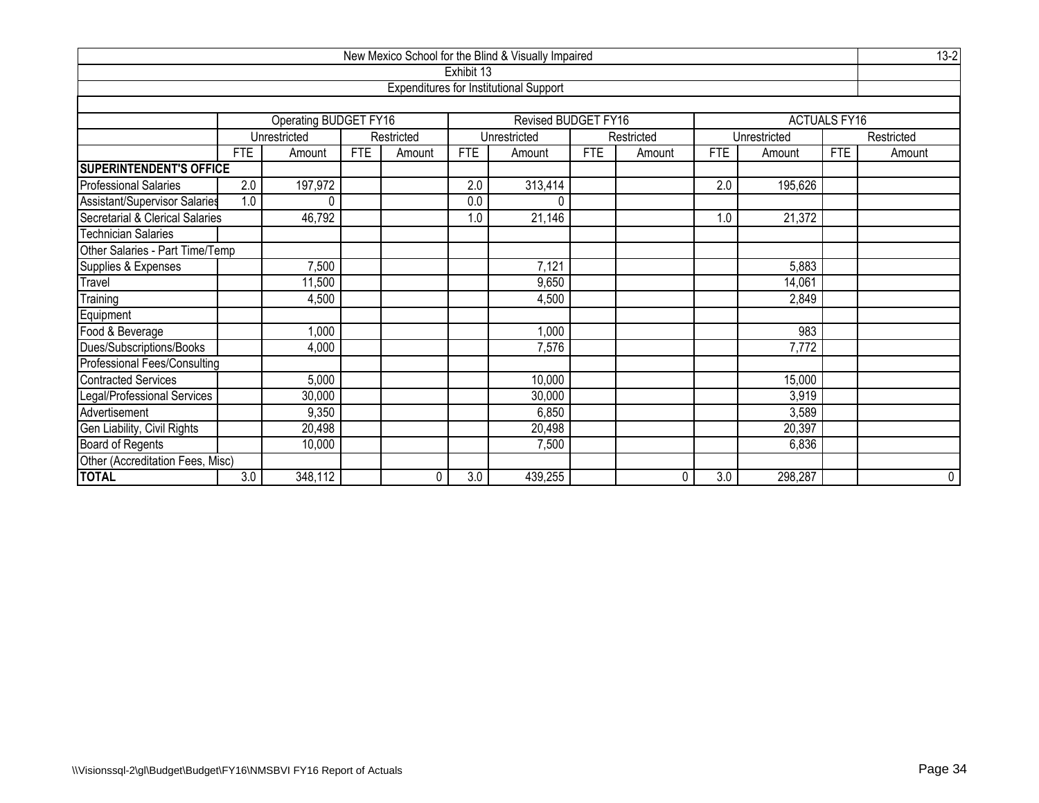| New Mexico School for the Blind & Visually Impaired |                           |                       |            |            |            |                                               |            |            |            |              |                     |            |
|-----------------------------------------------------|---------------------------|-----------------------|------------|------------|------------|-----------------------------------------------|------------|------------|------------|--------------|---------------------|------------|
|                                                     |                           |                       |            |            | Exhibit 13 |                                               |            |            |            |              |                     |            |
|                                                     |                           |                       |            |            |            | <b>Expenditures for Institutional Support</b> |            |            |            |              |                     |            |
|                                                     |                           |                       |            |            |            |                                               |            |            |            |              |                     |            |
|                                                     |                           | Operating BUDGET FY16 |            |            |            | Revised BUDGET FY16                           |            |            |            |              | <b>ACTUALS FY16</b> |            |
|                                                     |                           | Unrestricted          |            | Restricted |            | Unrestricted                                  |            | Restricted |            | Unrestricted |                     | Restricted |
|                                                     | <b>FTE</b>                | Amount                | <b>FTE</b> | Amount     | <b>FTE</b> | Amount                                        | <b>FTE</b> | Amount     | <b>FTE</b> | Amount       | <b>FTE</b>          | Amount     |
| <b>SUPERINTENDENT'S OFFICE</b>                      |                           |                       |            |            |            |                                               |            |            |            |              |                     |            |
| <b>Professional Salaries</b>                        | 2.0                       | 197,972               |            |            | 2.0        | 313,414                                       |            |            | 2.0        | 195,626      |                     |            |
| Assistant/Supervisor Salaries                       | 1.0                       | 0                     |            |            | 0.0        |                                               |            |            |            |              |                     |            |
| Secretarial & Clerical Salaries                     |                           | 46,792                |            |            | 1.0        | 21,146                                        |            |            | 1.0        | 21,372       |                     |            |
| <b>Technician Salaries</b>                          |                           |                       |            |            |            |                                               |            |            |            |              |                     |            |
| Other Salaries - Part Time/Temp                     |                           |                       |            |            |            |                                               |            |            |            |              |                     |            |
| Supplies & Expenses                                 |                           | 7,500                 |            |            |            | 7,121                                         |            |            |            | 5,883        |                     |            |
| Travel                                              |                           | 11,500                |            |            |            | 9,650                                         |            |            |            | 14,061       |                     |            |
| Training                                            |                           | 4,500                 |            |            |            | 4,500                                         |            |            |            | 2,849        |                     |            |
| Equipment                                           |                           |                       |            |            |            |                                               |            |            |            |              |                     |            |
| Food & Beverage                                     |                           | 1,000                 |            |            |            | 1,000                                         |            |            |            | 983          |                     |            |
| Dues/Subscriptions/Books                            |                           | 4,000                 |            |            |            | 7,576                                         |            |            |            | 7,772        |                     |            |
| Professional Fees/Consulting                        |                           |                       |            |            |            |                                               |            |            |            |              |                     |            |
| <b>Contracted Services</b>                          |                           | 5,000                 |            |            |            | 10,000                                        |            |            |            | 15,000       |                     |            |
| Legal/Professional Services                         | 30,000<br>3,919<br>30,000 |                       |            |            |            |                                               |            |            |            |              |                     |            |
| Advertisement                                       | 9,350<br>3,589<br>6,850   |                       |            |            |            |                                               |            |            |            |              |                     |            |
| Gen Liability, Civil Rights                         |                           | 20,498                |            |            |            | 20,498                                        |            |            |            | 20,397       |                     |            |
| Board of Regents                                    |                           | 10,000                |            |            |            | 7,500                                         |            |            |            | 6,836        |                     |            |
| Other (Accreditation Fees, Misc)                    |                           |                       |            |            |            |                                               |            |            |            |              |                     |            |
| <b>TOTAL</b>                                        | 3.0                       | 348,112               |            | 0          | 3.0        | 439,255                                       |            | 0          | 3.0        | 298,287      |                     | 0          |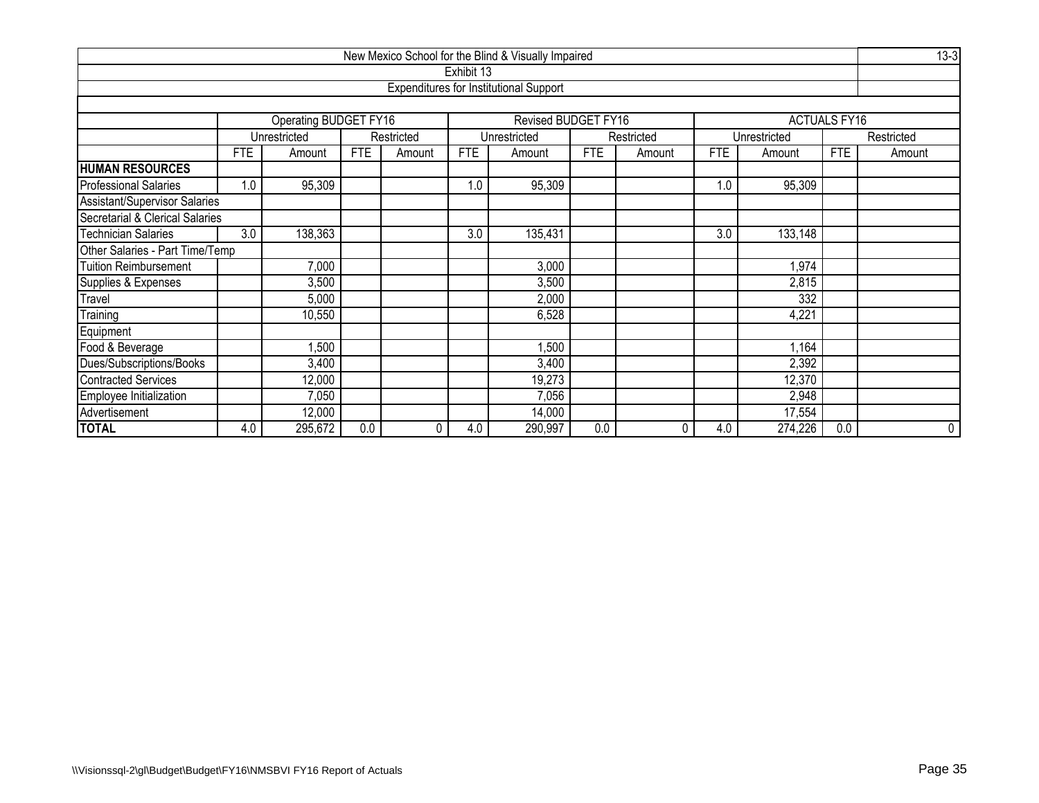| New Mexico School for the Blind & Visually Impaired                              |            |                              |            |            |            |                                               |            |            |            |              |                     |            |
|----------------------------------------------------------------------------------|------------|------------------------------|------------|------------|------------|-----------------------------------------------|------------|------------|------------|--------------|---------------------|------------|
|                                                                                  |            |                              |            |            | Exhibit 13 |                                               |            |            |            |              |                     |            |
|                                                                                  |            |                              |            |            |            | <b>Expenditures for Institutional Support</b> |            |            |            |              |                     |            |
|                                                                                  |            |                              |            |            |            |                                               |            |            |            |              |                     |            |
|                                                                                  |            | <b>Operating BUDGET FY16</b> |            |            |            | Revised BUDGET FY16                           |            |            |            |              | <b>ACTUALS FY16</b> |            |
|                                                                                  |            | Unrestricted                 |            | Restricted |            | Unrestricted                                  |            | Restricted |            | Unrestricted |                     | Restricted |
|                                                                                  | <b>FTE</b> | Amount                       | <b>FTE</b> | Amount     | FTE        | Amount                                        | <b>FTE</b> | Amount     | <b>FTE</b> | Amount       | FTE                 | Amount     |
| <b>HUMAN RESOURCES</b>                                                           |            |                              |            |            |            |                                               |            |            |            |              |                     |            |
| <b>Professional Salaries</b>                                                     | 1.0        | 95,309                       |            |            | 1.0        | 95,309                                        |            |            | 1.0        | 95,309       |                     |            |
| <b>Assistant/Supervisor Salaries</b>                                             |            |                              |            |            |            |                                               |            |            |            |              |                     |            |
| Secretarial & Clerical Salaries                                                  |            |                              |            |            |            |                                               |            |            |            |              |                     |            |
| 138,363<br><b>Technician Salaries</b><br>3.0<br>3.0<br>135,431<br>3.0<br>133,148 |            |                              |            |            |            |                                               |            |            |            |              |                     |            |
| Other Salaries - Part Time/Temp                                                  |            |                              |            |            |            |                                               |            |            |            |              |                     |            |
| Tuition Reimbursement                                                            |            | 7,000                        |            |            |            | 3,000                                         |            |            |            | 1,974        |                     |            |
| Supplies & Expenses                                                              |            | 3,500                        |            |            |            | 3,500                                         |            |            |            | 2,815        |                     |            |
| Travel                                                                           |            | 5,000                        |            |            |            | 2,000                                         |            |            |            | 332          |                     |            |
| Training                                                                         |            | 10,550                       |            |            |            | 6,528                                         |            |            |            | 4,221        |                     |            |
| Equipment                                                                        |            |                              |            |            |            |                                               |            |            |            |              |                     |            |
| Food & Beverage                                                                  |            | 1,500                        |            |            |            | 1,500                                         |            |            |            | 1,164        |                     |            |
| Dues/Subscriptions/Books                                                         |            | 3,400                        |            |            |            | 3,400                                         |            |            |            | 2,392        |                     |            |
| <b>Contracted Services</b>                                                       |            | 12,000                       |            |            |            | 19,273                                        |            |            |            | 12,370       |                     |            |
| Employee Initialization                                                          |            | 7,050                        |            |            |            | 7,056                                         |            |            |            | 2,948        |                     |            |
| Advertisement                                                                    |            | 12,000                       |            |            |            | 14,000                                        |            |            |            | 17,554       |                     |            |
| <b>TOTAL</b>                                                                     | 4.0        | 295,672                      | 0.0        | 0          | 4.0        | 290,997                                       | 0.0        | 0          | 4.0        | 274,226      | 0.0                 | 0          |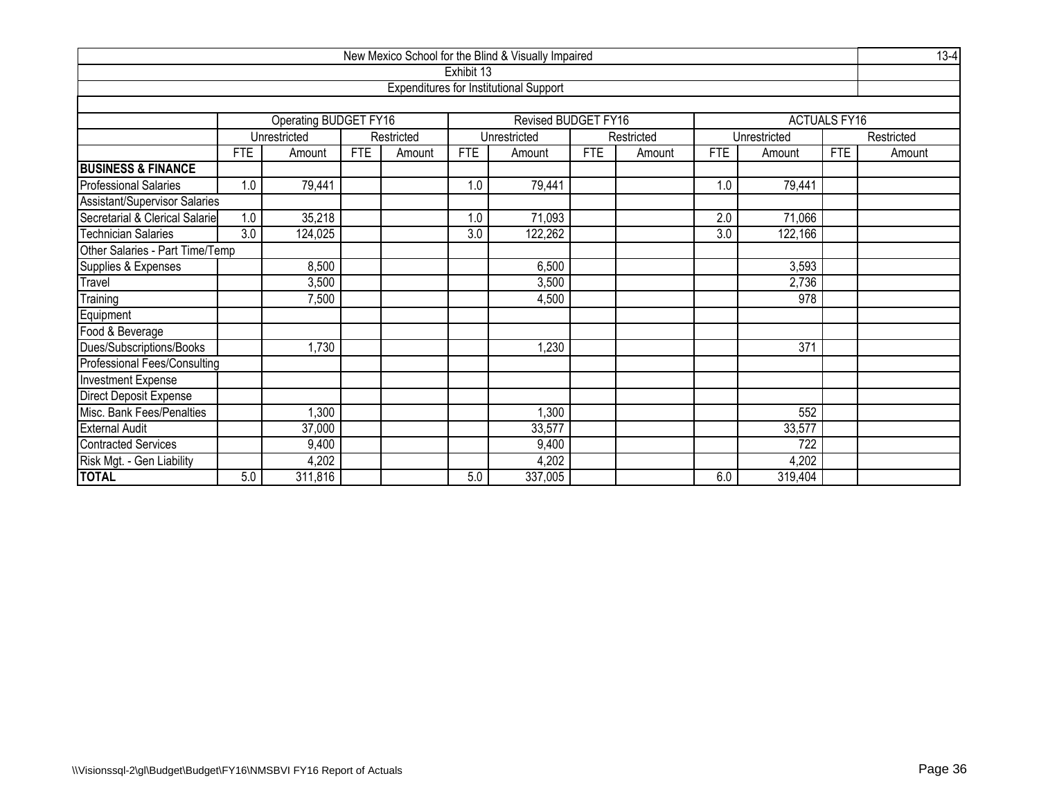| New Mexico School for the Blind & Visually Impaired                                                                     |            |                       |            |            |            |                                               |            |            |                  |              |                     |            |
|-------------------------------------------------------------------------------------------------------------------------|------------|-----------------------|------------|------------|------------|-----------------------------------------------|------------|------------|------------------|--------------|---------------------|------------|
|                                                                                                                         |            |                       |            |            | Exhibit 13 |                                               |            |            |                  |              |                     |            |
|                                                                                                                         |            |                       |            |            |            | <b>Expenditures for Institutional Support</b> |            |            |                  |              |                     |            |
|                                                                                                                         |            |                       |            |            |            |                                               |            |            |                  |              |                     |            |
|                                                                                                                         |            | Operating BUDGET FY16 |            |            |            | Revised BUDGET FY16                           |            |            |                  |              | <b>ACTUALS FY16</b> |            |
|                                                                                                                         |            | Unrestricted          |            | Restricted |            | Unrestricted                                  |            | Restricted |                  | Unrestricted |                     | Restricted |
|                                                                                                                         | <b>FTE</b> | Amount                | <b>FTE</b> | Amount     | <b>FTE</b> | Amount                                        | <b>FTE</b> | Amount     | <b>FTE</b>       | Amount       | <b>FTE</b>          | Amount     |
| <b>BUSINESS &amp; FINANCE</b>                                                                                           |            |                       |            |            |            |                                               |            |            |                  |              |                     |            |
| <b>Professional Salaries</b>                                                                                            | 1.0        | 79,441                |            |            | 1.0        | 79,441                                        |            |            | 1.0              | 79,441       |                     |            |
| Assistant/Supervisor Salaries                                                                                           |            |                       |            |            |            |                                               |            |            |                  |              |                     |            |
| Secretarial & Clerical Salarie                                                                                          | 1.0        | 35,218                |            |            | 1.0        | 71,093                                        |            |            | $\overline{2.0}$ | 71,066       |                     |            |
| <b>Technician Salaries</b><br>$\overline{3.0}$<br>124,025<br>$\overline{3.0}$<br>122,262<br>$\overline{3.0}$<br>122,166 |            |                       |            |            |            |                                               |            |            |                  |              |                     |            |
| Other Salaries - Part Time/Temp                                                                                         |            |                       |            |            |            |                                               |            |            |                  |              |                     |            |
| Supplies & Expenses                                                                                                     |            | 8,500                 |            |            |            | 6,500                                         |            |            |                  | 3,593        |                     |            |
| Travel                                                                                                                  |            | 3,500                 |            |            |            | 3,500                                         |            |            |                  | 2,736        |                     |            |
| Training                                                                                                                |            | 7,500                 |            |            |            | 4,500                                         |            |            |                  | 978          |                     |            |
| Equipment                                                                                                               |            |                       |            |            |            |                                               |            |            |                  |              |                     |            |
| Food & Beverage                                                                                                         |            |                       |            |            |            |                                               |            |            |                  |              |                     |            |
| Dues/Subscriptions/Books                                                                                                |            | ,730                  |            |            |            | 1,230                                         |            |            |                  | 371          |                     |            |
| Professional Fees/Consulting                                                                                            |            |                       |            |            |            |                                               |            |            |                  |              |                     |            |
| Investment Expense                                                                                                      |            |                       |            |            |            |                                               |            |            |                  |              |                     |            |
| Direct Deposit Expense                                                                                                  |            |                       |            |            |            |                                               |            |            |                  |              |                     |            |
| Misc. Bank Fees/Penalties                                                                                               |            | ,300                  |            |            |            | 1,300                                         |            |            |                  | 552          |                     |            |
| <b>External Audit</b>                                                                                                   |            | 37,000                |            |            |            | 33,577                                        |            |            |                  | 33,577       |                     |            |
| Contracted Services                                                                                                     |            | 9,400                 |            |            |            | 9,400                                         |            |            |                  | 722          |                     |            |
| Risk Mgt. - Gen Liability                                                                                               |            | 4,202                 |            |            |            | 4,202                                         |            |            |                  | 4,202        |                     |            |
| <b>TOTAL</b>                                                                                                            | 5.0        | 311,816               |            |            | 5.0        | 337,005                                       |            |            | 6.0              | 319,404      |                     |            |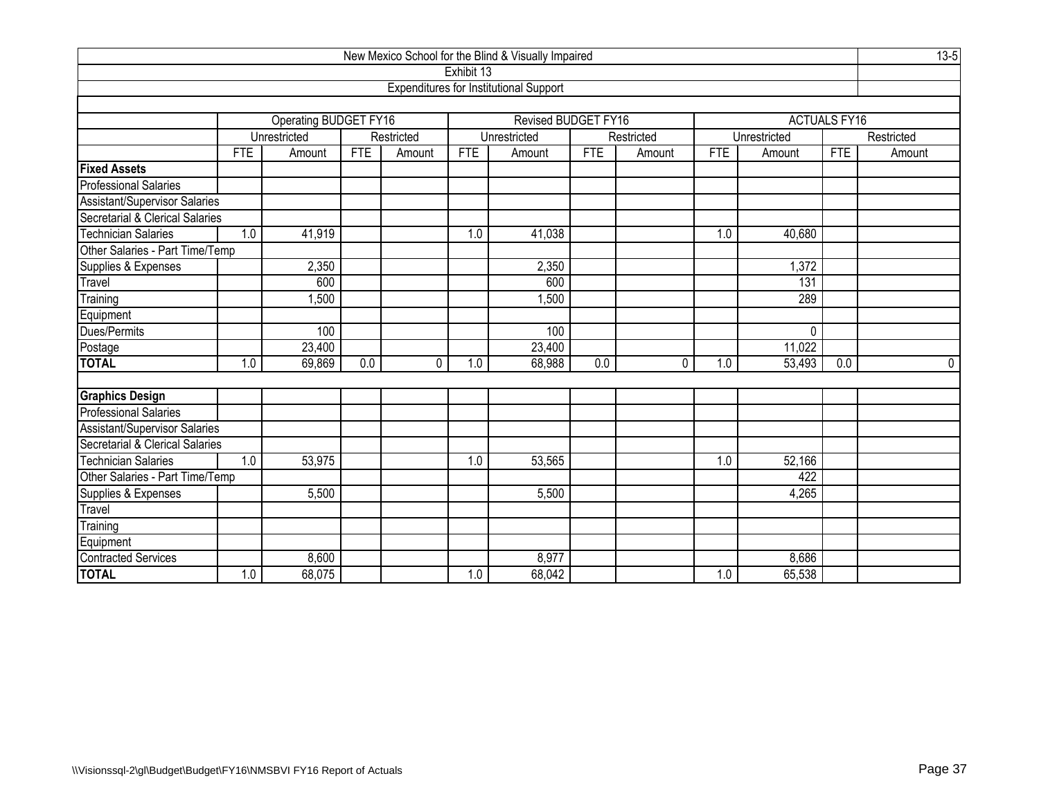| New Mexico School for the Blind & Visually Impaired      |                   |                              |            |            |            |                                               |            |            |            |              |                     |             |  |
|----------------------------------------------------------|-------------------|------------------------------|------------|------------|------------|-----------------------------------------------|------------|------------|------------|--------------|---------------------|-------------|--|
|                                                          |                   |                              |            |            | Exhibit 13 |                                               |            |            |            |              |                     |             |  |
|                                                          |                   |                              |            |            |            | <b>Expenditures for Institutional Support</b> |            |            |            |              |                     |             |  |
|                                                          |                   |                              |            |            |            |                                               |            |            |            |              |                     |             |  |
|                                                          |                   | <b>Operating BUDGET FY16</b> |            |            |            | <b>Revised BUDGET FY16</b>                    |            |            |            |              | <b>ACTUALS FY16</b> |             |  |
|                                                          |                   | Unrestricted                 |            | Restricted |            | Unrestricted                                  |            | Restricted |            | Unrestricted |                     | Restricted  |  |
|                                                          | <b>FTE</b>        | Amount                       | <b>FTE</b> | Amount     | <b>FTE</b> | Amount                                        | <b>FTE</b> | Amount     | <b>FTE</b> | Amount       | <b>FTE</b>          | Amount      |  |
| <b>Fixed Assets</b>                                      |                   |                              |            |            |            |                                               |            |            |            |              |                     |             |  |
| <b>Professional Salaries</b>                             |                   |                              |            |            |            |                                               |            |            |            |              |                     |             |  |
| Assistant/Supervisor Salaries                            |                   |                              |            |            |            |                                               |            |            |            |              |                     |             |  |
| Secretarial & Clerical Salaries<br>Technician Salaries   |                   |                              |            |            |            |                                               |            |            |            |              |                     |             |  |
| 41,919<br>1.0<br>41,038<br>1.0<br>1.0<br>40,680          |                   |                              |            |            |            |                                               |            |            |            |              |                     |             |  |
| Other Salaries - Part Time/Temp                          |                   |                              |            |            |            |                                               |            |            |            |              |                     |             |  |
| Supplies & Expenses<br>Travel<br>2,350<br>2,350<br>1,372 |                   |                              |            |            |            |                                               |            |            |            |              |                     |             |  |
|                                                          | 600<br>600<br>131 |                              |            |            |            |                                               |            |            |            |              |                     |             |  |
| Training                                                 |                   | ,500                         |            |            |            | 1,500                                         |            |            |            | 289          |                     |             |  |
| Equipment                                                |                   |                              |            |            |            |                                               |            |            |            |              |                     |             |  |
| Dues/Permits                                             |                   | 100                          |            |            |            | 100                                           |            |            |            | 0            |                     |             |  |
| Postage<br>TOTAL                                         |                   | 23,400                       |            |            |            | 23,400                                        |            |            |            | 11,022       |                     |             |  |
|                                                          | 1.0               | 69,869                       | 0.0        | 0          | 1.0        | 68,988                                        | 0.0        | 0          | 1.0        | 53,493       | 0.0                 | $\mathbf 0$ |  |
|                                                          |                   |                              |            |            |            |                                               |            |            |            |              |                     |             |  |
| <b>Graphics Design</b>                                   |                   |                              |            |            |            |                                               |            |            |            |              |                     |             |  |
| Professional Salaries                                    |                   |                              |            |            |            |                                               |            |            |            |              |                     |             |  |
| Assistant/Supervisor Salaries                            |                   |                              |            |            |            |                                               |            |            |            |              |                     |             |  |
| Secretarial & Clerical Salaries                          |                   |                              |            |            |            |                                               |            |            |            |              |                     |             |  |
| <b>Technician Salaries</b>                               | 1.0               | 53,975                       |            |            | 1.0        | 53,565                                        |            |            | 1.0        | 52,166       |                     |             |  |
| Other Salaries - Part Time/Temp<br>Supplies & Expenses   |                   |                              |            |            |            |                                               |            |            |            | 422          |                     |             |  |
|                                                          |                   | 5,500                        |            |            |            | 5,500                                         |            |            |            | 4,265        |                     |             |  |
| Travel                                                   |                   |                              |            |            |            |                                               |            |            |            |              |                     |             |  |
| Training                                                 |                   |                              |            |            |            |                                               |            |            |            |              |                     |             |  |
| Equipment<br>Contracted Services                         |                   |                              |            |            |            |                                               |            |            |            |              |                     |             |  |
|                                                          |                   | 8,600                        |            |            |            | 8,977                                         |            |            |            | 8,686        |                     |             |  |
| <b>TOTAL</b>                                             | 1.0               | 68,075                       |            |            | 1.0        | 68,042                                        |            |            | 1.0        | 65,538       |                     |             |  |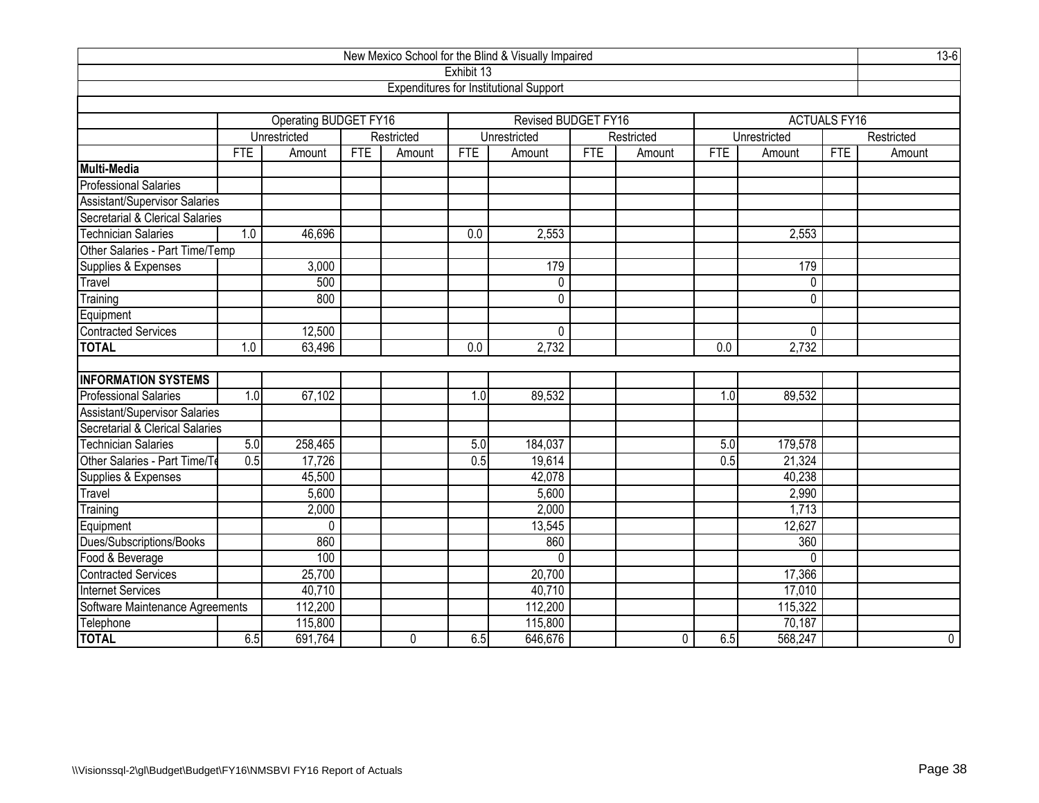| New Mexico School for the Blind & Visually Impaired                  |                                            |                       |            |                |            |                                               |            |             |                  |              |                     |             |  |
|----------------------------------------------------------------------|--------------------------------------------|-----------------------|------------|----------------|------------|-----------------------------------------------|------------|-------------|------------------|--------------|---------------------|-------------|--|
|                                                                      |                                            |                       |            |                | Exhibit 13 |                                               |            |             |                  |              |                     |             |  |
|                                                                      |                                            |                       |            |                |            | <b>Expenditures for Institutional Support</b> |            |             |                  |              |                     |             |  |
|                                                                      |                                            |                       |            |                |            |                                               |            |             |                  |              |                     |             |  |
|                                                                      |                                            | Operating BUDGET FY16 |            |                |            | Revised BUDGET FY16                           |            |             |                  |              | <b>ACTUALS FY16</b> |             |  |
|                                                                      |                                            | Unrestricted          |            | Restricted     |            | Unrestricted                                  |            | Restricted  |                  | Unrestricted |                     | Restricted  |  |
|                                                                      | <b>FTE</b>                                 | Amount                | <b>FTE</b> | Amount         | <b>FTE</b> | Amount                                        | <b>FTE</b> | Amount      | <b>FTE</b>       | Amount       | <b>FTE</b>          | Amount      |  |
| Multi-Media                                                          |                                            |                       |            |                |            |                                               |            |             |                  |              |                     |             |  |
| <b>Professional Salaries</b>                                         |                                            |                       |            |                |            |                                               |            |             |                  |              |                     |             |  |
| Assistant/Supervisor Salaries                                        |                                            |                       |            |                |            |                                               |            |             |                  |              |                     |             |  |
| Secretarial & Clerical Salaries                                      |                                            |                       |            |                |            |                                               |            |             |                  |              |                     |             |  |
| <b>Technician Salaries</b><br>1.0<br>46,696<br>0.0<br>2,553<br>2,553 |                                            |                       |            |                |            |                                               |            |             |                  |              |                     |             |  |
| Other Salaries - Part Time/Temp                                      |                                            |                       |            |                |            |                                               |            |             |                  |              |                     |             |  |
|                                                                      | 179<br>3,000<br>179<br>Supplies & Expenses |                       |            |                |            |                                               |            |             |                  |              |                     |             |  |
| Travel                                                               |                                            | 500                   |            |                |            | $\pmb{0}$                                     |            |             |                  | 0            |                     |             |  |
| Training                                                             | 800<br>$\mathbf 0$<br>0                    |                       |            |                |            |                                               |            |             |                  |              |                     |             |  |
| Equipment                                                            |                                            |                       |            |                |            |                                               |            |             |                  |              |                     |             |  |
| <b>Contracted Services</b>                                           |                                            | 12,500                |            |                |            | 0                                             |            |             |                  | 0            |                     |             |  |
| <b>TOTAL</b>                                                         | 1.0                                        | 63,496                |            |                | 0.0        | 2,732                                         |            |             | $\overline{0.0}$ | 2,732        |                     |             |  |
|                                                                      |                                            |                       |            |                |            |                                               |            |             |                  |              |                     |             |  |
| <b>INFORMATION SYSTEMS</b>                                           |                                            |                       |            |                |            |                                               |            |             |                  |              |                     |             |  |
| <b>Professional Salaries</b>                                         | 1.0                                        | 67,102                |            |                | 1.0        | 89,532                                        |            |             | 1.0              | 89,532       |                     |             |  |
| Assistant/Supervisor Salaries                                        |                                            |                       |            |                |            |                                               |            |             |                  |              |                     |             |  |
| Secretarial & Clerical Salaries                                      |                                            |                       |            |                |            |                                               |            |             |                  |              |                     |             |  |
| <b>Technician Salaries</b>                                           | 5.0                                        | 258,465               |            |                | 5.0        | 184,037                                       |            |             | 5.0              | 179,578      |                     |             |  |
| Other Salaries - Part Time/Te                                        | 0.5                                        | 17,726                |            |                | 0.5        | 19,614                                        |            |             | 0.5              | 21,324       |                     |             |  |
| Supplies & Expenses                                                  |                                            | 45,500                |            |                |            | 42,078                                        |            |             |                  | 40,238       |                     |             |  |
| Travel                                                               |                                            | 5,600                 |            |                |            | 5,600                                         |            |             |                  | 2,990        |                     |             |  |
| Training                                                             |                                            | 2,000                 |            |                |            | 2,000                                         |            |             |                  | 1,713        |                     |             |  |
| Equipment                                                            |                                            | 0                     |            |                |            | 13,545                                        |            |             |                  | 12,627       |                     |             |  |
| Dues/Subscriptions/Books                                             |                                            | 860                   |            |                |            | 860                                           |            |             |                  | 360          |                     |             |  |
| Food & Beverage                                                      |                                            | 100                   |            |                |            | $\Omega$                                      |            |             |                  | $\Omega$     |                     |             |  |
| <b>Contracted Services</b>                                           |                                            | 25,700                |            |                |            | 20,700                                        |            |             |                  | 17,366       |                     |             |  |
| <b>Internet Services</b>                                             |                                            | 40,710                |            |                |            | 40,710                                        |            |             |                  | 17,010       |                     |             |  |
| Software Maintenance Agreements                                      |                                            | 112,200               |            |                |            | 112,200                                       |            |             |                  | 115,322      |                     |             |  |
| Telephone                                                            |                                            | 115,800               |            |                |            | 115,800                                       |            |             |                  | 70,187       |                     |             |  |
| <b>TOTAL</b>                                                         | 6.5                                        | 691,764               |            | $\overline{0}$ | 6.5        | 646,676                                       |            | $\mathbf 0$ | 6.5              | 568,247      |                     | $\mathbf 0$ |  |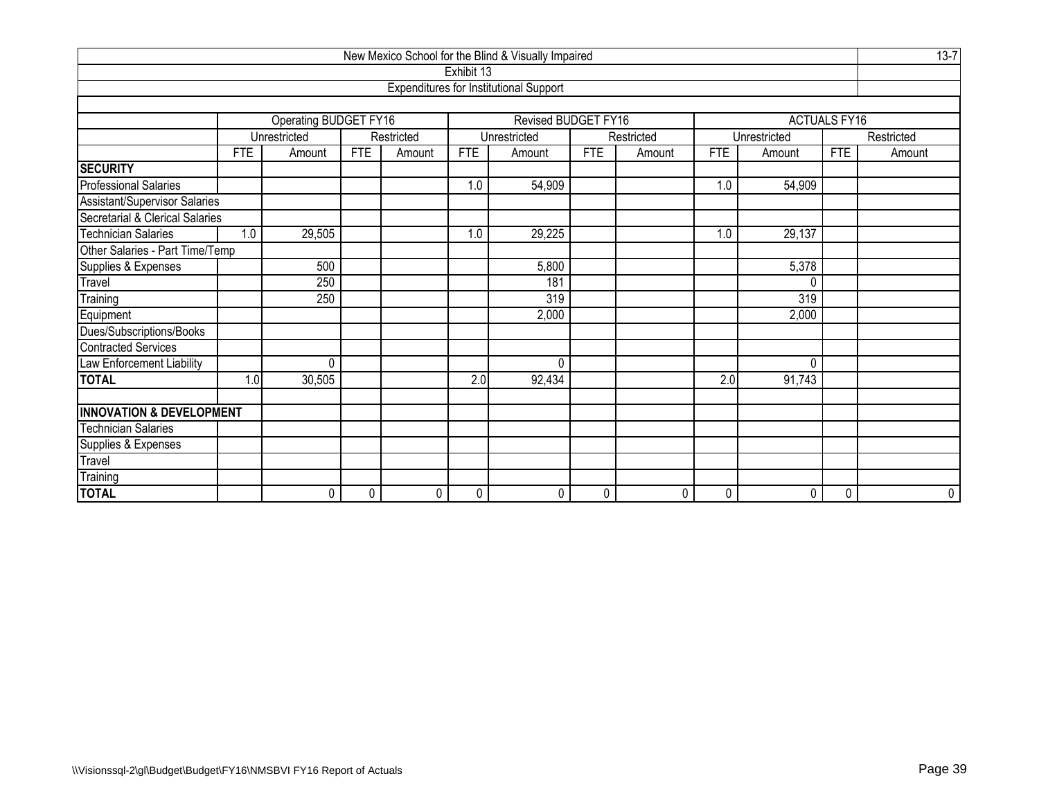| New Mexico School for the Blind & Visually Impaired                           |            |                       |                |            |            |                                               |            |            |            |              |                     |            |  |
|-------------------------------------------------------------------------------|------------|-----------------------|----------------|------------|------------|-----------------------------------------------|------------|------------|------------|--------------|---------------------|------------|--|
|                                                                               |            |                       |                |            | Exhibit 13 |                                               |            |            |            |              |                     |            |  |
|                                                                               |            |                       |                |            |            | <b>Expenditures for Institutional Support</b> |            |            |            |              |                     |            |  |
|                                                                               |            |                       |                |            |            |                                               |            |            |            |              |                     |            |  |
|                                                                               |            | Operating BUDGET FY16 |                |            |            | Revised BUDGET FY16                           |            |            |            |              | <b>ACTUALS FY16</b> |            |  |
|                                                                               |            | Unrestricted          |                | Restricted |            | Unrestricted                                  |            | Restricted |            | Unrestricted |                     | Restricted |  |
|                                                                               | <b>FTE</b> | Amount                | <b>FTE</b>     | Amount     | <b>FTE</b> | Amount                                        | <b>FTE</b> | Amount     | <b>FTE</b> | Amount       | <b>FTE</b>          | Amount     |  |
| <b>SECURITY</b>                                                               |            |                       |                |            |            |                                               |            |            |            |              |                     |            |  |
| <b>Professional Salaries</b>                                                  |            |                       |                |            | 1.0        | 54,909                                        |            |            | 1.0        | 54,909       |                     |            |  |
| Assistant/Supervisor Salaries                                                 |            |                       |                |            |            |                                               |            |            |            |              |                     |            |  |
| Secretarial & Clerical Salaries                                               |            |                       |                |            |            |                                               |            |            |            |              |                     |            |  |
| <b>Technician Salaries</b><br>29,225<br>29,137<br>1.0<br>29,505<br>1.0<br>1.0 |            |                       |                |            |            |                                               |            |            |            |              |                     |            |  |
| Other Salaries - Part Time/Temp                                               |            |                       |                |            |            |                                               |            |            |            |              |                     |            |  |
| Supplies & Expenses                                                           |            | 500                   | 5,378<br>5,800 |            |            |                                               |            |            |            |              |                     |            |  |
| Travel                                                                        |            | 250                   |                |            |            | 181                                           |            |            |            | 0            |                     |            |  |
| Training                                                                      |            | 250                   |                |            |            | 319                                           |            |            |            | 319          |                     |            |  |
| Equipment                                                                     |            |                       |                |            |            | 2,000                                         |            |            |            | 2,000        |                     |            |  |
| Dues/Subscriptions/Books                                                      |            |                       |                |            |            |                                               |            |            |            |              |                     |            |  |
| <b>Contracted Services</b>                                                    |            |                       |                |            |            |                                               |            |            |            |              |                     |            |  |
| Law Enforcement Liability                                                     |            | 0                     |                |            |            | $\Omega$                                      |            |            |            | 0            |                     |            |  |
| <b>TOTAL</b>                                                                  | 1.0        | 30,505                |                |            | 2.0        | 92,434                                        |            |            | 2.0        | 91,743       |                     |            |  |
|                                                                               |            |                       |                |            |            |                                               |            |            |            |              |                     |            |  |
| <b>INNOVATION &amp; DEVELOPMENT</b>                                           |            |                       |                |            |            |                                               |            |            |            |              |                     |            |  |
| <b>Technician Salaries</b>                                                    |            |                       |                |            |            |                                               |            |            |            |              |                     |            |  |
| Supplies & Expenses                                                           |            |                       |                |            |            |                                               |            |            |            |              |                     |            |  |
| Travel                                                                        |            |                       |                |            |            |                                               |            |            |            |              |                     |            |  |
| Training                                                                      |            |                       |                |            |            |                                               |            |            |            |              |                     |            |  |
| <b>TOTAL</b>                                                                  |            | 0                     | 0              | 0          | 0          | 0                                             | 0          | 0          | 0          | 0            | 0                   | 0          |  |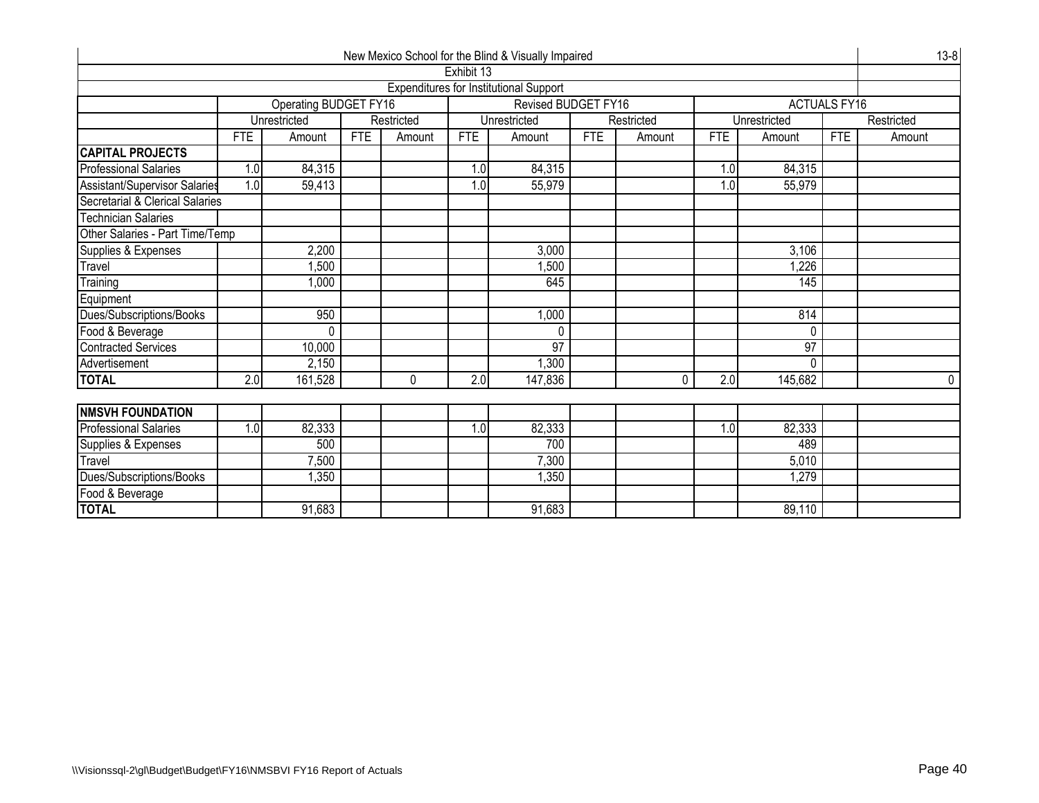| New Mexico School for the Blind & Visually Impaired<br>Exhibit 13 |                        |                              |            |            |            |                                               |            |            |            |                 |                     |            |  |  |
|-------------------------------------------------------------------|------------------------|------------------------------|------------|------------|------------|-----------------------------------------------|------------|------------|------------|-----------------|---------------------|------------|--|--|
|                                                                   |                        |                              |            |            |            |                                               |            |            |            |                 |                     |            |  |  |
|                                                                   |                        |                              |            |            |            | <b>Expenditures for Institutional Support</b> |            |            |            |                 |                     |            |  |  |
|                                                                   |                        | <b>Operating BUDGET FY16</b> |            |            |            | Revised BUDGET FY16                           |            |            |            |                 | <b>ACTUALS FY16</b> |            |  |  |
|                                                                   |                        | Unrestricted                 |            | Restricted |            | Unrestricted                                  |            | Restricted |            | Unrestricted    |                     | Restricted |  |  |
|                                                                   | <b>FTE</b>             | Amount                       | <b>FTE</b> | Amount     | <b>FTE</b> | Amount                                        | <b>FTE</b> | Amount     | <b>FTE</b> | Amount          | <b>FTE</b>          | Amount     |  |  |
| <b>CAPITAL PROJECTS</b>                                           |                        |                              |            |            |            |                                               |            |            |            |                 |                     |            |  |  |
| <b>Professional Salaries</b>                                      | 1.0                    | 84,315                       |            |            | 1.0        | 84,315                                        |            |            | 1.0        | 84,315          |                     |            |  |  |
| <b>Assistant/Supervisor Salaries</b>                              | 1.0                    | 59,413                       |            |            | 1.0        | 55,979                                        |            |            | 1.0        | 55,979          |                     |            |  |  |
| Secretarial & Clerical Salaries                                   |                        |                              |            |            |            |                                               |            |            |            |                 |                     |            |  |  |
| <b>Technician Salaries</b>                                        |                        |                              |            |            |            |                                               |            |            |            |                 |                     |            |  |  |
| Other Salaries - Part Time/Temp                                   |                        |                              |            |            |            |                                               |            |            |            |                 |                     |            |  |  |
| Supplies & Expenses<br>2,200<br>3,000<br>3,106                    |                        |                              |            |            |            |                                               |            |            |            |                 |                     |            |  |  |
| Travel                                                            | 1,500<br>1,226<br>.500 |                              |            |            |            |                                               |            |            |            |                 |                     |            |  |  |
| Training                                                          | 145<br>1,000<br>645    |                              |            |            |            |                                               |            |            |            |                 |                     |            |  |  |
| Equipment                                                         |                        |                              |            |            |            |                                               |            |            |            |                 |                     |            |  |  |
| Dues/Subscriptions/Books                                          |                        | 950                          |            |            |            | 1,000                                         |            |            |            | 814             |                     |            |  |  |
| Food & Beverage                                                   |                        | 0                            |            |            |            | 0                                             |            |            |            | 0               |                     |            |  |  |
| <b>Contracted Services</b>                                        |                        | 10,000                       |            |            |            | $\overline{97}$                               |            |            |            | $\overline{97}$ |                     |            |  |  |
| Advertisement                                                     |                        | 2,150                        |            |            |            | 1,300                                         |            |            |            | 0               |                     |            |  |  |
| <b>TOTAL</b>                                                      | $\overline{2.0}$       | 161,528                      |            | $\Omega$   | 2.0        | 147,836                                       |            | O          | 2.0        | 145,682         |                     | 0          |  |  |
|                                                                   |                        |                              |            |            |            |                                               |            |            |            |                 |                     |            |  |  |
| <b>NMSVH FOUNDATION</b>                                           |                        |                              |            |            |            |                                               |            |            |            |                 |                     |            |  |  |
| <b>Professional Salaries</b>                                      | 1.0                    | 82,333                       |            |            | 1.0        | 82,333                                        |            |            | 1.0        | 82,333          |                     |            |  |  |
| Supplies & Expenses                                               |                        | 500                          |            |            |            | 700                                           |            |            |            | 489             |                     |            |  |  |
| Travel                                                            |                        | 7,500                        |            |            |            | 7,300                                         |            |            |            | 5,010           |                     |            |  |  |
| Dues/Subscriptions/Books                                          |                        | 1,350                        |            |            |            | 1,350                                         |            |            |            | 1,279           |                     |            |  |  |
| Food & Beverage                                                   |                        |                              |            |            |            |                                               |            |            |            |                 |                     |            |  |  |
| <b>TOTAL</b>                                                      |                        | 91,683                       |            |            |            | 91,683                                        |            |            |            | 89,110          |                     |            |  |  |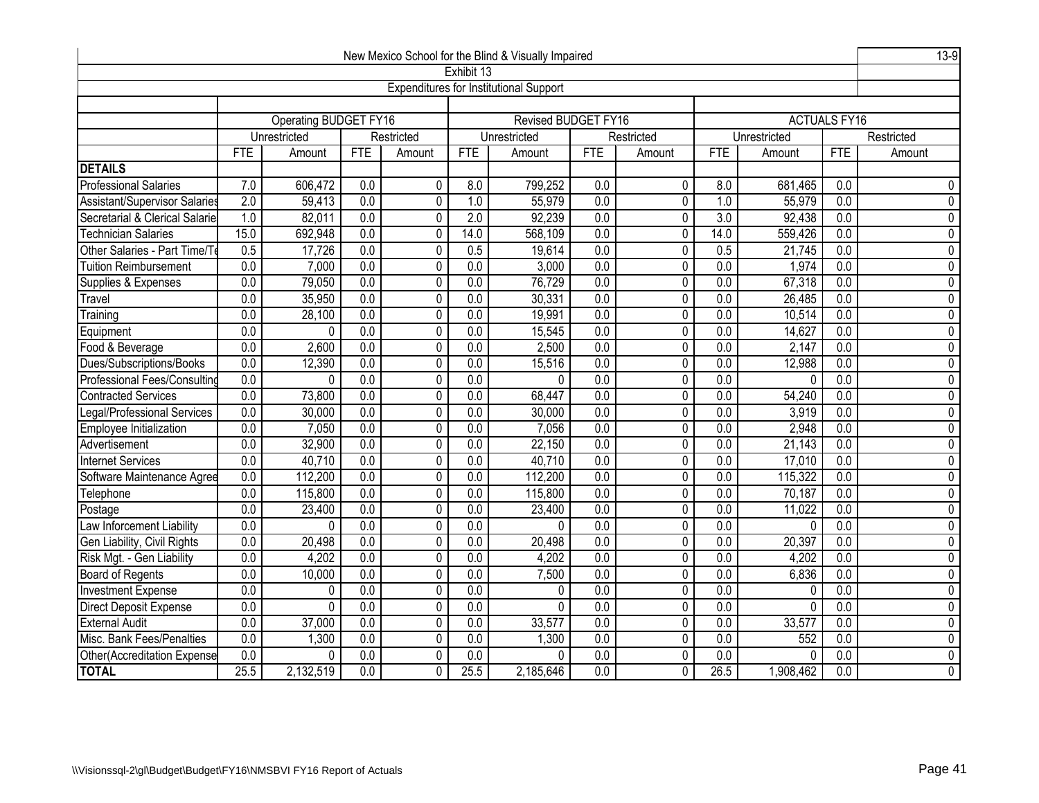| New Mexico School for the Blind & Visually Impaired |                                                                                                                                                              |                                                                                                                                                            |                  |                |                  |                                               |                  |                |                  |                |                     |                             |  |
|-----------------------------------------------------|--------------------------------------------------------------------------------------------------------------------------------------------------------------|------------------------------------------------------------------------------------------------------------------------------------------------------------|------------------|----------------|------------------|-----------------------------------------------|------------------|----------------|------------------|----------------|---------------------|-----------------------------|--|
|                                                     |                                                                                                                                                              |                                                                                                                                                            |                  |                | Exhibit 13       |                                               |                  |                |                  |                |                     |                             |  |
|                                                     |                                                                                                                                                              |                                                                                                                                                            |                  |                |                  | <b>Expenditures for Institutional Support</b> |                  |                |                  |                |                     |                             |  |
|                                                     |                                                                                                                                                              |                                                                                                                                                            |                  |                |                  |                                               |                  |                |                  |                |                     |                             |  |
|                                                     |                                                                                                                                                              | Operating BUDGET FY16                                                                                                                                      |                  |                |                  | <b>Revised BUDGET FY16</b>                    |                  |                |                  |                | <b>ACTUALS FY16</b> |                             |  |
|                                                     |                                                                                                                                                              | Unrestricted                                                                                                                                               |                  | Restricted     |                  | Unrestricted                                  |                  | Restricted     |                  | Unrestricted   |                     | Restricted                  |  |
|                                                     | <b>FTE</b>                                                                                                                                                   | Amount                                                                                                                                                     | FTE              | Amount         | <b>FTE</b>       | Amount                                        | <b>FTE</b>       | Amount         | <b>FTE</b>       | Amount         | <b>FTE</b>          | Amount                      |  |
| <b>DETAILS</b>                                      |                                                                                                                                                              |                                                                                                                                                            |                  |                |                  |                                               |                  |                |                  |                |                     |                             |  |
| <b>Professional Salaries</b>                        | 7.0                                                                                                                                                          | 606,472                                                                                                                                                    | 0.0              | 0              | 8.0              | 799,252                                       | 0.0              | $\mathbf{0}$   | 8.0              | 681,465        | 0.0                 | 0                           |  |
| Assistant/Supervisor Salaries                       | $\overline{2.0}$                                                                                                                                             | 59,413                                                                                                                                                     | $\overline{0.0}$ | 0              | $\overline{1.0}$ | 55,979                                        | $\overline{0.0}$ | 0              | $\overline{1.0}$ | 55,979         | $\overline{0.0}$    | $\pmb{0}$                   |  |
| Secretarial & Clerical Salarie                      | 1.0                                                                                                                                                          | 82,011                                                                                                                                                     | 0.0              | 0              | 2.0              | 92,239                                        | 0.0              | $\mathbf 0$    | 3.0              | 92,438         | $\overline{0.0}$    | $\overline{0}$              |  |
| <b>Technician Salaries</b>                          | 15.0                                                                                                                                                         | 692,948                                                                                                                                                    | $\overline{0.0}$ | 0              | 14.0             | 568,109                                       | $\overline{0.0}$ | $\mathbf 0$    | 14.0             | 559,426        | 0.0                 | $\pmb{0}$                   |  |
| Other Salaries - Part Time/To                       | $\overline{0.5}$                                                                                                                                             | 17,726                                                                                                                                                     | $\overline{0.0}$ | $\pmb{0}$      | 0.5              | 19,614                                        | 0.0              | $\pmb{0}$      | 0.5              | 21,745         | $\overline{0.0}$    | $\pmb{0}$<br>$\overline{0}$ |  |
| <b>Tuition Reimbursement</b>                        | 0.0                                                                                                                                                          | 0.0<br>7,000<br>0.0<br>$\mathbf 0$<br>0.0<br>3,000<br>0.0<br>1,974<br>0.0<br>0                                                                             |                  |                |                  |                                               |                  |                |                  |                |                     |                             |  |
| Supplies & Expenses                                 | $\overline{0.0}$                                                                                                                                             | 79,050<br>$\overline{0.0}$<br>$\pmb{0}$<br>$\overline{0.0}$<br>76,729<br>$\overline{0.0}$<br>$\overline{0.0}$<br>67,318<br>$\overline{0.0}$<br>$\mathbf 0$ |                  |                |                  |                                               |                  |                |                  |                |                     |                             |  |
| Travel                                              | $\overline{0.0}$                                                                                                                                             | 35,950<br>0.0<br>$\overline{0}$<br>0.0<br>30,331<br>0.0<br>26,485<br>$\mathbf 0$<br>$\overline{0.0}$<br>$\overline{0.0}$                                   |                  |                |                  |                                               |                  |                |                  |                |                     |                             |  |
| Training                                            | 0.0<br>0.0<br>19,991<br>0.0<br>10,514<br>$\overline{0.0}$<br>28,100<br>$\mathbf 0$<br>$\mathbf 0$<br>$\overline{0.0}$<br>$\overline{0.0}$                    |                                                                                                                                                            |                  |                |                  |                                               |                  |                |                  |                |                     |                             |  |
| Equipment                                           | 0.0<br>$\overline{0.0}$<br>$\overline{0.0}$<br>$\mathbf 0$<br>$\overline{0.0}$<br>15,545<br>$\pmb{0}$<br>$\overline{0.0}$<br>14,627<br>$\overline{0.0}$<br>0 |                                                                                                                                                            |                  |                |                  |                                               |                  |                |                  |                |                     | 0                           |  |
| Food & Beverage                                     | 0.0                                                                                                                                                          | 2,500<br>2,600<br>0.0<br>0<br>0.0<br>0.0<br>0<br>0.0<br>2,147<br>0.0                                                                                       |                  |                |                  |                                               |                  |                |                  | 0              |                     |                             |  |
| Dues/Subscriptions/Books                            | 0.0                                                                                                                                                          | 12,390                                                                                                                                                     | 0.0              | 0              | $\overline{0.0}$ | 15,516                                        | 0.0              | $\mathbf 0$    | $\overline{0.0}$ | 12,988         | $\overline{0.0}$    | $\pmb{0}$                   |  |
| Professional Fees/Consultino                        | 0.0                                                                                                                                                          | $\Omega$                                                                                                                                                   | 0.0              | 0              | 0.0              | $\Omega$                                      | 0.0              | 0              | 0.0              | $\Omega$       | 0.0                 | 0                           |  |
| <b>Contracted Services</b>                          | $\overline{0.0}$                                                                                                                                             | 73,800                                                                                                                                                     | $\overline{0.0}$ | 0              | 0.0              | 68,447                                        | $\overline{0.0}$ | $\mathbf 0$    | $\overline{0.0}$ | 54,240         | $\overline{0.0}$    | $\pmb{0}$                   |  |
| Legal/Professional Services                         | 0.0                                                                                                                                                          | 30,000                                                                                                                                                     | 0.0              | $\overline{0}$ | 0.0              | 30,000                                        | 0.0              | $\pmb{0}$      | 0.0              | 3,919          | 0.0                 | $\overline{0}$              |  |
| Employee Initialization                             | $\overline{0.0}$                                                                                                                                             | 7,050                                                                                                                                                      | $\overline{0.0}$ | 0              | $\overline{0.0}$ | 7,056                                         | $\overline{0.0}$ | $\pmb{0}$      | $\overline{0.0}$ | 2,948          | $\overline{0.0}$    | $\pmb{0}$                   |  |
| Advertisement                                       | 0.0                                                                                                                                                          | 32,900                                                                                                                                                     | $\overline{0.0}$ | $\overline{0}$ | 0.0              | 22,150                                        | 0.0              | $\pmb{0}$      | $\overline{0.0}$ | 21,143         | 0.0                 | $\overline{0}$              |  |
| <b>Internet Services</b>                            | 0.0                                                                                                                                                          | 40,710                                                                                                                                                     | $\overline{0.0}$ | $\pmb{0}$      | $\overline{0.0}$ | 40,710                                        | $\overline{0.0}$ | 0              | $\overline{0.0}$ | 17,010         | $\overline{0.0}$    | $\pmb{0}$                   |  |
| Software Maintenance Agree                          | $\overline{0.0}$                                                                                                                                             | 112,200                                                                                                                                                    | 0.0              | $\pmb{0}$      | 0.0              | 112,200                                       | $\overline{0.0}$ | $\mathbf 0$    | $\overline{0.0}$ | 115,322        | $\overline{0.0}$    | $\pmb{0}$                   |  |
| Telephone                                           | $\overline{0.0}$                                                                                                                                             | 115,800                                                                                                                                                    | 0.0              | $\overline{0}$ | 0.0              | 115,800                                       | 0.0              | 0              | 0.0              | 70,187         | 0.0                 | $\overline{0}$              |  |
| Postage                                             | $\overline{0.0}$                                                                                                                                             | 23,400                                                                                                                                                     | $\overline{0.0}$ | $\pmb{0}$      | $\overline{0.0}$ | 23,400                                        | $\overline{0.0}$ | $\mathbf 0$    | $\overline{0.0}$ | 11,022         | $\overline{0.0}$    | 0                           |  |
| Law Inforcement Liability                           | $\overline{0.0}$                                                                                                                                             | 0                                                                                                                                                          | $\overline{0.0}$ | $\mathbf 0$    | $\overline{0.0}$ | 0                                             | $\overline{0.0}$ | $\pmb{0}$      | $\overline{0.0}$ | $\Omega$       | $\overline{0.0}$    | 0                           |  |
| Gen Liability, Civil Rights                         | $\overline{0.0}$                                                                                                                                             | 20,498                                                                                                                                                     | $\overline{0.0}$ | $\pmb{0}$      | $\overline{0.0}$ | 20,498                                        | $\overline{0.0}$ | 0              | $\overline{0.0}$ | 20,397         | $\overline{0.0}$    | $\pmb{0}$                   |  |
| Risk Mgt. - Gen Liability                           | $\overline{0.0}$                                                                                                                                             | 4,202                                                                                                                                                      | $\overline{0.0}$ | 0              | $\overline{0.0}$ | 4,202                                         | $\overline{0.0}$ | $\mathbf 0$    | $\overline{0.0}$ | 4,202          | $\overline{0.0}$    | $\pmb{0}$                   |  |
| Board of Regents                                    | 0.0                                                                                                                                                          | 10,000                                                                                                                                                     | 0.0              | 0              | 0.0              | 7,500                                         | 0.0              | 0              | 0.0              | 6,836          | 0.0                 | $\mathbf 0$                 |  |
| <b>Investment Expense</b>                           | $\overline{0.0}$                                                                                                                                             | 0                                                                                                                                                          | $\overline{0.0}$ | $\pmb{0}$      | $\overline{0.0}$ | 0                                             | $\overline{0.0}$ | 0              | 0.0              | 0              | $\overline{0.0}$    | 0                           |  |
| <b>Direct Deposit Expense</b>                       | 0.0                                                                                                                                                          | $\overline{0}$                                                                                                                                             | 0.0              | $\overline{0}$ | 0.0              | 0                                             | 0.0              | $\overline{0}$ | 0.0              | $\overline{0}$ | 0.0                 | $\overline{0}$              |  |
| <b>External Audit</b>                               | 0.0                                                                                                                                                          | 37,000                                                                                                                                                     | $\overline{0.0}$ | 0              | 0.0              | 33,577                                        | 0.0              | 0              | 0.0              | 33,577         | $\overline{0.0}$    | $\overline{0}$              |  |
| Misc. Bank Fees/Penalties                           | 0.0                                                                                                                                                          | 1,300                                                                                                                                                      | 0.0              | $\overline{0}$ | 0.0              | 1,300                                         | 0.0              | 0              | 0.0              | 552            | 0.0                 | $\overline{0}$              |  |
| Other(Accreditation Expense                         | $\overline{0.0}$                                                                                                                                             | $\Omega$                                                                                                                                                   | 0.0              | 0              | 0.0              | 0                                             | $\overline{0.0}$ | 0              | 0.0              | 0              | $\overline{0.0}$    | 0                           |  |
| <b>TOTAL</b>                                        | 25.5                                                                                                                                                         | 2,132,519                                                                                                                                                  | 0.0              | 0              | 25.5             | 2,185,646                                     | 0.0              | $\overline{0}$ | 26.5             | 1,908,462      | 0.0                 | $\overline{0}$              |  |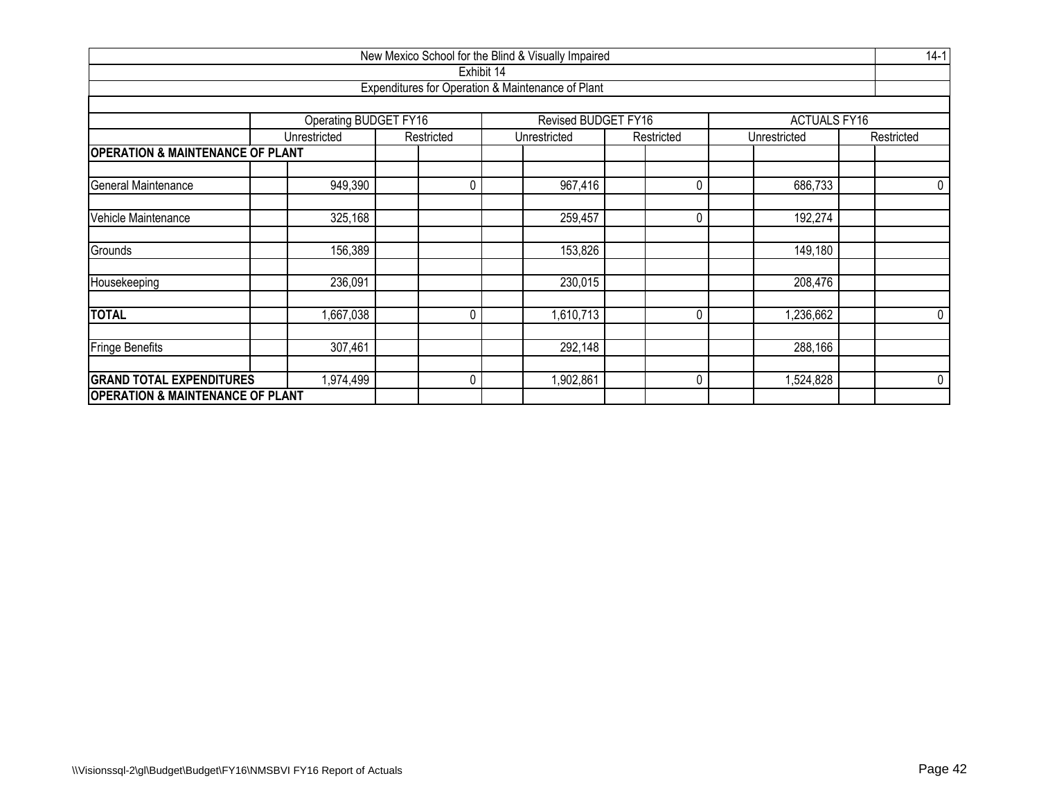| New Mexico School for the Blind & Visually Impaired |                              |              |                                                   |            |                     |            |  |  |  |  |  |  |  |
|-----------------------------------------------------|------------------------------|--------------|---------------------------------------------------|------------|---------------------|------------|--|--|--|--|--|--|--|
|                                                     |                              | Exhibit 14   |                                                   |            |                     |            |  |  |  |  |  |  |  |
|                                                     |                              |              | Expenditures for Operation & Maintenance of Plant |            |                     |            |  |  |  |  |  |  |  |
|                                                     |                              |              |                                                   |            |                     |            |  |  |  |  |  |  |  |
|                                                     | <b>Operating BUDGET FY16</b> |              | <b>Revised BUDGET FY16</b>                        |            | <b>ACTUALS FY16</b> |            |  |  |  |  |  |  |  |
|                                                     | Unrestricted                 | Restricted   | Unrestricted                                      | Restricted | Unrestricted        | Restricted |  |  |  |  |  |  |  |
| <b>OPERATION &amp; MAINTENANCE OF PLANT</b>         |                              |              |                                                   |            |                     |            |  |  |  |  |  |  |  |
|                                                     |                              |              |                                                   |            |                     |            |  |  |  |  |  |  |  |
| General Maintenance                                 | 949,390                      | $\mathbf{0}$ | 967,416                                           | 0          | 686,733             | 0          |  |  |  |  |  |  |  |
| Vehicle Maintenance                                 | 325,168                      |              | 259,457                                           | $\Omega$   | 192,274             |            |  |  |  |  |  |  |  |
| Grounds                                             | 156,389                      |              | 153,826                                           |            | 149,180             |            |  |  |  |  |  |  |  |
| Housekeeping                                        | 236,091                      |              | 230,015                                           |            | 208,476             |            |  |  |  |  |  |  |  |
| <b>TOTAL</b>                                        | ,667,038                     | 0            | 1,610,713                                         | 0          | 1,236,662           | 0          |  |  |  |  |  |  |  |
| <b>Fringe Benefits</b>                              | 307,461                      |              | 292,148                                           |            | 288,166             |            |  |  |  |  |  |  |  |
| <b>GRAND TOTAL EXPENDITURES</b>                     | 1,974,499                    | $\mathbf{0}$ | 1,902,861                                         | 0          | 1,524,828           | 0          |  |  |  |  |  |  |  |
| <b>OPERATION &amp; MAINTENANCE OF PLANT</b>         |                              |              |                                                   |            |                     |            |  |  |  |  |  |  |  |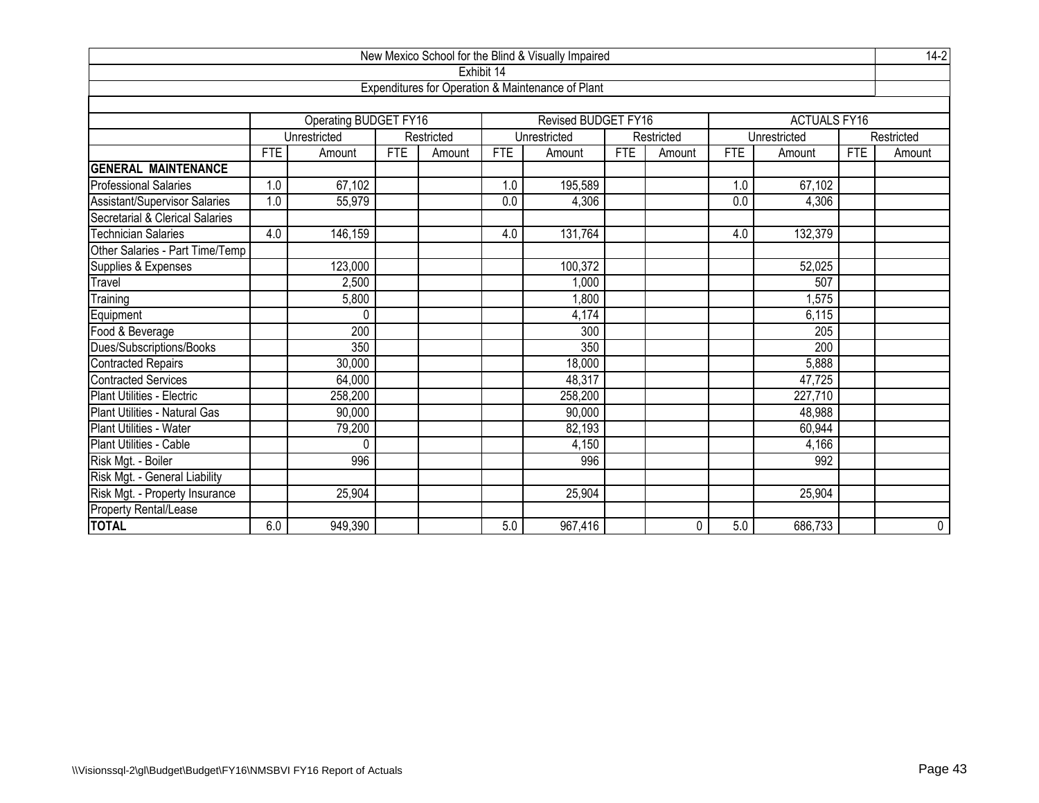| New Mexico School for the Blind & Visually Impaired |            |                       |            |            |            |                                                   |            |             |            |                     |            |             |
|-----------------------------------------------------|------------|-----------------------|------------|------------|------------|---------------------------------------------------|------------|-------------|------------|---------------------|------------|-------------|
|                                                     |            |                       |            |            | Exhibit 14 |                                                   |            |             |            |                     |            |             |
|                                                     |            |                       |            |            |            | Expenditures for Operation & Maintenance of Plant |            |             |            |                     |            |             |
|                                                     |            | Operating BUDGET FY16 |            |            |            | <b>Revised BUDGET FY16</b>                        |            |             |            | <b>ACTUALS FY16</b> |            |             |
|                                                     |            | Unrestricted          |            | Restricted |            | Unrestricted                                      |            | Restricted  |            | Unrestricted        |            | Restricted  |
|                                                     | <b>FTE</b> | Amount                | <b>FTE</b> | Amount     | <b>FTE</b> | Amount                                            | <b>FTE</b> | Amount      | <b>FTE</b> | Amount              | <b>FTE</b> | Amount      |
| <b>GENERAL MAINTENANCE</b>                          |            |                       |            |            |            |                                                   |            |             |            |                     |            |             |
| <b>Professional Salaries</b>                        | 1.0        | 67,102                |            |            | 1.0        | 195,589                                           |            |             | 1.0        | 67,102              |            |             |
| Assistant/Supervisor Salaries                       | 1.0        | 55,979                |            |            | 0.0        | 4,306                                             |            |             | 0.0        | 4,306               |            |             |
| Secretarial & Clerical Salaries                     |            |                       |            |            |            |                                                   |            |             |            |                     |            |             |
| Technician Salaries                                 | 4.0        | 146,159               |            |            | 4.0        | 131,764                                           |            |             | 4.0        | 132,379             |            |             |
| Other Salaries - Part Time/Temp                     |            |                       |            |            |            |                                                   |            |             |            |                     |            |             |
| Supplies & Expenses                                 |            | 123,000               |            |            |            | 100,372                                           |            |             |            | 52,025              |            |             |
| Travel                                              |            | 2,500                 |            |            |            | 1,000                                             |            |             |            | 507                 |            |             |
| Training                                            |            | 5,800                 |            |            |            | 1,800                                             |            |             |            | 1,575               |            |             |
| Equipment                                           |            | $\Omega$              |            |            |            | 4,174                                             |            |             |            | 6,115               |            |             |
| Food & Beverage                                     |            | 200                   |            |            |            | $\overline{300}$                                  |            |             |            | 205                 |            |             |
| Dues/Subscriptions/Books                            |            | 350                   |            |            |            | 350                                               |            |             |            | 200                 |            |             |
| <b>Contracted Repairs</b>                           |            | 30,000                |            |            |            | 18,000                                            |            |             |            | 5,888               |            |             |
| <b>Contracted Services</b>                          |            | 64,000                |            |            |            | 48,317                                            |            |             |            | 47,725              |            |             |
| Plant Utilities - Electric                          |            | 258,200               |            |            |            | 258,200                                           |            |             |            | 227,710             |            |             |
| Plant Utilities - Natural Gas                       |            | 90,000                |            |            |            | 90,000                                            |            |             |            | 48,988              |            |             |
| Plant Utilities - Water                             |            | 79,200                |            |            |            | 82,193                                            |            |             |            | 60,944              |            |             |
| Plant Utilities - Cable                             |            | $\theta$              |            |            |            | 4,150                                             |            |             |            | 4,166               |            |             |
| Risk Mgt. - Boiler                                  |            | 996                   |            |            |            | 996                                               |            |             |            | 992                 |            |             |
| Risk Mgt. - General Liability                       |            |                       |            |            |            |                                                   |            |             |            |                     |            |             |
| Risk Mgt. - Property Insurance                      |            | 25,904                |            |            |            | 25,904                                            |            |             |            | 25,904              |            |             |
| Property Rental/Lease                               |            |                       |            |            |            |                                                   |            |             |            |                     |            |             |
| <b>TOTAL</b>                                        | 6.0        | 949,390               |            |            | 5.0        | 967,416                                           |            | $\mathbf 0$ | 5.0        | 686,733             |            | $\mathbf 0$ |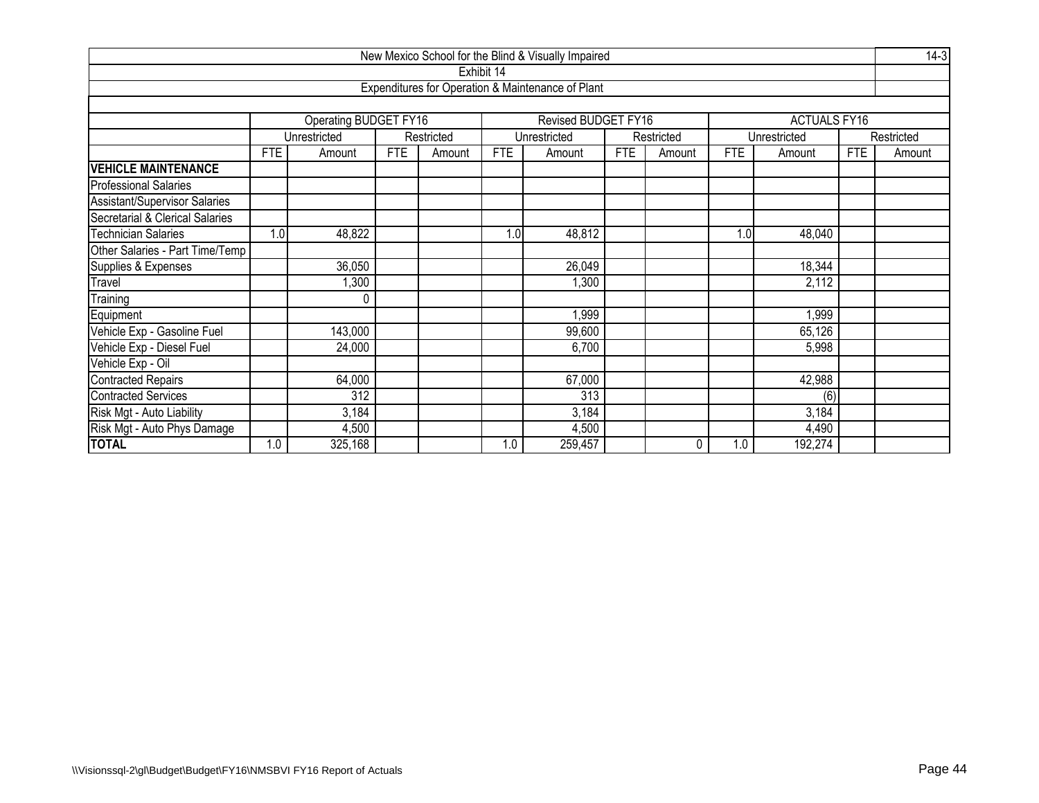| New Mexico School for the Blind & Visually Impaired<br>Exhibit 14             |            |                       |            |            |            |                                                   |            |            |            |                     |            |            |  |
|-------------------------------------------------------------------------------|------------|-----------------------|------------|------------|------------|---------------------------------------------------|------------|------------|------------|---------------------|------------|------------|--|
|                                                                               |            |                       |            |            |            |                                                   |            |            |            |                     |            |            |  |
|                                                                               |            |                       |            |            |            | Expenditures for Operation & Maintenance of Plant |            |            |            |                     |            |            |  |
|                                                                               |            |                       |            |            |            |                                                   |            |            |            |                     |            |            |  |
|                                                                               |            | Operating BUDGET FY16 |            |            |            | Revised BUDGET FY16                               |            |            |            | <b>ACTUALS FY16</b> |            |            |  |
|                                                                               |            | Unrestricted          |            | Restricted |            | Unrestricted                                      |            | Restricted |            | Unrestricted        |            | Restricted |  |
|                                                                               | <b>FTE</b> | Amount                | <b>FTE</b> | Amount     | <b>FTE</b> | Amount                                            | <b>FTE</b> | Amount     | <b>FTE</b> | Amount              | <b>FTE</b> | Amount     |  |
| <b>VEHICLE MAINTENANCE</b>                                                    |            |                       |            |            |            |                                                   |            |            |            |                     |            |            |  |
| <b>Professional Salaries</b>                                                  |            |                       |            |            |            |                                                   |            |            |            |                     |            |            |  |
| <b>Assistant/Supervisor Salaries</b>                                          |            |                       |            |            |            |                                                   |            |            |            |                     |            |            |  |
| Secretarial & Clerical Salaries                                               |            |                       |            |            |            |                                                   |            |            |            |                     |            |            |  |
| 48,822<br><b>Technician Salaries</b><br>1.0<br>1.0<br>48,812<br>1.0<br>48,040 |            |                       |            |            |            |                                                   |            |            |            |                     |            |            |  |
| Other Salaries - Part Time/Temp                                               |            |                       |            |            |            |                                                   |            |            |            |                     |            |            |  |
| Supplies & Expenses                                                           |            | 36,050                |            |            |            | 26,049                                            |            |            |            | 18,344              |            |            |  |
| Travel                                                                        |            | ,300                  |            |            |            | 1,300                                             |            |            |            | 2,112               |            |            |  |
| Training                                                                      |            | 0                     |            |            |            |                                                   |            |            |            |                     |            |            |  |
| Equipment                                                                     |            |                       |            |            |            | 1,999                                             |            |            |            | 1,999               |            |            |  |
| Vehicle Exp - Gasoline Fuel                                                   |            | 143,000               |            |            |            | 99,600                                            |            |            |            | 65,126              |            |            |  |
| Vehicle Exp - Diesel Fuel                                                     |            | 24,000                |            |            |            | 6,700                                             |            |            |            | 5,998               |            |            |  |
| Vehicle Exp - Oil                                                             |            |                       |            |            |            |                                                   |            |            |            |                     |            |            |  |
| 64,000<br>67,000<br>42,988<br><b>Contracted Repairs</b>                       |            |                       |            |            |            |                                                   |            |            |            |                     |            |            |  |
| <b>Contracted Services</b>                                                    |            | $\overline{312}$      |            |            |            | 313                                               |            |            |            | (6)                 |            |            |  |
| Risk Mgt - Auto Liability                                                     |            | 3,184                 |            |            |            | 3,184                                             |            |            |            | 3,184               |            |            |  |
| Risk Mgt - Auto Phys Damage                                                   |            | 4,500                 |            |            |            | 4,500                                             |            |            |            | 4,490               |            |            |  |
| <b>TOTAL</b>                                                                  | 1.0        | 325,168               |            |            | 1.0        | 259,457                                           |            | 0          | 1.0        | 192,274             |            |            |  |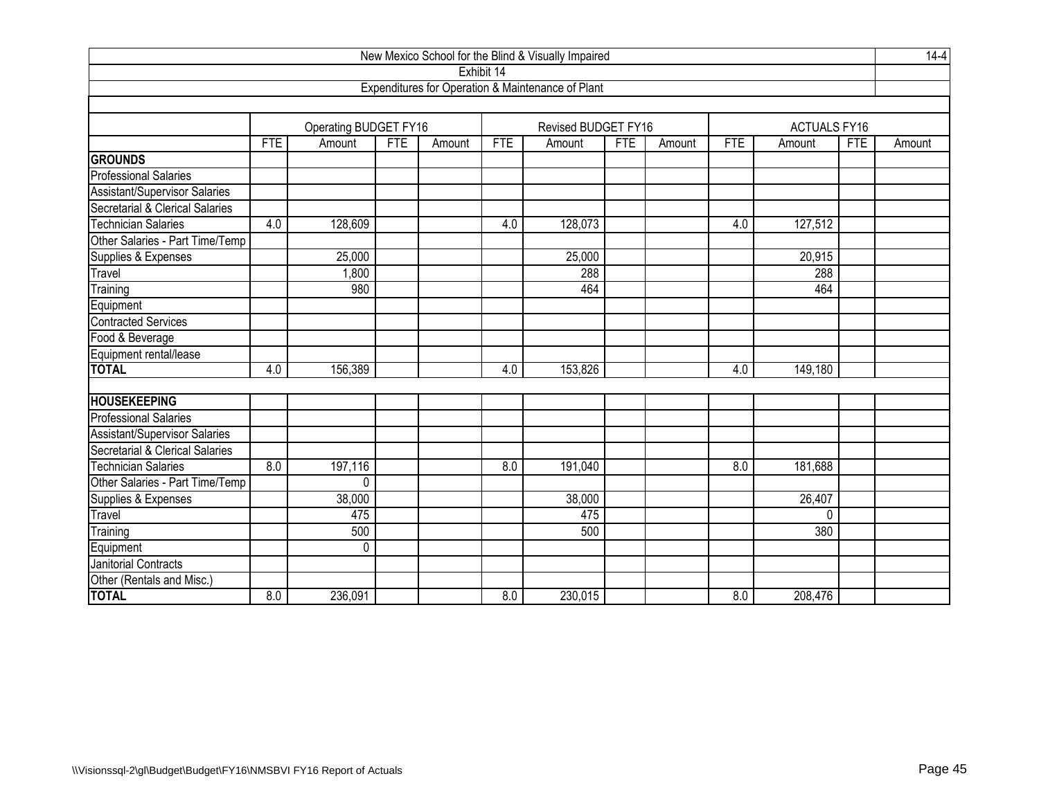| New Mexico School for the Blind & Visually Impaired |                  |                       |            |        |                  |                                                   |            |        |                  |                      |            | $14-4$ |
|-----------------------------------------------------|------------------|-----------------------|------------|--------|------------------|---------------------------------------------------|------------|--------|------------------|----------------------|------------|--------|
|                                                     |                  |                       |            |        | Exhibit 14       |                                                   |            |        |                  |                      |            |        |
|                                                     |                  |                       |            |        |                  | Expenditures for Operation & Maintenance of Plant |            |        |                  |                      |            |        |
|                                                     |                  |                       |            |        |                  |                                                   |            |        |                  |                      |            |        |
|                                                     |                  | Operating BUDGET FY16 |            |        |                  | Revised BUDGET FY16                               |            |        |                  | <b>ACTUALS FY16</b>  |            |        |
|                                                     | <b>FTE</b>       | Amount                | <b>FTE</b> | Amount | <b>FTE</b>       | Amount                                            | <b>FTE</b> | Amount | <b>FTE</b>       | Amount               | <b>FTE</b> | Amount |
| <b>GROUNDS</b>                                      |                  |                       |            |        |                  |                                                   |            |        |                  |                      |            |        |
| <b>Professional Salaries</b>                        |                  |                       |            |        |                  |                                                   |            |        |                  |                      |            |        |
| Assistant/Supervisor Salaries                       |                  |                       |            |        |                  |                                                   |            |        |                  |                      |            |        |
| Secretarial & Clerical Salaries                     |                  |                       |            |        |                  |                                                   |            |        |                  |                      |            |        |
| <b>Technician Salaries</b>                          | 4.0              | 128,609               |            |        | 4.0              | 128,073                                           |            |        | 4.0              | $\overline{127,512}$ |            |        |
| Other Salaries - Part Time/Temp                     |                  |                       |            |        |                  |                                                   |            |        |                  |                      |            |        |
| Supplies & Expenses                                 |                  | 25,000                |            |        |                  | 25,000                                            |            |        |                  | 20,915               |            |        |
| Travel                                              |                  | 1,800                 |            |        |                  | 288                                               |            |        |                  | 288                  |            |        |
| Training                                            |                  | 980                   |            |        |                  | 464                                               |            |        |                  | 464                  |            |        |
| Equipment                                           |                  |                       |            |        |                  |                                                   |            |        |                  |                      |            |        |
| <b>Contracted Services</b>                          |                  |                       |            |        |                  |                                                   |            |        |                  |                      |            |        |
| Food & Beverage                                     |                  |                       |            |        |                  |                                                   |            |        |                  |                      |            |        |
| Equipment rental/lease                              |                  |                       |            |        |                  |                                                   |            |        |                  |                      |            |        |
| <b>TOTAL</b>                                        | 4.0              | 156,389               |            |        | 4.0              | 153,826                                           |            |        | 4.0              | 149,180              |            |        |
|                                                     |                  |                       |            |        |                  |                                                   |            |        |                  |                      |            |        |
| <b>HOUSEKEEPING</b>                                 |                  |                       |            |        |                  |                                                   |            |        |                  |                      |            |        |
| <b>Professional Salaries</b>                        |                  |                       |            |        |                  |                                                   |            |        |                  |                      |            |        |
| <b>Assistant/Supervisor Salaries</b>                |                  |                       |            |        |                  |                                                   |            |        |                  |                      |            |        |
| Secretarial & Clerical Salaries                     |                  |                       |            |        |                  |                                                   |            |        |                  |                      |            |        |
| <b>Technician Salaries</b>                          | 8.0              | 197,116               |            |        | 8.0              | 191,040                                           |            |        | 8.0              | 181,688              |            |        |
| Other Salaries - Part Time/Temp                     |                  | $\Omega$              |            |        |                  |                                                   |            |        |                  |                      |            |        |
| Supplies & Expenses                                 |                  | 38,000                |            |        |                  | 38,000                                            |            |        |                  | 26,407               |            |        |
| Travel                                              |                  | 475                   |            |        |                  | 475                                               |            |        |                  | $\Omega$             |            |        |
| Training                                            |                  | 500                   |            |        |                  | 500                                               |            |        |                  | 380                  |            |        |
| Equipment                                           |                  | 0                     |            |        |                  |                                                   |            |        |                  |                      |            |        |
| Janitorial Contracts                                |                  |                       |            |        |                  |                                                   |            |        |                  |                      |            |        |
| Other (Rentals and Misc.)                           |                  |                       |            |        |                  |                                                   |            |        |                  |                      |            |        |
| <b>TOTAL</b>                                        | $\overline{8.0}$ | 236,091               |            |        | $\overline{8.0}$ | 230,015                                           |            |        | $\overline{8.0}$ | 208,476              |            |        |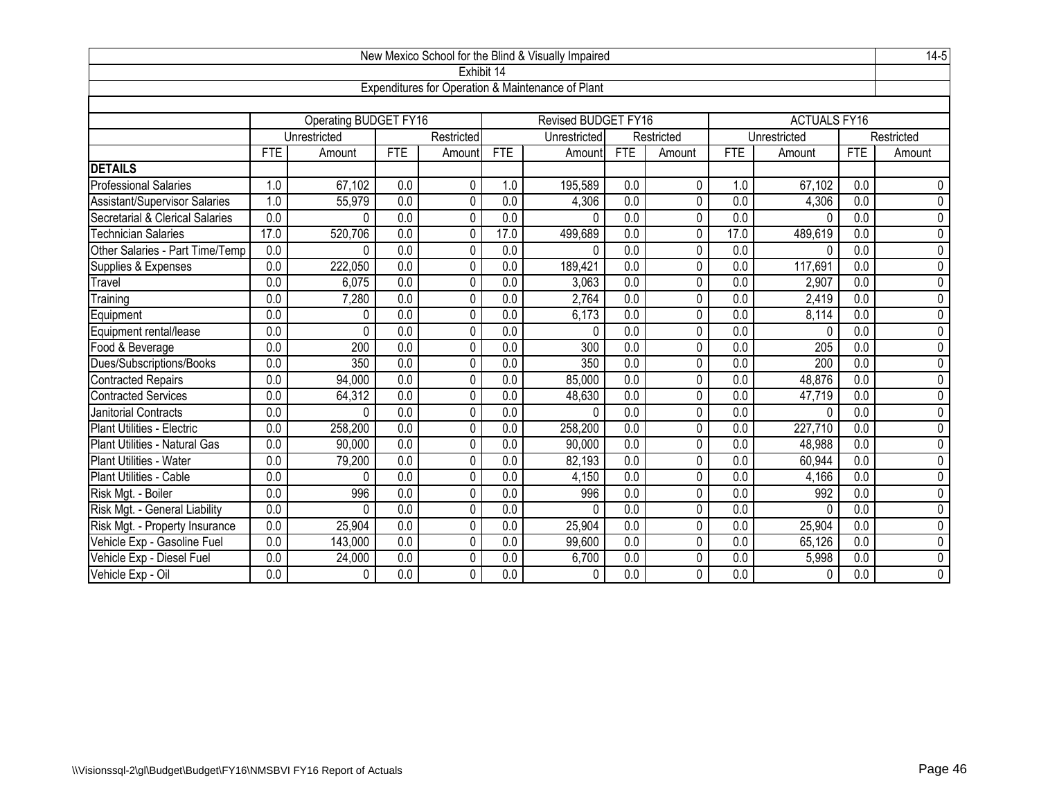| $14-5$<br>New Mexico School for the Blind & Visually Impaired<br>Exhibit 14 |                  |                       |                  |              |                  |                                                   |                  |              |                  |                     |                  |                |  |
|-----------------------------------------------------------------------------|------------------|-----------------------|------------------|--------------|------------------|---------------------------------------------------|------------------|--------------|------------------|---------------------|------------------|----------------|--|
|                                                                             |                  |                       |                  |              |                  |                                                   |                  |              |                  |                     |                  |                |  |
|                                                                             |                  |                       |                  |              |                  | Expenditures for Operation & Maintenance of Plant |                  |              |                  |                     |                  |                |  |
|                                                                             |                  |                       |                  |              |                  |                                                   |                  |              |                  |                     |                  |                |  |
|                                                                             |                  | Operating BUDGET FY16 |                  |              |                  | <b>Revised BUDGET FY16</b>                        |                  |              |                  | <b>ACTUALS FY16</b> |                  |                |  |
|                                                                             |                  | Unrestricted          |                  | Restricted   |                  | Unrestricted                                      |                  | Restricted   |                  | Unrestricted        |                  | Restricted     |  |
|                                                                             | <b>FTE</b>       | Amount                | <b>FTE</b>       | Amount       | <b>FTE</b>       | Amount                                            | FTE              | Amount       | <b>FTE</b>       | Amount              | <b>FTE</b>       | Amount         |  |
| <b>DETAILS</b>                                                              |                  |                       |                  |              |                  |                                                   |                  |              |                  |                     |                  |                |  |
| <b>Professional Salaries</b>                                                | 1.0              | 67,102                | 0.0              | $\mathbf{0}$ | 1.0              | 195,589                                           | 0.0              | $\mathbf{0}$ | 1.0              | 67,102              | 0.0              | 0              |  |
| <b>Assistant/Supervisor Salaries</b>                                        | 1.0              | 55,979                | $\overline{0.0}$ | $\mathbf{0}$ | $\overline{0.0}$ | 4,306                                             | $\overline{0.0}$ | $\mathbf{0}$ | $\overline{0.0}$ | 4,306               | $\overline{0.0}$ | $\overline{0}$ |  |
| Secretarial & Clerical Salaries                                             | $\overline{0.0}$ | 0                     | $\overline{0.0}$ | $\mathbf 0$  | 0.0              | $\Omega$                                          | $\overline{0.0}$ | $\mathbf 0$  | $\overline{0.0}$ | $\theta$            | $\overline{0.0}$ | $\overline{0}$ |  |
| <b>Technician Salaries</b>                                                  | 17.0             | 520,706               | $\overline{0.0}$ | $\mathbf 0$  | 17.0             | 499,689                                           | $\overline{0.0}$ | 0            | 17.0             | 489,619             | $\overline{0.0}$ | $\overline{0}$ |  |
| Other Salaries - Part Time/Temp                                             | 0.0              | 0                     | $\overline{0.0}$ | 0            | 0.0              | $\Omega$                                          | $\overline{0.0}$ | 0            | 0.0              | $\Omega$            | 0.0              | $\overline{0}$ |  |
| Supplies & Expenses                                                         | 0.0              | 222,050               | $\overline{0.0}$ | 0            | $\overline{0.0}$ | 189,421                                           | $\overline{0.0}$ | 0            | 0.0              | 117,691             | $\overline{0.0}$ | $\overline{0}$ |  |
| Travel                                                                      | 0.0              | 6,075                 | 0.0              | $\mathbf 0$  | $\overline{0.0}$ | 3,063                                             | $\overline{0.0}$ | 0            | 0.0              | 2,907               | $\overline{0.0}$ | $\overline{0}$ |  |
| Training                                                                    | 0.0              | 7,280                 | $\overline{0.0}$ | $\mathbf 0$  | 0.0              | 2,764                                             | $\overline{0.0}$ | 0            | 0.0              | 2,419               | 0.0              | $\overline{0}$ |  |
| Equipment                                                                   | 0.0              | 0                     | 0.0              | 0            | $\overline{0.0}$ | 6,173                                             | 0.0              | 0            | 0.0              | 8,114               | 0.0              | $\overline{0}$ |  |
| Equipment rental/lease                                                      | 0.0              | 0                     | 0.0              | 0            | 0.0              | $\Omega$                                          | 0.0              | 0            | 0.0              | $\Omega$            | 0.0              | $\overline{0}$ |  |
| Food & Beverage                                                             | 0.0              | 200                   | 0.0              | $\pmb{0}$    | 0.0              | 300                                               | 0.0              | 0            | 0.0              | 205                 | $\overline{0.0}$ | 0              |  |
| Dues/Subscriptions/Books                                                    | 0.0              | 350                   | 0.0              | $\mathbf 0$  | 0.0              | 350                                               | 0.0              | 0            | 0.0              | 200                 | 0.0              | 0              |  |
| <b>Contracted Repairs</b>                                                   | 0.0              | 94,000                | $\overline{0.0}$ | $\mathbf 0$  | $\overline{0.0}$ | 85,000                                            | $\overline{0.0}$ | 0            | $\overline{0.0}$ | 48,876              | $\overline{0.0}$ | $\overline{0}$ |  |
| <b>Contracted Services</b>                                                  | $\overline{0.0}$ | 64,312                | $\overline{0.0}$ | $\mathbf{0}$ | $\overline{0.0}$ | 48,630                                            | $\overline{0.0}$ | 0            | $\overline{0.0}$ | 47,719              | $\overline{0.0}$ | $\overline{0}$ |  |
| <b>Janitorial Contracts</b>                                                 | $\overline{0.0}$ | 0                     | $\overline{0.0}$ | $\mathbf 0$  | $\overline{0.0}$ | $\Omega$                                          | $\overline{0.0}$ | 0            | $\overline{0.0}$ | $\Omega$            | $\overline{0.0}$ | $\overline{0}$ |  |
| Plant Utilities - Electric                                                  | 0.0              | 258,200               | $\overline{0.0}$ | 0            | $\overline{0.0}$ | 258,200                                           | $\overline{0.0}$ | 0            | 0.0              | 227,710             | 0.0              | $\pmb{0}$      |  |
| Plant Utilities - Natural Gas                                               | 0.0              | 90,000                | 0.0              | 0            | $\overline{0.0}$ | 90,000                                            | $\overline{0.0}$ | 0            | 0.0              | 48,988              | 0.0              | $\overline{0}$ |  |
| Plant Utilities - Water                                                     | 0.0              | 79,200                | 0.0              | 0            | 0.0              | 82,193                                            | $\overline{0.0}$ | 0            | 0.0              | 60,944              | $\overline{0.0}$ | 0              |  |
| Plant Utilities - Cable                                                     | 0.0              | 0                     | 0.0              | $\mathbf 0$  | 0.0              | 4,150                                             | $\overline{0.0}$ | 0            | 0.0              | 4,166               | $\overline{0.0}$ | $\overline{0}$ |  |
| Risk Mgt. - Boiler                                                          | 0.0              | 996                   | 0.0              | 0            | 0.0              | 996                                               | $\overline{0.0}$ | 0            | 0.0              | 992                 | 0.0              | 0              |  |
| Risk Mgt. - General Liability                                               | 0.0              | 0                     | 0.0              | 0            | 0.0              | $\Omega$                                          | 0.0              | 0            | 0.0              | $\Omega$            | 0.0              | $\overline{0}$ |  |
| Risk Mgt. - Property Insurance                                              | 0.0              | 25,904                | 0.0              | 0            | 0.0              | 25,904                                            | $\overline{0.0}$ | 0            | 0.0              | 25,904              | 0.0              | 0              |  |
| Vehicle Exp - Gasoline Fuel                                                 | 0.0              | 143,000               | 0.0              | 0            | 0.0              | 99,600                                            | 0.0              | 0            | 0.0              | 65,126              | 0.0              | 0              |  |
| Vehicle Exp - Diesel Fuel                                                   | 0.0              | 24,000                | 0.0              | 0            | 0.0              | 6,700                                             | 0.0              | 0            | 0.0              | 5,998               | 0.0              | 0              |  |
| Vehicle Exp - Oil                                                           | 0.0              | 0                     | 0.0              | 0            | 0.0              | 0                                                 | 0.0              | 0            | 0.0              | $\mathbf 0$         | 0.0              | 0              |  |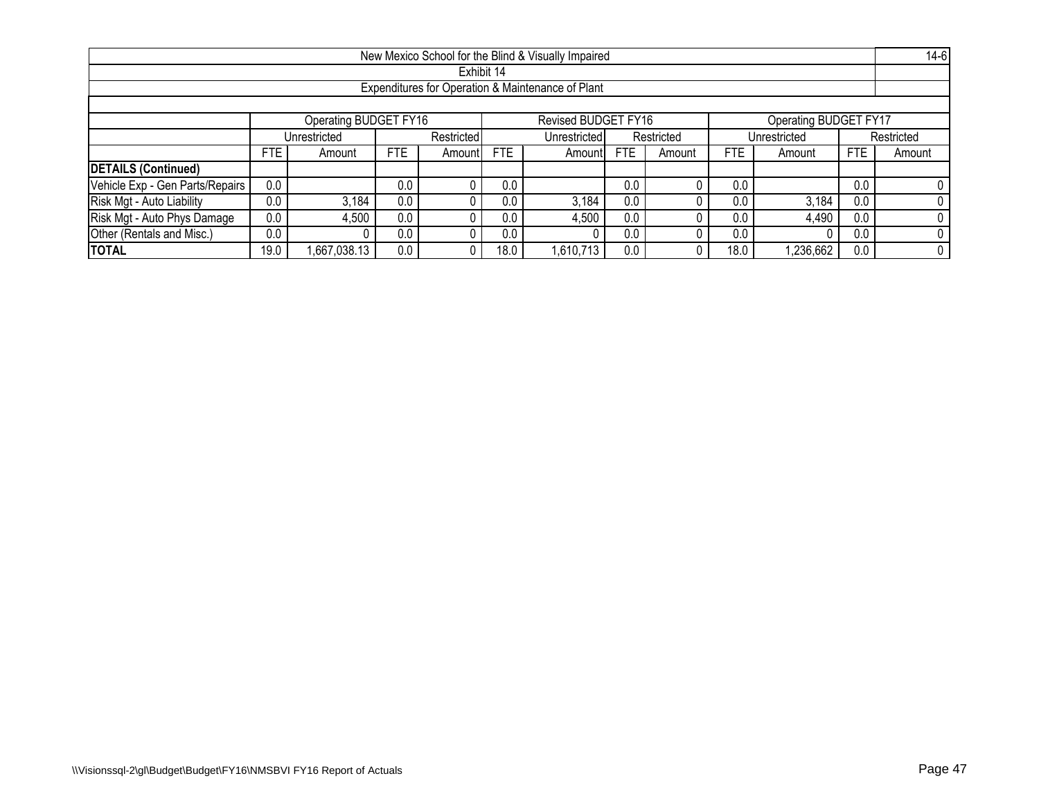|                                                                       |                                                                                                                                     |                                                                          |     |  |            | New Mexico School for the Blind & Visually Impaired |     |  |      |           |     | $14-6$     |  |
|-----------------------------------------------------------------------|-------------------------------------------------------------------------------------------------------------------------------------|--------------------------------------------------------------------------|-----|--|------------|-----------------------------------------------------|-----|--|------|-----------|-----|------------|--|
|                                                                       |                                                                                                                                     |                                                                          |     |  | Exhibit 14 |                                                     |     |  |      |           |     |            |  |
|                                                                       |                                                                                                                                     |                                                                          |     |  |            | Expenditures for Operation & Maintenance of Plant   |     |  |      |           |     |            |  |
|                                                                       |                                                                                                                                     |                                                                          |     |  |            |                                                     |     |  |      |           |     |            |  |
| Operating BUDGET FY16<br>Revised BUDGET FY16<br>Operating BUDGET FY17 |                                                                                                                                     |                                                                          |     |  |            |                                                     |     |  |      |           |     |            |  |
|                                                                       |                                                                                                                                     | Restricted<br>Restricted<br>Unrestricted<br>Unrestricted<br>Unrestricted |     |  |            |                                                     |     |  |      |           |     | Restricted |  |
|                                                                       | <b>FTE</b><br><b>FTE</b><br><b>FTE</b><br><b>FTE</b><br><b>FTE</b><br><b>FTE</b><br>Amount<br>Amount!<br>Amount<br>Amount<br>Amount |                                                                          |     |  |            |                                                     |     |  |      | Amount    |     |            |  |
| <b>DETAILS (Continued)</b>                                            |                                                                                                                                     |                                                                          |     |  |            |                                                     |     |  |      |           |     |            |  |
| Vehicle Exp - Gen Parts/Repairs                                       | 0.0                                                                                                                                 |                                                                          | 0.0 |  | 0.0        |                                                     | 0.0 |  | 0.0  |           | 0.0 |            |  |
| Risk Mgt - Auto Liability                                             | 0.0                                                                                                                                 | 3,184                                                                    | 0.0 |  | 0.0        | 3,184                                               | 0.0 |  | 0.0  | 3,184     | 0.0 |            |  |
| Risk Mgt - Auto Phys Damage                                           | 0.0<br>0.0<br>0.0<br>4,490<br>4,500<br>4,500<br>0.0<br>0.0<br>0.0                                                                   |                                                                          |     |  |            |                                                     |     |  |      |           |     |            |  |
| Other (Rentals and Misc.)                                             | 0.0<br>0.0<br>0.0<br>0.0<br>0.0                                                                                                     |                                                                          |     |  |            |                                                     |     |  |      |           | 0.0 |            |  |
| <b>TOTAL</b>                                                          | 19.0                                                                                                                                | .667,038.13                                                              | 0.0 |  | 18.0       | 1,610,713                                           | 0.0 |  | 18.C | 1,236,662 | 0.0 |            |  |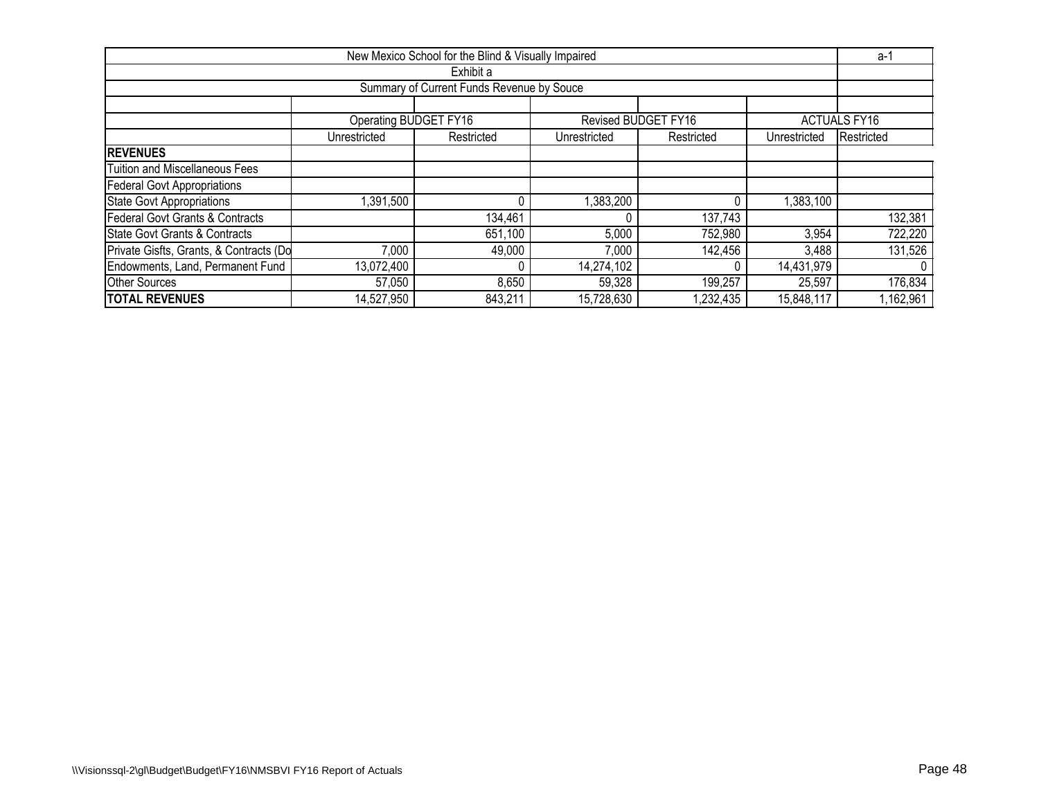| New Mexico School for the Blind & Visually Impaired                        |                                                                                        |                                           |            |                     |            |                     |  |  |  |  |  |  |  |  |
|----------------------------------------------------------------------------|----------------------------------------------------------------------------------------|-------------------------------------------|------------|---------------------|------------|---------------------|--|--|--|--|--|--|--|--|
|                                                                            |                                                                                        | Exhibit a                                 |            |                     |            |                     |  |  |  |  |  |  |  |  |
|                                                                            |                                                                                        | Summary of Current Funds Revenue by Souce |            |                     |            |                     |  |  |  |  |  |  |  |  |
|                                                                            |                                                                                        |                                           |            |                     |            |                     |  |  |  |  |  |  |  |  |
|                                                                            | Operating BUDGET FY16                                                                  |                                           |            | Revised BUDGET FY16 |            | <b>ACTUALS FY16</b> |  |  |  |  |  |  |  |  |
|                                                                            | Restricted<br>Unrestricted<br>Restricted<br>Unrestricted<br>Unrestricted<br>Restricted |                                           |            |                     |            |                     |  |  |  |  |  |  |  |  |
| <b>REVENUES</b>                                                            |                                                                                        |                                           |            |                     |            |                     |  |  |  |  |  |  |  |  |
| <b>Tuition and Miscellaneous Fees</b>                                      |                                                                                        |                                           |            |                     |            |                     |  |  |  |  |  |  |  |  |
| <b>Federal Govt Appropriations</b>                                         |                                                                                        |                                           |            |                     |            |                     |  |  |  |  |  |  |  |  |
| <b>State Govt Appropriations</b>                                           | ,391,500                                                                               | 0                                         | 1,383,200  |                     | 1,383,100  |                     |  |  |  |  |  |  |  |  |
| Federal Govt Grants & Contracts                                            |                                                                                        | 134,461                                   |            | 137,743             |            | 132,381             |  |  |  |  |  |  |  |  |
| State Govt Grants & Contracts                                              |                                                                                        | 651,100                                   | 5,000      | 752,980             | 3,954      | 722,220             |  |  |  |  |  |  |  |  |
| Private Gisfts, Grants, & Contracts (Do                                    | 7,000                                                                                  | 49,000                                    | 7,000      | 142,456             | 3,488      | 131,526             |  |  |  |  |  |  |  |  |
| Endowments, Land, Permanent Fund<br>13,072,400<br>14,274,102<br>14,431,979 |                                                                                        |                                           |            |                     |            |                     |  |  |  |  |  |  |  |  |
| <b>Other Sources</b>                                                       | 57,050                                                                                 | 8,650                                     | 59,328     | 199,257             | 25,597     | 176,834             |  |  |  |  |  |  |  |  |
| <b>TOTAL REVENUES</b>                                                      | 14,527,950                                                                             | 843,211                                   | 15,728,630 | ,232,435            | 15,848,117 | ,162,961            |  |  |  |  |  |  |  |  |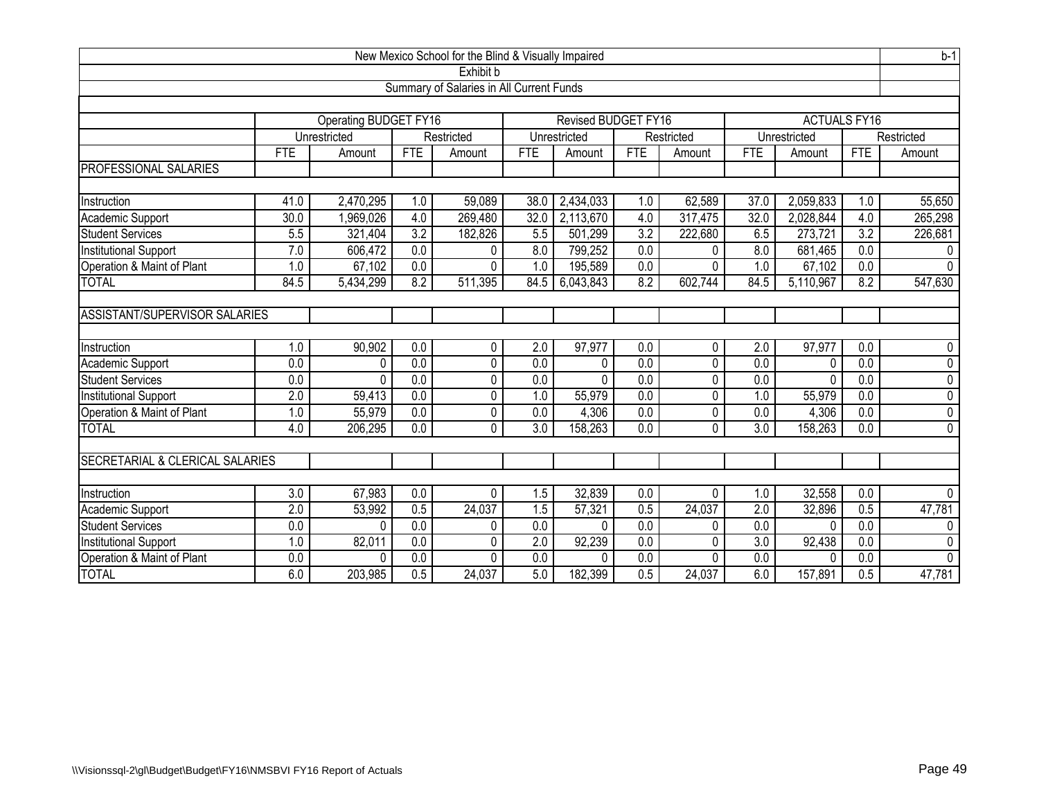| New Mexico School for the Blind & Visually Impaired |                                          |                                                                            |                  |                |                  |                        |                  |                | $b-1$            |              |                  |                |
|-----------------------------------------------------|------------------------------------------|----------------------------------------------------------------------------|------------------|----------------|------------------|------------------------|------------------|----------------|------------------|--------------|------------------|----------------|
| Exhibit b                                           |                                          |                                                                            |                  |                |                  |                        |                  |                |                  |              |                  |                |
|                                                     | Summary of Salaries in All Current Funds |                                                                            |                  |                |                  |                        |                  |                |                  |              |                  |                |
|                                                     |                                          |                                                                            |                  |                |                  |                        |                  |                |                  |              |                  |                |
|                                                     |                                          | <b>Operating BUDGET FY16</b><br>Revised BUDGET FY16<br><b>ACTUALS FY16</b> |                  |                |                  |                        |                  |                |                  |              |                  |                |
|                                                     |                                          | Unrestricted                                                               |                  | Restricted     |                  | Unrestricted           |                  | Restricted     |                  | Unrestricted |                  | Restricted     |
|                                                     | <b>FTE</b>                               | Amount                                                                     | FTE              | Amount         | <b>FTE</b>       | Amount                 | <b>FTE</b>       | Amount         | <b>FTE</b>       | Amount       | <b>FTE</b>       | Amount         |
| PROFESSIONAL SALARIES                               |                                          |                                                                            |                  |                |                  |                        |                  |                |                  |              |                  |                |
|                                                     |                                          |                                                                            |                  |                |                  |                        |                  |                |                  |              |                  |                |
| Instruction                                         | 41.0                                     | 2,470,295                                                                  | 1.0              | 59,089         | 38.0             | 2,434,033              | 1.0              | 62,589         | 37.0             | 2,059,833    | 1.0              | 55,650         |
| Academic Support                                    | 30.0                                     | 1,969,026                                                                  | 4.0              | 269,480        | 32.0             | 2,113,670              | 4.0              | 317,475        | 32.0             | 2,028,844    | 4.0              | 265,298        |
| <b>Student Services</b>                             | 5.5                                      | 321,404                                                                    | $\overline{3.2}$ | 182,826        | 5.5              | $\overline{501}$ , 299 | $\overline{3.2}$ | 222,680        | 6.5              | 273,721      | 3.2              | 226,681        |
| <b>Institutional Support</b>                        | 7.0                                      | 606,472                                                                    | $\overline{0.0}$ | 0              | 8.0              | 799,252                | 0.0              | 0              | 8.0              | 681,465      | 0.0              | 0              |
| Operation & Maint of Plant                          | 1.0                                      | 67,102                                                                     | $\overline{0.0}$ | 0              | 1.0              | 195,589                | 0.0              | 0              | 1.0              | 67,102       | $\overline{0.0}$ | $\mathbf{0}$   |
| <b>TOTAL</b>                                        | 84.5                                     | 5,434,299                                                                  | 8.2              | 511,395        | 84.5             | 6,043,843              | 8.2              | 602,744        | 84.5             | 5,110,967    | 8.2              | 547,630        |
| ASSISTANT/SUPERVISOR SALARIES                       |                                          |                                                                            |                  |                |                  |                        |                  |                |                  |              |                  |                |
|                                                     |                                          |                                                                            |                  |                |                  |                        |                  |                |                  |              |                  |                |
| Instruction                                         | 1.0                                      | 90,902                                                                     | 0.0              | 0              | 2.0              | 97,977                 | 0.0              | 0              | 2.0              | 97,977       | 0.0              | 0              |
| Academic Support                                    | $\overline{0.0}$                         | $\Omega$                                                                   | 0.0              | $\overline{0}$ | $\overline{0.0}$ | 0                      | $\overline{0.0}$ | 0              | 0.0              | 0            | 0.0              | $\overline{0}$ |
| <b>Student Services</b>                             | 0.0                                      | $\Omega$                                                                   | 0.0              | 0              | $\overline{0.0}$ | $\mathbf{0}$           | 0.0              | 0              | 0.0              | 0            | 0.0              | $\overline{0}$ |
| Institutional Support                               | $\overline{2.0}$                         | 59,413                                                                     | 0.0              | 0              | 1.0              | 55,979                 | $\overline{0.0}$ | 0              | 1.0              | 55,979       | 0.0              | $\overline{0}$ |
| Operation & Maint of Plant                          | 1.0                                      | 55,979                                                                     | $\overline{0.0}$ | 0              | 0.0              | 4,306                  | 0.0              | 0              | 0.0              | 4,306        | $\overline{0.0}$ | $\pmb{0}$      |
| <b>TOTAL</b>                                        | 4.0                                      | 206,295                                                                    | $\overline{0.0}$ | 0              | $\overline{3.0}$ | 158,263                | $\overline{0.0}$ | $\overline{0}$ | $\overline{3.0}$ | 158,263      | $\overline{0.0}$ | $\overline{0}$ |
|                                                     |                                          |                                                                            |                  |                |                  |                        |                  |                |                  |              |                  |                |
| SECRETARIAL & CLERICAL SALARIES                     |                                          |                                                                            |                  |                |                  |                        |                  |                |                  |              |                  |                |
| Instruction                                         | $\overline{3.0}$                         | 67,983                                                                     | $\overline{0.0}$ | 0              | 1.5              | 32,839                 | 0.0              | 0              | 1.0              | 32,558       | $\overline{0.0}$ | $\Omega$       |
| Academic Support                                    | $\overline{2.0}$                         | 53,992                                                                     | 0.5              | 24,037         | 1.5              | 57,321                 | 0.5              | 24,037         | $\overline{2.0}$ | 32,896       | 0.5              | 47,781         |
| <b>Student Services</b>                             | $\overline{0.0}$                         | $\Omega$                                                                   | $\overline{0.0}$ | 0              | 0.0              | $\Omega$               | $\overline{0.0}$ | 0              | $\overline{0.0}$ | $\Omega$     | 0.0              | 0              |
| Institutional Support                               | 1.0                                      | 82,011                                                                     | $\overline{0.0}$ | 0              | 2.0              | 92,239                 | 0.0              | 0              | 3.0              | 92,438       | $\overline{0.0}$ | $\pmb{0}$      |
| Operation & Maint of Plant                          | 0.0                                      | $\Omega$                                                                   | $\overline{0.0}$ | 0              | 0.0              | 0                      | 0.0              | 0              | 0.0              | 0            | $\overline{0.0}$ | 0              |
| <b>TOTAL</b>                                        | 6.0                                      | 203,985                                                                    | $\overline{0.5}$ | 24,037         | 5.0              | 182,399                | 0.5              | 24,037         | 6.0              | 157,891      | 0.5              | 47,781         |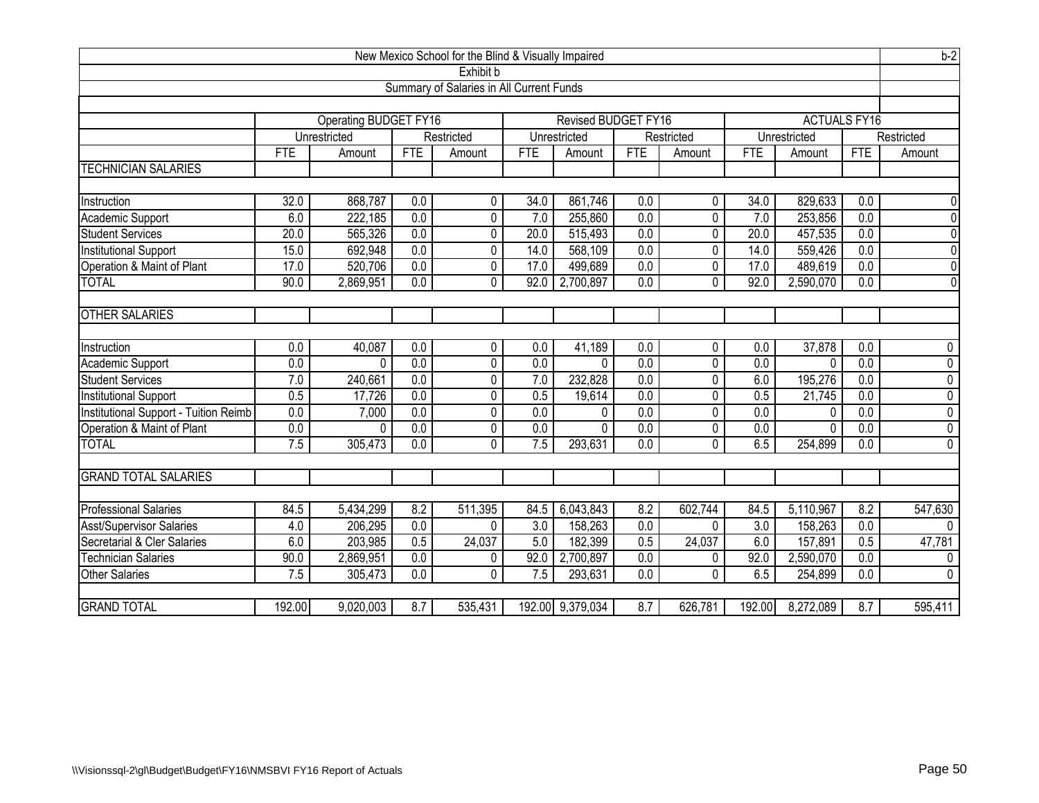| New Mexico School for the Blind & Visually Impaired |                                                                                   |              |                  |                   |                         |                    |                         |                     | $b-2$            |              |                  |                               |
|-----------------------------------------------------|-----------------------------------------------------------------------------------|--------------|------------------|-------------------|-------------------------|--------------------|-------------------------|---------------------|------------------|--------------|------------------|-------------------------------|
| Exhibit b                                           |                                                                                   |              |                  |                   |                         |                    |                         |                     |                  |              |                  |                               |
| Summary of Salaries in All Current Funds            |                                                                                   |              |                  |                   |                         |                    |                         |                     |                  |              |                  |                               |
|                                                     |                                                                                   |              |                  |                   |                         |                    |                         |                     |                  |              |                  |                               |
|                                                     | <b>Operating BUDGET FY16</b><br><b>Revised BUDGET FY16</b><br><b>ACTUALS FY16</b> |              |                  |                   |                         |                    |                         |                     |                  |              |                  |                               |
|                                                     |                                                                                   | Unrestricted |                  | Restricted        |                         | Unrestricted       |                         | Restricted          |                  | Unrestricted |                  | Restricted                    |
| <b>TECHNICIAN SALARIES</b>                          | FTE                                                                               | Amount       | <b>FTE</b>       | Amount            | <b>FTE</b>              | Amount             | <b>FTE</b>              | Amount              | <b>FTE</b>       | Amount       | <b>FTE</b>       | Amount                        |
|                                                     |                                                                                   |              |                  |                   |                         |                    |                         |                     |                  |              |                  |                               |
| Instruction                                         | 32.0                                                                              | 868,787      | 0.0              | 0                 | 34.0                    | 861,746            | 0.0                     | 0                   | 34.0             | 829,633      | 0.0              | $\mathbf 0$                   |
| Academic Support                                    | 6.0                                                                               | 222,185      | $\overline{0.0}$ | 0                 | 7.0                     | 255,860            | $\overline{0.0}$        | 0                   | 7.0              | 253,856      | 0.0              | $\overline{0}$                |
| Student Services                                    | 20.0                                                                              | 565,326      | $\overline{0.0}$ | 0                 | 20.0                    | 515,493            | $\overline{0.0}$        | 0                   | 20.0             | 457,535      | $\overline{0.0}$ | $\overline{0}$                |
| <b>Institutional Support</b>                        | 15.0                                                                              | 692,948      | $\overline{0.0}$ | 0                 | 14.0                    | 568,109            | 0.0                     | 0                   | 14.0             | 559,426      | $\overline{0.0}$ | $\overline{0}$                |
| Operation & Maint of Plant                          | 17.0                                                                              | 520,706      | $\overline{0.0}$ | 0                 | 17.0                    | 499,689            | 0.0                     | 0                   | 17.0             | 489,619      | 0.0              | $\overline{0}$                |
| <b>TOTAL</b>                                        | 90.0                                                                              | 2,869,951    | 0.0              | $\Omega$          | 92.0                    | 2,700,897          | 0.0                     | 0                   | 92.0             | 2,590,070    | 0.0              | $\mathbf 0$                   |
|                                                     |                                                                                   |              |                  |                   |                         |                    |                         |                     |                  |              |                  |                               |
| <b>OTHER SALARIES</b>                               |                                                                                   |              |                  |                   |                         |                    |                         |                     |                  |              |                  |                               |
|                                                     | 0.0                                                                               | 40,087       | 0.0              |                   |                         |                    |                         |                     | 0.0              |              | 0.0              |                               |
| Instruction                                         | $\overline{0.0}$                                                                  | $\Omega$     | 0.0              | $\mathbf{0}$<br>0 | 0.0<br>$\overline{0.0}$ | 41,189<br>$\Omega$ | 0.0<br>$\overline{0.0}$ | 0<br>$\overline{0}$ | $\overline{0.0}$ | 37,878       | $\overline{0.0}$ | $\mathbf 0$<br>$\overline{0}$ |
| Academic Support<br><b>Student Services</b>         | 7.0                                                                               | 240,661      | 0.0              | 0                 | $\overline{7.0}$        | 232,828            | $\overline{0.0}$        | 0                   | 6.0              | 0<br>195,276 | $\overline{0.0}$ | $\overline{0}$                |
| Institutional Support                               | $\overline{0.5}$                                                                  | 17,726       | 0.0              | 0                 | 0.5                     | 19,614             | $\overline{0.0}$        | $\overline{0}$      | 0.5              | 21,745       | 0.0              | $\overline{0}$                |
| Institutional Support - Tuition Reimb               | $\overline{0.0}$                                                                  | 7,000        | 0.0              | 0                 | 0.0                     | 0                  | $\overline{0.0}$        | 0                   | $\overline{0.0}$ | 0            | 0.0              | $\overline{0}$                |
| Operation & Maint of Plant                          | 0.0                                                                               | $\Omega$     | 0.0              | $\overline{0}$    | $\overline{0.0}$        | $\overline{0}$     | $\overline{0.0}$        | $\overline{0}$      | 0.0              | 0            | 0.0              | $\overline{0}$                |
| <b>TOTAL</b>                                        | 7.5                                                                               | 305,473      | 0.0              | $\Omega$          | 7.5                     | 293,631            | 0.0                     | 0                   | 6.5              | 254,899      | 0.0              | $\mathbf{0}$                  |
|                                                     |                                                                                   |              |                  |                   |                         |                    |                         |                     |                  |              |                  |                               |
| <b>GRAND TOTAL SALARIES</b>                         |                                                                                   |              |                  |                   |                         |                    |                         |                     |                  |              |                  |                               |
|                                                     |                                                                                   |              |                  |                   |                         |                    |                         |                     |                  |              |                  |                               |
| <b>Professional Salaries</b>                        | 84.5                                                                              | 5,434,299    | 8.2              | 511,395           | 84.5                    | 6,043,843          | 8.2                     | 602,744             | 84.5             | 5,110,967    | 8.2              | 547,630                       |
| <b>Asst/Supervisor Salaries</b>                     | 4.0                                                                               | 206,295      | $\overline{0.0}$ | $\Omega$          | $\overline{3.0}$        | 158,263            | 0.0                     | 0                   | $\overline{3.0}$ | 158,263      | $\overline{0.0}$ | $\Omega$                      |
| Secretarial & Cler Salaries                         | 6.0                                                                               | 203,985      | 0.5              | 24,037            | 5.0                     | 182,399            | 0.5                     | 24,037              | 6.0              | 157,891      | 0.5              | 47,781                        |
| Technician Salaries                                 | 90.0                                                                              | 2,869,951    | $\overline{0.0}$ | 0                 | 92.0                    | 2,700,897          | 0.0                     | 0                   | 92.0             | 2,590,070    | 0.0              | $\mathbf 0$                   |
| <b>Other Salaries</b>                               | 7.5                                                                               | 305,473      | $\overline{0.0}$ | 0                 | 7.5                     | 293,631            | 0.0                     | 0                   | 6.5              | 254,899      | $\overline{0.0}$ | $\mathbf{0}$                  |
|                                                     |                                                                                   |              |                  |                   |                         |                    |                         |                     |                  |              |                  |                               |
| <b>GRAND TOTAL</b>                                  | 192.00                                                                            | 9,020,003    | 8.7              | 535,431           |                         | 192.00 9,379,034   | 8.7                     | 626,781             | 192.00           | 8,272,089    | 8.7              | 595,411                       |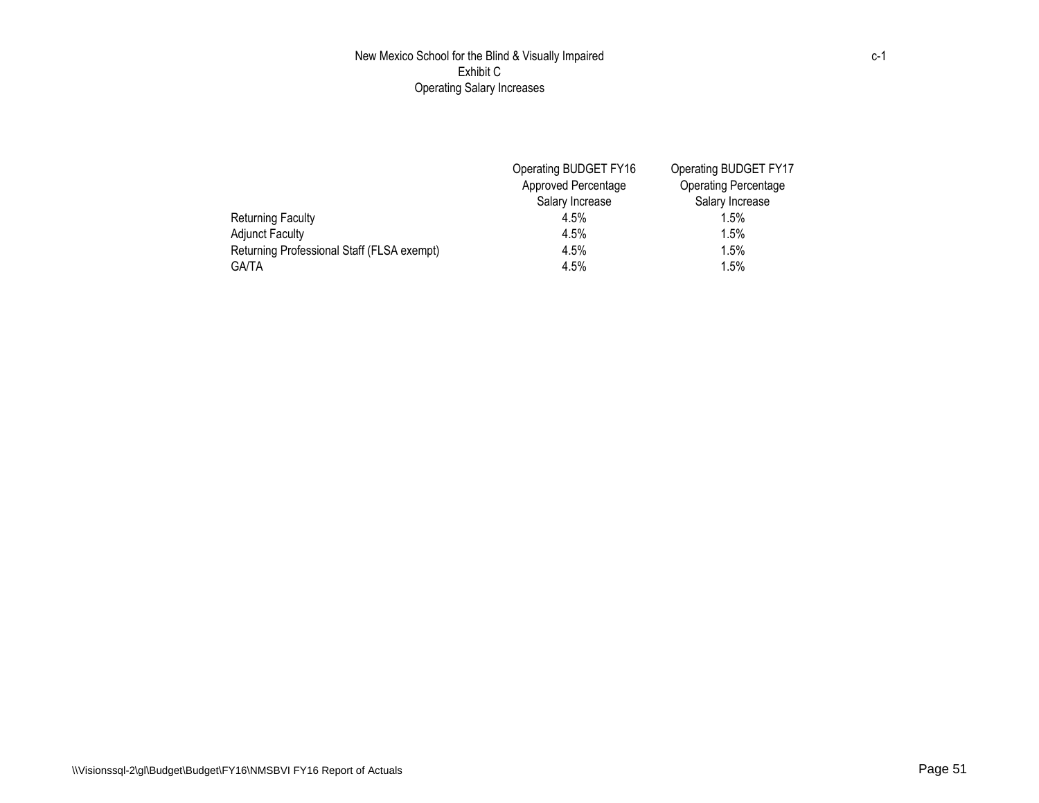## New Mexico School for the Blind & Visually Impaired Exhibit C Operating Salary Increases

|                                            | Operating BUDGET FY16 | Operating BUDGET FY17       |
|--------------------------------------------|-----------------------|-----------------------------|
|                                            | Approved Percentage   | <b>Operating Percentage</b> |
|                                            | Salary Increase       | Salary Increase             |
| Returning Faculty                          | 4.5%                  | $1.5\%$                     |
| <b>Adjunct Faculty</b>                     | 4.5%                  | $1.5\%$                     |
| Returning Professional Staff (FLSA exempt) | 4.5%                  | 1.5%                        |
| <b>GA/TA</b>                               | 4.5%                  | 1.5%                        |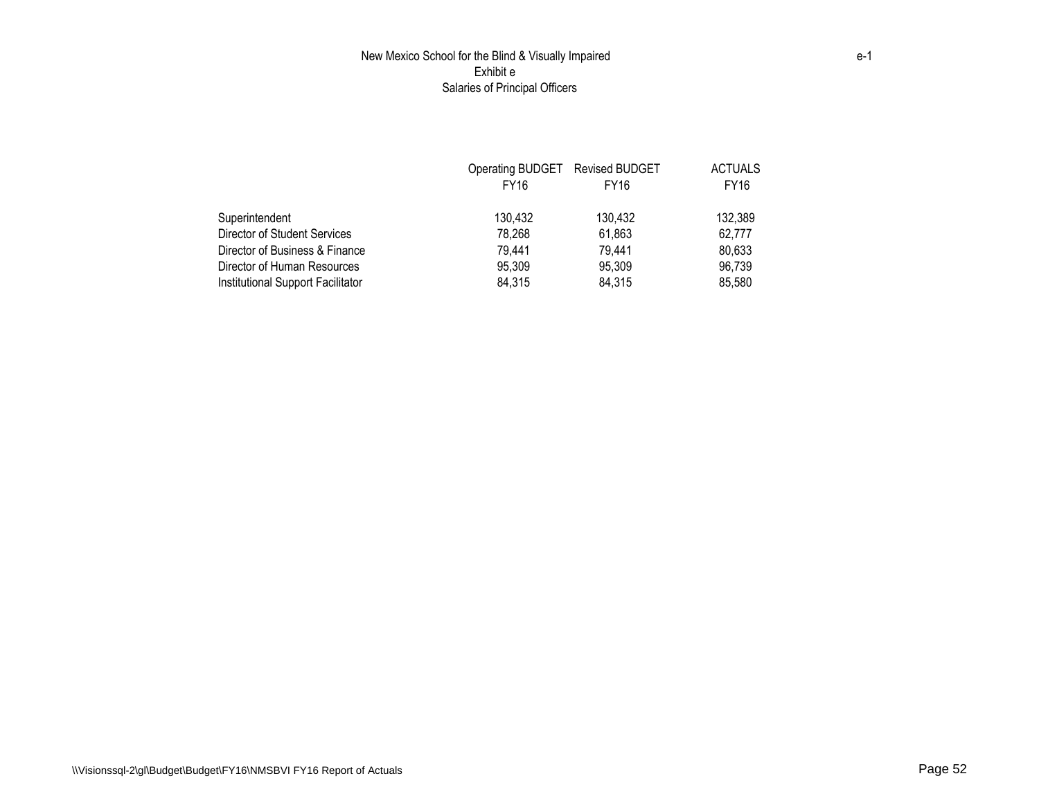## New Mexico School for the Blind & Visually Impaired Exhibit e Salaries of Principal Officers

|                                   | Operating BUDGET Revised BUDGET |             | <b>ACTUALS</b> |
|-----------------------------------|---------------------------------|-------------|----------------|
|                                   | FY16                            | <b>FY16</b> | <b>FY16</b>    |
| Superintendent                    | 130.432                         | 130,432     | 132,389        |
| Director of Student Services      | 78.268                          | 61,863      | 62.777         |
| Director of Business & Finance    | 79.441                          | 79,441      | 80.633         |
| Director of Human Resources       | 95.309                          | 95,309      | 96,739         |
| Institutional Support Facilitator | 84,315                          | 84,315      | 85.580         |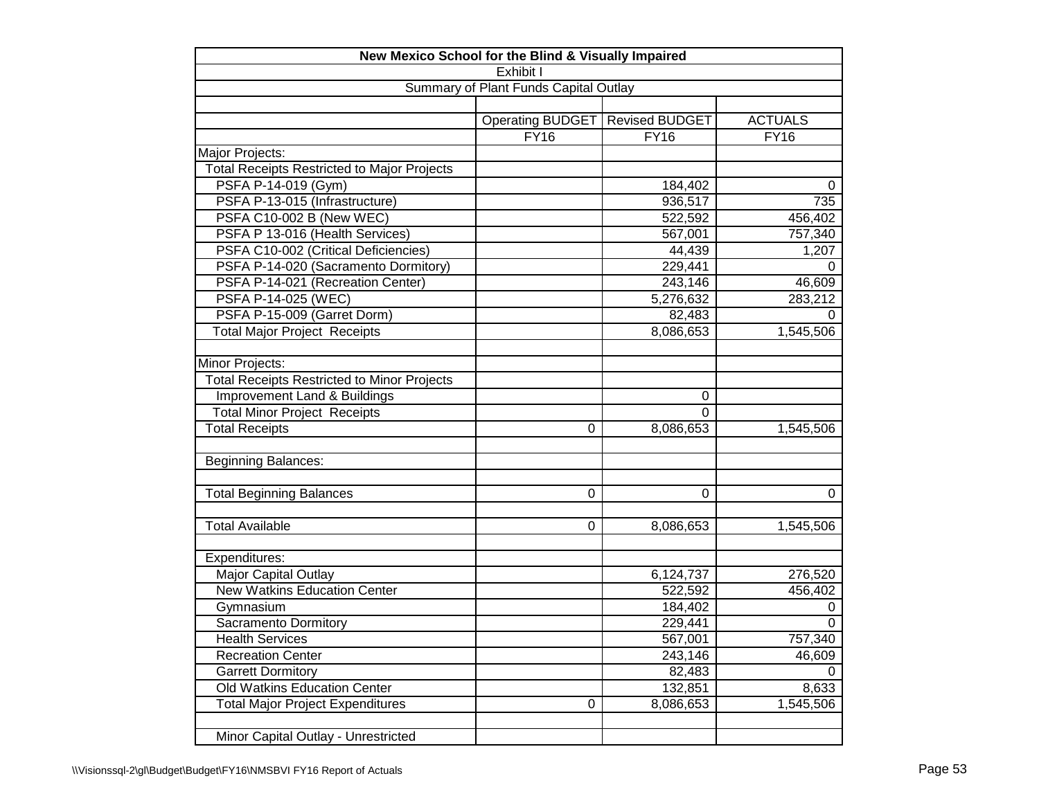|                                                    | New Mexico School for the Blind & Visually Impaired |                       |                |  |  |  |  |  |
|----------------------------------------------------|-----------------------------------------------------|-----------------------|----------------|--|--|--|--|--|
|                                                    | Exhibit I                                           |                       |                |  |  |  |  |  |
|                                                    | Summary of Plant Funds Capital Outlay               |                       |                |  |  |  |  |  |
|                                                    |                                                     |                       |                |  |  |  |  |  |
|                                                    | <b>Operating BUDGET</b>                             | <b>Revised BUDGET</b> | <b>ACTUALS</b> |  |  |  |  |  |
|                                                    | FY16                                                | FY16                  | FY16           |  |  |  |  |  |
| Major Projects:                                    |                                                     |                       |                |  |  |  |  |  |
| <b>Total Receipts Restricted to Major Projects</b> |                                                     |                       |                |  |  |  |  |  |
| PSFA P-14-019 (Gym)                                |                                                     | 184,402               | 0              |  |  |  |  |  |
| PSFA P-13-015 (Infrastructure)                     |                                                     | 936,517               | 735            |  |  |  |  |  |
| PSFA C10-002 B (New WEC)                           |                                                     | 522,592               | 456,402        |  |  |  |  |  |
| PSFA P 13-016 (Health Services)                    |                                                     | 567,001               | 757,340        |  |  |  |  |  |
| PSFA C10-002 (Critical Deficiencies)               |                                                     | 44,439                | 1,207          |  |  |  |  |  |
| PSFA P-14-020 (Sacramento Dormitory)               |                                                     | 229,441               | 0              |  |  |  |  |  |
| PSFA P-14-021 (Recreation Center)                  |                                                     | 243,146               | 46,609         |  |  |  |  |  |
| PSFA P-14-025 (WEC)                                |                                                     | 5,276,632             | 283,212        |  |  |  |  |  |
| PSFA P-15-009 (Garret Dorm)                        |                                                     | 82,483                | 0              |  |  |  |  |  |
| <b>Total Major Project Receipts</b>                |                                                     | 8,086,653             | 1,545,506      |  |  |  |  |  |
|                                                    |                                                     |                       |                |  |  |  |  |  |
| Minor Projects:                                    |                                                     |                       |                |  |  |  |  |  |
| <b>Total Receipts Restricted to Minor Projects</b> |                                                     |                       |                |  |  |  |  |  |
| <b>Improvement Land &amp; Buildings</b>            |                                                     | 0                     |                |  |  |  |  |  |
| <b>Total Minor Project Receipts</b>                |                                                     | 0                     |                |  |  |  |  |  |
| <b>Total Receipts</b>                              | 0                                                   | 8,086,653             | 1,545,506      |  |  |  |  |  |
| <b>Beginning Balances:</b>                         |                                                     |                       |                |  |  |  |  |  |
| <b>Total Beginning Balances</b>                    | 0                                                   | $\mathbf 0$           | 0              |  |  |  |  |  |
| <b>Total Available</b>                             | 0                                                   | 8,086,653             | 1,545,506      |  |  |  |  |  |
| Expenditures:                                      |                                                     |                       |                |  |  |  |  |  |
| Major Capital Outlay                               |                                                     | 6,124,737             | 276,520        |  |  |  |  |  |
| <b>New Watkins Education Center</b>                |                                                     | 522,592               | 456,402        |  |  |  |  |  |
| Gymnasium                                          |                                                     | 184,402               | 0              |  |  |  |  |  |
| Sacramento Dormitory                               |                                                     | 229,441               | 0              |  |  |  |  |  |
| <b>Health Services</b>                             |                                                     | 567,001               | 757,340        |  |  |  |  |  |
| <b>Recreation Center</b>                           |                                                     | 243,146               | 46,609         |  |  |  |  |  |
| <b>Garrett Dormitory</b>                           |                                                     | 82,483                | 0              |  |  |  |  |  |
| Old Watkins Education Center                       |                                                     | 132,851               | 8,633          |  |  |  |  |  |
| <b>Total Major Project Expenditures</b>            | $\mathbf 0$                                         | 8,086,653             | 1,545,506      |  |  |  |  |  |
|                                                    |                                                     |                       |                |  |  |  |  |  |
| Minor Capital Outlay - Unrestricted                |                                                     |                       |                |  |  |  |  |  |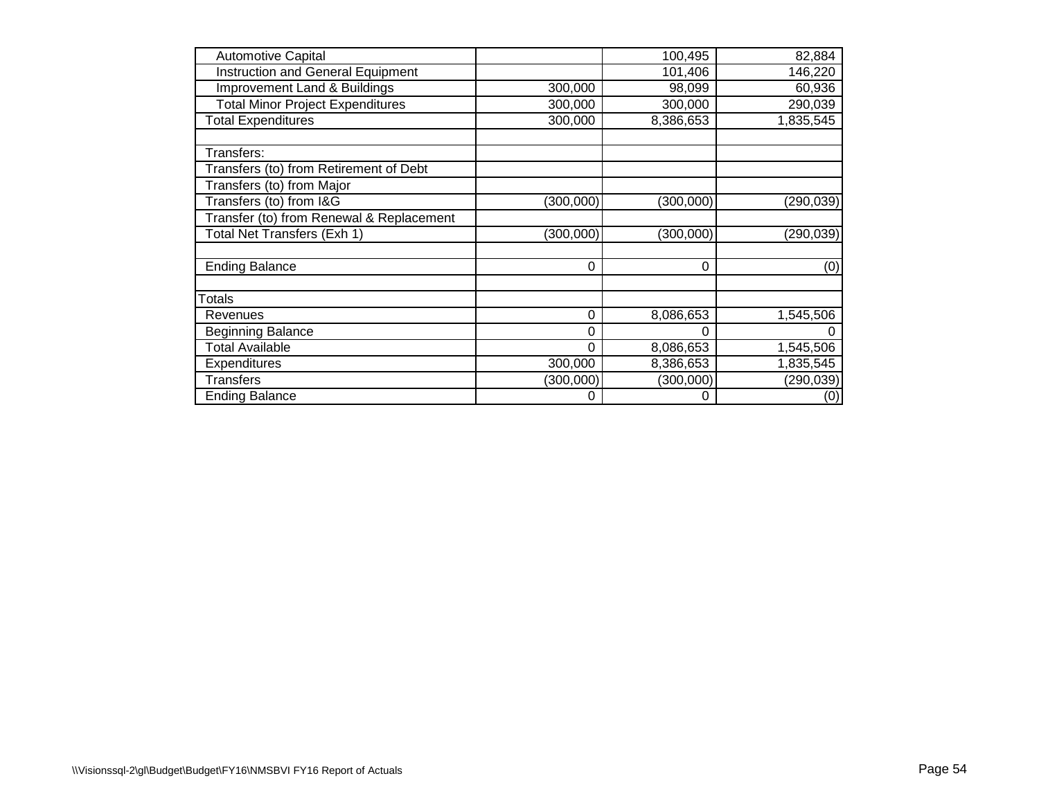| <b>Automotive Capital</b>                |           | 100,495   | 82,884     |
|------------------------------------------|-----------|-----------|------------|
| <b>Instruction and General Equipment</b> |           | 101,406   | 146,220    |
| <b>Improvement Land &amp; Buildings</b>  | 300,000   | 98,099    | 60,936     |
| <b>Total Minor Project Expenditures</b>  | 300,000   | 300,000   | 290,039    |
| <b>Total Expenditures</b>                | 300,000   | 8,386,653 | 1,835,545  |
| Transfers:                               |           |           |            |
| Transfers (to) from Retirement of Debt   |           |           |            |
| Transfers (to) from Major                |           |           |            |
| Transfers (to) from I&G                  | (300,000) | (300,000) | (290, 039) |
| Transfer (to) from Renewal & Replacement |           |           |            |
| Total Net Transfers (Exh 1)              | (300,000) | (300,000) | (290, 039) |
| <b>Ending Balance</b>                    | $\Omega$  | $\Omega$  | (0)        |
| Totals                                   |           |           |            |
| Revenues                                 | 0         | 8,086,653 | 1,545,506  |
| <b>Beginning Balance</b>                 | 0         |           |            |
| <b>Total Available</b>                   | 0         | 8,086,653 | 1,545,506  |
| Expenditures                             | 300,000   | 8,386,653 | 1,835,545  |
| <b>Transfers</b>                         | (300,000) | (300,000) | (290, 039) |
| <b>Ending Balance</b>                    | 0         | 0         | (0)        |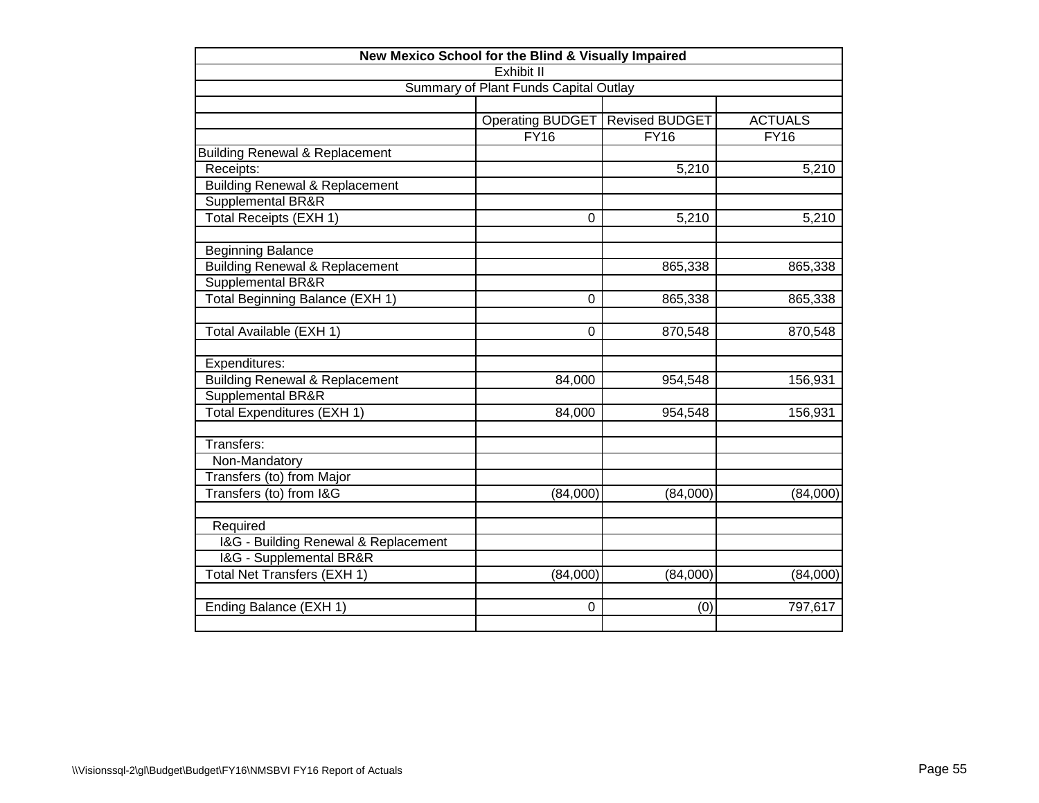| New Mexico School for the Blind & Visually Impaired |                         |                       |                |  |  |  |  |
|-----------------------------------------------------|-------------------------|-----------------------|----------------|--|--|--|--|
| Exhibit II                                          |                         |                       |                |  |  |  |  |
| Summary of Plant Funds Capital Outlay               |                         |                       |                |  |  |  |  |
|                                                     |                         |                       |                |  |  |  |  |
|                                                     | <b>Operating BUDGET</b> | <b>Revised BUDGET</b> | <b>ACTUALS</b> |  |  |  |  |
|                                                     | FY16                    | FY16                  | <b>FY16</b>    |  |  |  |  |
| <b>Building Renewal &amp; Replacement</b>           |                         |                       |                |  |  |  |  |
| Receipts:                                           |                         | 5,210                 | 5,210          |  |  |  |  |
| <b>Building Renewal &amp; Replacement</b>           |                         |                       |                |  |  |  |  |
| Supplemental BR&R                                   |                         |                       |                |  |  |  |  |
| Total Receipts (EXH 1)                              | 0                       | 5,210                 | 5,210          |  |  |  |  |
| <b>Beginning Balance</b>                            |                         |                       |                |  |  |  |  |
| <b>Building Renewal &amp; Replacement</b>           |                         | 865,338               | 865,338        |  |  |  |  |
| Supplemental BR&R                                   |                         |                       |                |  |  |  |  |
| Total Beginning Balance (EXH 1)                     | $\mathbf 0$             | 865,338               | 865,338        |  |  |  |  |
| Total Available (EXH 1)                             | $\Omega$                | 870,548               | 870,548        |  |  |  |  |
| Expenditures:                                       |                         |                       |                |  |  |  |  |
| <b>Building Renewal &amp; Replacement</b>           | 84,000                  | 954,548               | 156,931        |  |  |  |  |
| Supplemental BR&R                                   |                         |                       |                |  |  |  |  |
| Total Expenditures (EXH 1)                          | 84,000                  | 954,548               | 156,931        |  |  |  |  |
| Transfers:                                          |                         |                       |                |  |  |  |  |
| Non-Mandatory                                       |                         |                       |                |  |  |  |  |
| Transfers (to) from Major                           |                         |                       |                |  |  |  |  |
| Transfers (to) from I&G                             | (84,000)                | (84,000)              | (84,000)       |  |  |  |  |
| Required                                            |                         |                       |                |  |  |  |  |
| I&G - Building Renewal & Replacement                |                         |                       |                |  |  |  |  |
| I&G - Supplemental BR&R                             |                         |                       |                |  |  |  |  |
| Total Net Transfers (EXH 1)                         | (84,000)                | (84,000)              | (84,000)       |  |  |  |  |
| Ending Balance (EXH 1)                              | $\Omega$                |                       | 797,617        |  |  |  |  |
|                                                     |                         | (0)                   |                |  |  |  |  |
|                                                     |                         |                       |                |  |  |  |  |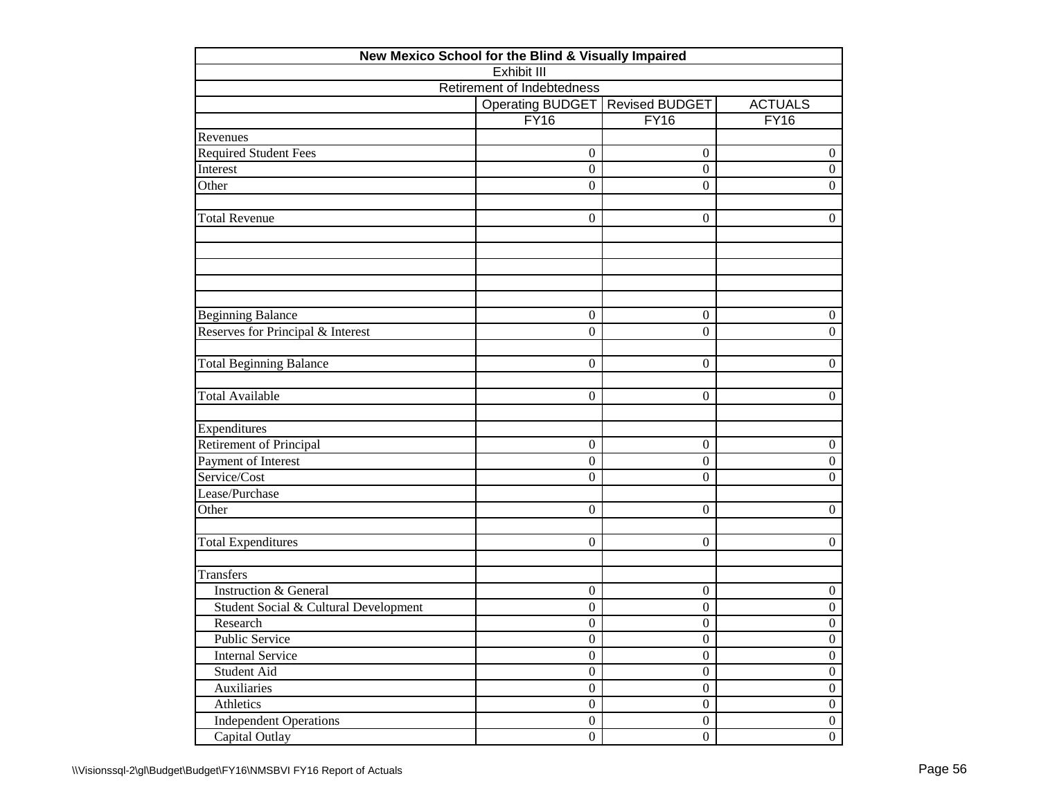| New Mexico School for the Blind & Visually Impaired         |                                   |                   |                  |  |  |  |  |  |
|-------------------------------------------------------------|-----------------------------------|-------------------|------------------|--|--|--|--|--|
|                                                             | <b>Exhibit III</b>                |                   |                  |  |  |  |  |  |
|                                                             | <b>Retirement of Indebtedness</b> |                   |                  |  |  |  |  |  |
| Operating BUDGET<br><b>Revised BUDGET</b><br><b>ACTUALS</b> |                                   |                   |                  |  |  |  |  |  |
|                                                             | <b>FY16</b>                       | $\overline{FY16}$ | <b>FY16</b>      |  |  |  |  |  |
| Revenues                                                    |                                   |                   |                  |  |  |  |  |  |
| <b>Required Student Fees</b>                                | $\boldsymbol{0}$                  | $\overline{0}$    | $\boldsymbol{0}$ |  |  |  |  |  |
| Interest                                                    | $\overline{0}$                    | $\overline{0}$    | $\boldsymbol{0}$ |  |  |  |  |  |
| Other                                                       | $\Omega$                          | $\boldsymbol{0}$  | $\boldsymbol{0}$ |  |  |  |  |  |
| <b>Total Revenue</b>                                        | $\theta$                          | 0                 | $\overline{0}$   |  |  |  |  |  |
|                                                             |                                   |                   |                  |  |  |  |  |  |
|                                                             |                                   |                   |                  |  |  |  |  |  |
| <b>Beginning Balance</b>                                    | $\boldsymbol{0}$                  | $\boldsymbol{0}$  | $\boldsymbol{0}$ |  |  |  |  |  |
| Reserves for Principal & Interest                           | $\mathbf{0}$                      | $\boldsymbol{0}$  | $\boldsymbol{0}$ |  |  |  |  |  |
| <b>Total Beginning Balance</b>                              | $\overline{0}$                    | 0                 | $\theta$         |  |  |  |  |  |
| <b>Total Available</b>                                      | $\overline{0}$                    | $\boldsymbol{0}$  | $\boldsymbol{0}$ |  |  |  |  |  |
| Expenditures                                                |                                   |                   |                  |  |  |  |  |  |
| Retirement of Principal                                     | $\overline{0}$                    | 0                 | $\boldsymbol{0}$ |  |  |  |  |  |
| Payment of Interest                                         | $\boldsymbol{0}$                  | $\boldsymbol{0}$  | $\boldsymbol{0}$ |  |  |  |  |  |
| Service/Cost                                                | $\theta$                          | 0                 | $\boldsymbol{0}$ |  |  |  |  |  |
| Lease/Purchase                                              |                                   |                   |                  |  |  |  |  |  |
| Other                                                       | $\overline{0}$                    | $\boldsymbol{0}$  | $\boldsymbol{0}$ |  |  |  |  |  |
| <b>Total Expenditures</b>                                   | $\overline{0}$                    | $\boldsymbol{0}$  | $\boldsymbol{0}$ |  |  |  |  |  |
| <b>Transfers</b>                                            |                                   |                   |                  |  |  |  |  |  |
| <b>Instruction &amp; General</b>                            | $\boldsymbol{0}$                  | 0                 | $\boldsymbol{0}$ |  |  |  |  |  |
| Student Social & Cultural Development                       | $\overline{0}$                    | $\boldsymbol{0}$  | $\boldsymbol{0}$ |  |  |  |  |  |
| Research                                                    | $\boldsymbol{0}$                  | 0                 | $\boldsymbol{0}$ |  |  |  |  |  |
| Public Service                                              | $\boldsymbol{0}$                  | $\boldsymbol{0}$  | $\boldsymbol{0}$ |  |  |  |  |  |
| <b>Internal Service</b>                                     | $\overline{0}$                    | $\overline{0}$    | $\overline{0}$   |  |  |  |  |  |
| Student Aid                                                 | $\overline{0}$                    | $\boldsymbol{0}$  | $\boldsymbol{0}$ |  |  |  |  |  |
| Auxiliaries                                                 | $\overline{0}$                    | $\boldsymbol{0}$  | $\boldsymbol{0}$ |  |  |  |  |  |
| Athletics                                                   | $\overline{0}$                    | $\boldsymbol{0}$  | $\boldsymbol{0}$ |  |  |  |  |  |
| <b>Independent Operations</b>                               | $\boldsymbol{0}$                  | $\mathbf{0}$      | $\boldsymbol{0}$ |  |  |  |  |  |
| Capital Outlay                                              | $\overline{0}$                    | $\boldsymbol{0}$  | $\mathbf{0}$     |  |  |  |  |  |